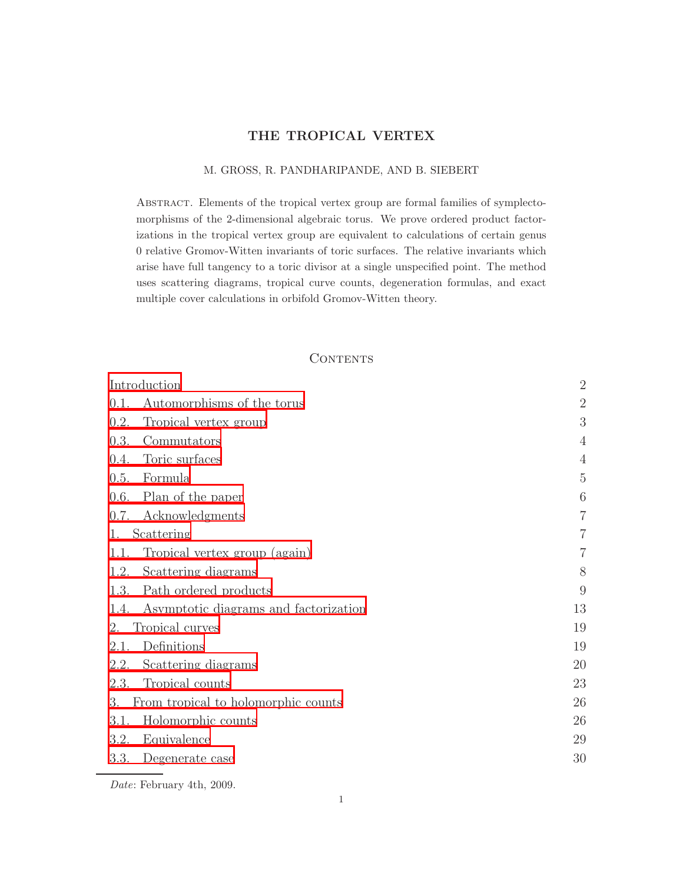# THE TROPICAL VERTEX

# M. GROSS, R. PANDHARIPANDE, AND B. SIEBERT

Abstract. Elements of the tropical vertex group are formal families of symplectomorphisms of the 2-dimensional algebraic torus. We prove ordered product factorizations in the tropical vertex group are equivalent to calculations of certain genus 0 relative Gromov-Witten invariants of toric surfaces. The relative invariants which arise have full tangency to a toric divisor at a single unspecified point. The method uses scattering diagrams, tropical curve counts, degeneration formulas, and exact multiple cover calculations in orbifold Gromov-Witten theory.

# **CONTENTS**

| Introduction                              |                                       | $\overline{2}$ |
|-------------------------------------------|---------------------------------------|----------------|
| 0.1.                                      | Automorphisms of the torus            | $\overline{2}$ |
| 0.2.                                      | Tropical vertex group                 | 3              |
| 0.3.                                      | Commutators                           | $\overline{4}$ |
| 0.4.                                      | Toric surfaces                        | $\overline{4}$ |
| 0.5.                                      | Formula                               | $\overline{5}$ |
| 0.6.                                      | Plan of the paper                     | 6              |
| 0.7.                                      | Acknowledgments                       | $\overline{7}$ |
| 1.                                        | Scattering                            | 7              |
| 1.1.                                      | Tropical vertex group (again)         | 7              |
| 1.2.                                      | Scattering diagrams                   | 8              |
| 1.3.                                      | Path ordered products                 | 9              |
| 1.4.                                      | Asymptotic diagrams and factorization | 13             |
| 2.                                        | Tropical curves                       | 19             |
| 2.1.                                      | Definitions                           | 19             |
| 2.2.                                      | Scattering diagrams                   | 20             |
| 2.3.                                      | Tropical counts                       | 23             |
| From tropical to holomorphic counts<br>3. |                                       | 26             |
| 3.1.                                      | Holomorphic counts                    | 26             |
| 3.2.                                      | Equivalence                           | 29             |
| 3.3.                                      | Degenerate case                       | 30             |
|                                           |                                       |                |

Date: February 4th, 2009.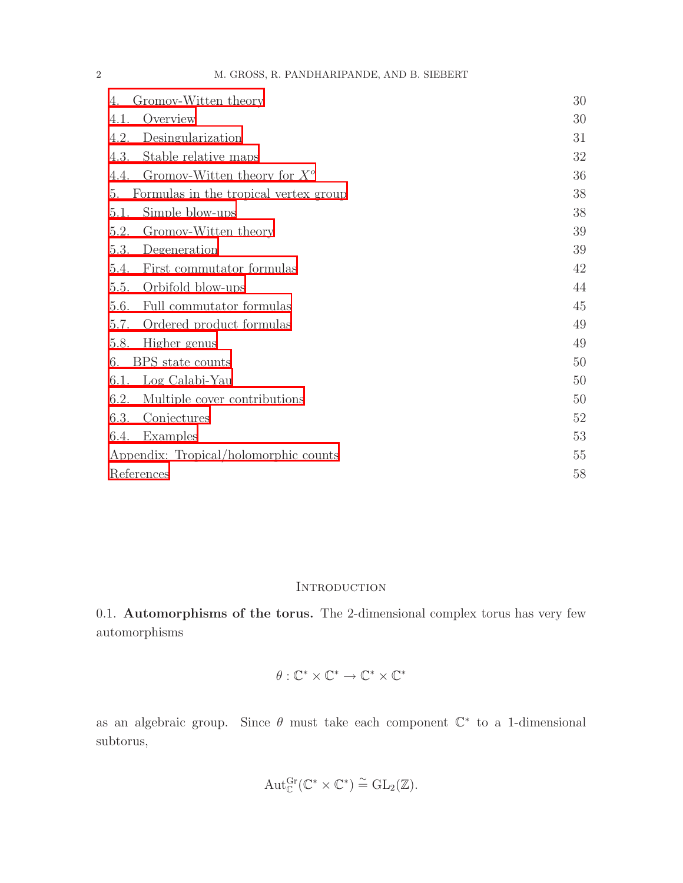# 2 M. GROSS, R. PANDHARIPANDE, AND B. SIEBERT

| 4. Gromov-Witten theory                     | 30 |
|---------------------------------------------|----|
| Overview<br>4.1.                            | 30 |
| Desingularization<br>4.2.                   | 31 |
| Stable relative maps<br>4.3.                | 32 |
| 4.4. Gromov-Witten theory for $X^o$         | 36 |
| 5.<br>Formulas in the tropical vertex group | 38 |
| 5.1.<br>Simple blow-ups                     | 38 |
| 5.2.<br>Gromov-Witten theory                | 39 |
| Degeneration<br>5.3.                        | 39 |
| First commutator formulas<br>5.4.           | 42 |
| 5.5.<br>Orbifold blow-ups                   | 44 |
| Full commutator formulas<br>5.6.            | 45 |
| 5.7.<br>Ordered product formulas            | 49 |
| 5.8.<br>Higher genus                        | 49 |
| BPS state counts<br>6.                      | 50 |
| Log Calabi-Yau<br>6.1.                      | 50 |
| 6.2.<br>Multiple cover contributions        | 50 |
| Conjectures<br>6.3.                         | 52 |
| 6.4.<br>Examples                            | 53 |
| Appendix: Tropical/holomorphic counts       |    |
| References                                  |    |

# **INTRODUCTION**

<span id="page-1-0"></span>0.1. Automorphisms of the torus. The 2-dimensional complex torus has very few automorphisms

$$
\theta: \mathbb{C}^* \times \mathbb{C}^* \to \mathbb{C}^* \times \mathbb{C}^*
$$

as an algebraic group. Since  $\theta$  must take each component  $\mathbb{C}^*$  to a 1-dimensional subtorus,

$$
\mathrm{Aut}^{\mathrm{Gr}}_{\mathbb{C}}(\mathbb{C}^*\times \mathbb{C}^*)\stackrel{\sim}{=} \mathrm{GL}_2(\mathbb{Z}).
$$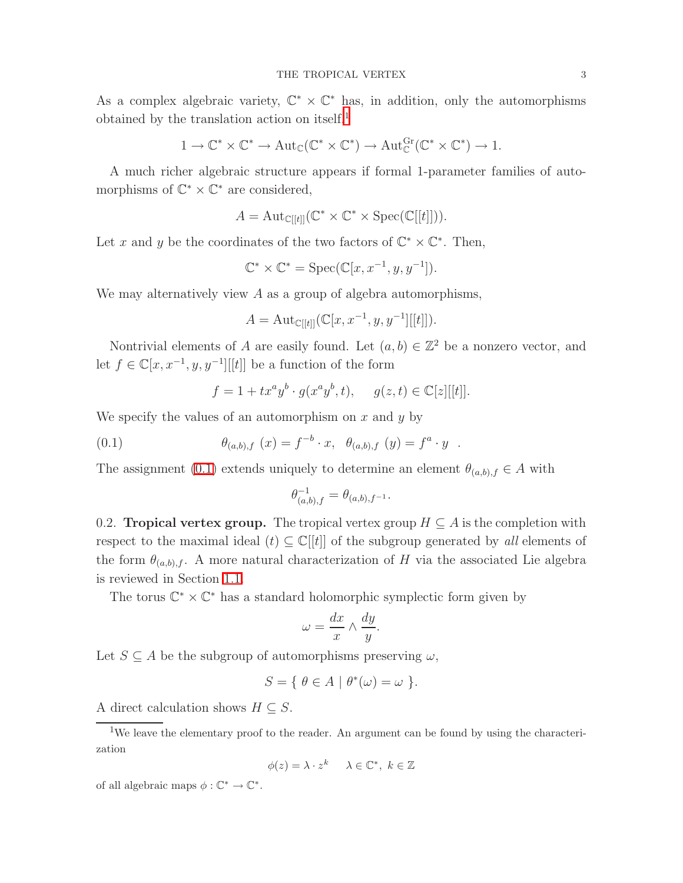As a complex algebraic variety,  $\mathbb{C}^* \times \mathbb{C}^*$  has, in addition, only the automorphisms obtained by the translation action on itself, $<sup>1</sup>$  $<sup>1</sup>$  $<sup>1</sup>$ </sup>

$$
1 \to \mathbb{C}^* \times \mathbb{C}^* \to \mathrm{Aut}_{\mathbb{C}}(\mathbb{C}^* \times \mathbb{C}^*) \to \mathrm{Aut}_{\mathbb{C}}^{\mathrm{Gr}}(\mathbb{C}^* \times \mathbb{C}^*) \to 1.
$$

A much richer algebraic structure appears if formal 1-parameter families of automorphisms of  $\mathbb{C}^* \times \mathbb{C}^*$  are considered,

$$
A = \mathrm{Aut}_{\mathbb{C}[[t]]}(\mathbb{C}^* \times \mathbb{C}^* \times \mathrm{Spec}(\mathbb{C}[[t]])).
$$

Let x and y be the coordinates of the two factors of  $\mathbb{C}^* \times \mathbb{C}^*$ . Then,

$$
\mathbb{C}^* \times \mathbb{C}^* = \text{Spec}(\mathbb{C}[x, x^{-1}, y, y^{-1}]).
$$

We may alternatively view  $A$  as a group of algebra automorphisms,

$$
A = \text{Aut}_{\mathbb{C}[[t]]}(\mathbb{C}[x, x^{-1}, y, y^{-1}][[t]]).
$$

Nontrivial elements of A are easily found. Let  $(a, b) \in \mathbb{Z}^2$  be a nonzero vector, and let  $f \in \mathbb{C}[x, x^{-1}, y, y^{-1}][[t]]$  be a function of the form

$$
f = 1 + tx^a y^b \cdot g(x^a y^b, t), \quad g(z, t) \in \mathbb{C}[z][[t]].
$$

<span id="page-2-2"></span>We specify the values of an automorphism on x and y by

(0.1) 
$$
\theta_{(a,b),f}(x) = f^{-b} \cdot x, \quad \theta_{(a,b),f}(y) = f^a \cdot y.
$$

The assignment [\(0.1\)](#page-2-2) extends uniquely to determine an element  $\theta_{(a,b),f} \in A$  with

$$
\theta^{-1}_{(a,b),f} = \theta_{(a,b),f^{-1}}.
$$

<span id="page-2-0"></span>0.2. Tropical vertex group. The tropical vertex group  $H \subseteq A$  is the completion with respect to the maximal ideal  $(t) \subset \mathbb{C}[[t]]$  of the subgroup generated by all elements of the form  $\theta_{(a,b),f}$ . A more natural characterization of H via the associated Lie algebra is reviewed in Section [1.1.](#page-6-2)

The torus  $\mathbb{C}^* \times \mathbb{C}^*$  has a standard holomorphic symplectic form given by

$$
\omega = \frac{dx}{x} \wedge \frac{dy}{y}.
$$

Let  $S \subseteq A$  be the subgroup of automorphisms preserving  $\omega$ ,

$$
S = \{ \ \theta \in A \mid \theta^*(\omega) = \omega \ \}.
$$

A direct calculation shows  $H \subseteq S$ .

$$
\phi(z)=\lambda\cdot z^k\qquad \lambda\in\mathbb{C}^*,\ k\in\mathbb{Z}
$$

of all algebraic maps  $\phi : \mathbb{C}^* \to \mathbb{C}^*$ .

<span id="page-2-1"></span><sup>&</sup>lt;sup>1</sup>We leave the elementary proof to the reader. An argument can be found by using the characterization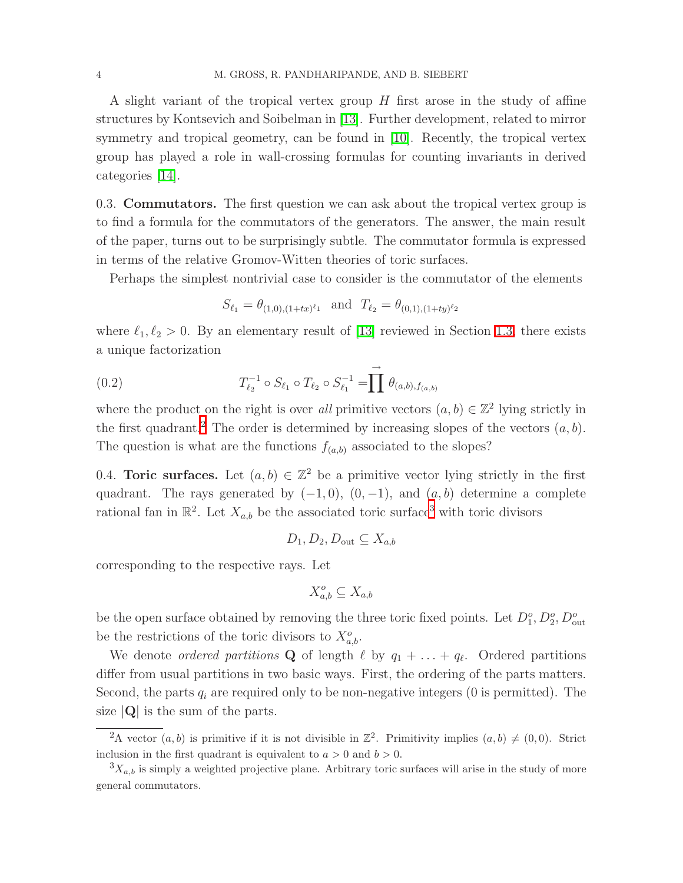A slight variant of the tropical vertex group  $H$  first arose in the study of affine structures by Kontsevich and Soibelman in [\[13\]](#page-57-1). Further development, related to mirror symmetry and tropical geometry, can be found in [\[10\]](#page-57-2). Recently, the tropical vertex group has played a role in wall-crossing formulas for counting invariants in derived categories [\[14\]](#page-57-3).

<span id="page-3-0"></span>0.3. Commutators. The first question we can ask about the tropical vertex group is to find a formula for the commutators of the generators. The answer, the main result of the paper, turns out to be surprisingly subtle. The commutator formula is expressed in terms of the relative Gromov-Witten theories of toric surfaces.

Perhaps the simplest nontrivial case to consider is the commutator of the elements

$$
S_{\ell_1} = \theta_{(1,0),(1+tx)^{\ell_1}} \quad \text{and} \quad T_{\ell_2} = \theta_{(0,1),(1+ty)^{\ell_2}}
$$

where  $\ell_1, \ell_2 > 0$ . By an elementary result of [\[13\]](#page-57-1) reviewed in Section [1.3,](#page-8-0) there exists a unique factorization

<span id="page-3-4"></span>(0.2) 
$$
T_{\ell_2}^{-1} \circ S_{\ell_1} \circ T_{\ell_2} \circ S_{\ell_1}^{-1} = \prod \rightarrow{\mathcal{O}} (\mathfrak{a}, \mathfrak{b}), f_{(\mathfrak{a}, \mathfrak{b})}
$$

where the product on the right is over all primitive vectors  $(a, b) \in \mathbb{Z}^2$  lying strictly in the first quadrant.<sup>[2](#page-3-2)</sup> The order is determined by increasing slopes of the vectors  $(a, b)$ . The question is what are the functions  $f_{(a,b)}$  associated to the slopes?

<span id="page-3-1"></span>0.4. **Toric surfaces.** Let  $(a, b) \in \mathbb{Z}^2$  be a primitive vector lying strictly in the first quadrant. The rays generated by  $(-1, 0)$ ,  $(0, -1)$ , and  $(a, b)$  determine a complete rational fan in  $\mathbb{R}^2$ . Let  $X_{a,b}$  be the associated toric surface<sup>[3](#page-3-3)</sup> with toric divisors

$$
D_1, D_2, D_{\text{out}} \subseteq X_{a,b}
$$

corresponding to the respective rays. Let

$$
X_{a,b}^o\subseteq X_{a,b}
$$

be the open surface obtained by removing the three toric fixed points. Let  $D_1^o, D_2^o, D_{\text{out}}^o$ be the restrictions of the toric divisors to  $X^o_{a,b}$ .

We denote *ordered partitions* **Q** of length  $\ell$  by  $q_1 + \ldots + q_\ell$ . Ordered partitions differ from usual partitions in two basic ways. First, the ordering of the parts matters. Second, the parts  $q_i$  are required only to be non-negative integers (0 is permitted). The size  $|Q|$  is the sum of the parts.

<span id="page-3-2"></span><sup>&</sup>lt;sup>2</sup>A vector  $(a, b)$  is primitive if it is not divisible in  $\mathbb{Z}^2$ . Primitivity implies  $(a, b) \neq (0, 0)$ . Strict inclusion in the first quadrant is equivalent to  $a > 0$  and  $b > 0$ .

<span id="page-3-3"></span> ${}^{3}X_{a,b}$  is simply a weighted projective plane. Arbitrary toric surfaces will arise in the study of more general commutators.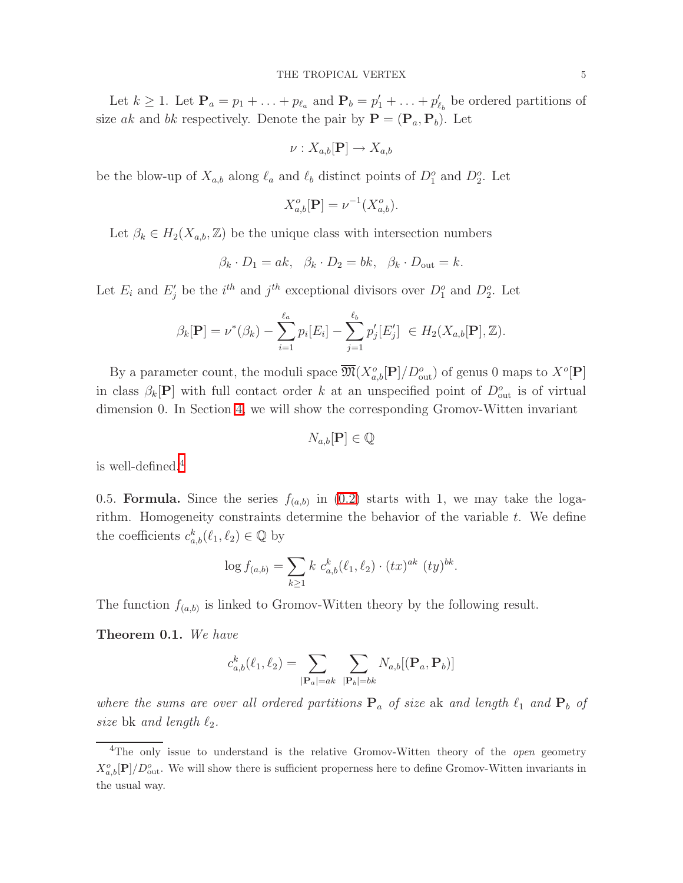Let  $k \geq 1$ . Let  $\mathbf{P}_a = p_1 + \ldots + p_{\ell_a}$  and  $\mathbf{P}_b = p'_1 + \ldots + p'_{\ell_b}$  be ordered partitions of size ak and bk respectively. Denote the pair by  $\mathbf{P} = (\mathbf{P}_a, \mathbf{P}_b)$ . Let

$$
\nu: X_{a,b}[\mathbf{P}] \to X_{a,b}
$$

be the blow-up of  $X_{a,b}$  along  $\ell_a$  and  $\ell_b$  distinct points of  $D_1^o$  and  $D_2^o$ . Let

$$
X_{a,b}^{o}[\mathbf{P}] = \nu^{-1}(X_{a,b}^{o}).
$$

Let  $\beta_k \in H_2(X_{a,b}, \mathbb{Z})$  be the unique class with intersection numbers

$$
\beta_k \cdot D_1 = ak, \ \ \beta_k \cdot D_2 = bk, \ \ \beta_k \cdot D_{\text{out}} = k.
$$

Let  $E_i$  and  $E'_j$  be the  $i^{th}$  and  $j^{th}$  exceptional divisors over  $D_1^o$  and  $D_2^o$ . Let

$$
\beta_k[\mathbf{P}] = \nu^*(\beta_k) - \sum_{i=1}^{\ell_a} p_i[E_i] - \sum_{j=1}^{\ell_b} p'_j[E'_j] \in H_2(X_{a,b}[\mathbf{P}], \mathbb{Z}).
$$

By a parameter count, the moduli space  $\overline{\mathfrak{M}}(X^o_{a,b}[\mathbf{P}]/D^o_{\text{out}})$  of genus 0 maps to  $X^o[\mathbf{P}]$ in class  $\beta_k[P]$  with full contact order k at an unspecified point of  $D_{\text{out}}^o$  is of virtual dimension 0. In Section [4,](#page-29-1) we will show the corresponding Gromov-Witten invariant

$$
N_{a,b}[\mathbf{P}] \in \mathbb{Q}
$$

<span id="page-4-0"></span>is well-defined.[4](#page-4-1)

0.5. Formula. Since the series  $f_{(a,b)}$  in [\(0.2\)](#page-3-4) starts with 1, we may take the logarithm. Homogeneity constraints determine the behavior of the variable t. We define the coefficients  $c_{a,b}^k(\ell_1, \ell_2) \in \mathbb{Q}$  by

$$
\log f_{(a,b)} = \sum_{k \ge 1} k \ c_{a,b}^k(\ell_1, \ell_2) \cdot (tx)^{ak} \ (ty)^{bk}.
$$

<span id="page-4-2"></span>The function  $f_{(a,b)}$  is linked to Gromov-Witten theory by the following result.

Theorem 0.1. We have

$$
c_{a,b}^k(\ell_1, \ell_2) = \sum_{|\mathbf{P}_a| = ak} \sum_{|\mathbf{P}_b| = bk} N_{a,b} [(\mathbf{P}_a, \mathbf{P}_b)]
$$

where the sums are over all ordered partitions  $P_a$  of size ak and length  $\ell_1$  and  $P_b$  of size bk and length  $\ell_2$ .

<span id="page-4-1"></span><sup>&</sup>lt;sup>4</sup>The only issue to understand is the relative Gromov-Witten theory of the *open* geometry  $X^o_{a,b}[\mathbf{P}]/D^o_{\text{out}}$ . We will show there is sufficient properness here to define Gromov-Witten invariants in the usual way.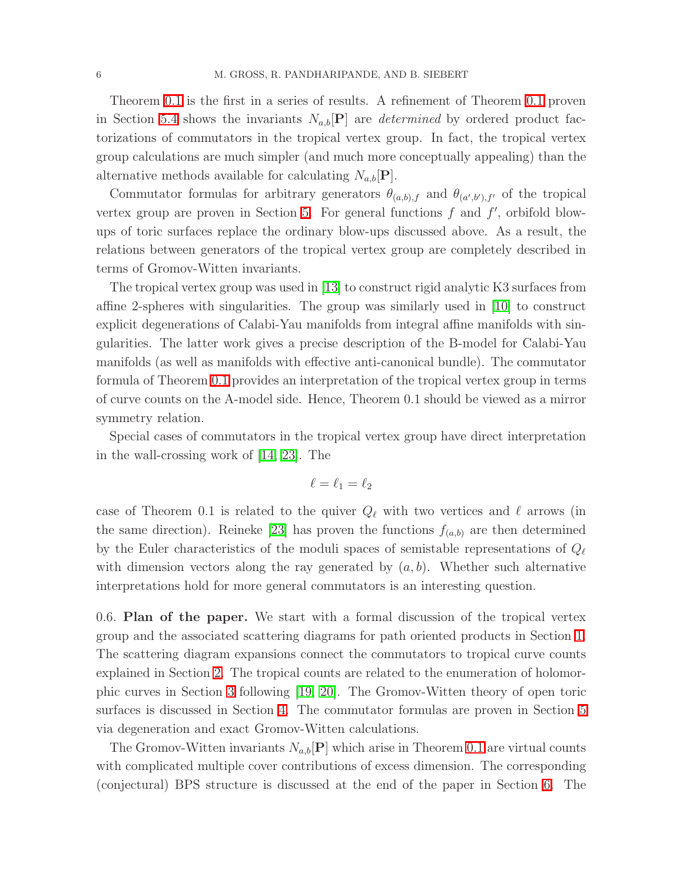Theorem [0.1](#page-4-2) is the first in a series of results. A refinement of Theorem [0.1](#page-4-2) proven in Section [5.4](#page-41-0) shows the invariants  $N_{a,b}[\mathbf{P}]$  are *determined* by ordered product factorizations of commutators in the tropical vertex group. In fact, the tropical vertex group calculations are much simpler (and much more conceptually appealing) than the alternative methods available for calculating  $N_{a,b}[\mathbf{P}]$ .

Commutator formulas for arbitrary generators  $\theta_{(a,b),f}$  and  $\theta_{(a',b'),f'}$  of the tropical vertex group are proven in Section [5.](#page-37-0) For general functions  $f$  and  $f'$ , orbifold blowups of toric surfaces replace the ordinary blow-ups discussed above. As a result, the relations between generators of the tropical vertex group are completely described in terms of Gromov-Witten invariants.

The tropical vertex group was used in [\[13\]](#page-57-1) to construct rigid analytic K3 surfaces from affine 2-spheres with singularities. The group was similarly used in [\[10\]](#page-57-2) to construct explicit degenerations of Calabi-Yau manifolds from integral affine manifolds with singularities. The latter work gives a precise description of the B-model for Calabi-Yau manifolds (as well as manifolds with effective anti-canonical bundle). The commutator formula of Theorem [0.1](#page-4-2) provides an interpretation of the tropical vertex group in terms of curve counts on the A-model side. Hence, Theorem 0.1 should be viewed as a mirror symmetry relation.

Special cases of commutators in the tropical vertex group have direct interpretation in the wall-crossing work of [\[14,](#page-57-3) [23\]](#page-58-0). The

$$
\ell=\ell_1=\ell_2
$$

case of Theorem 0.1 is related to the quiver  $Q_{\ell}$  with two vertices and  $\ell$  arrows (in the same direction). Reineke [\[23\]](#page-58-0) has proven the functions  $f_{(a,b)}$  are then determined by the Euler characteristics of the moduli spaces of semistable representations of  $Q_{\ell}$ with dimension vectors along the ray generated by  $(a, b)$ . Whether such alternative interpretations hold for more general commutators is an interesting question.

<span id="page-5-0"></span>0.6. Plan of the paper. We start with a formal discussion of the tropical vertex group and the associated scattering diagrams for path oriented products in Section [1.](#page-6-1) The scattering diagram expansions connect the commutators to tropical curve counts explained in Section [2.](#page-18-0) The tropical counts are related to the enumeration of holomorphic curves in Section [3](#page-25-0) following [\[19,](#page-57-4) [20\]](#page-57-5). The Gromov-Witten theory of open toric surfaces is discussed in Section [4.](#page-29-1) The commutator formulas are proven in Section [5](#page-37-0) via degeneration and exact Gromov-Witten calculations.

The Gromov-Witten invariants  $N_{a,b}[\mathbf{P}]$  which arise in Theorem [0.1](#page-4-2) are virtual counts with complicated multiple cover contributions of excess dimension. The corresponding (conjectural) BPS structure is discussed at the end of the paper in Section [6.](#page-49-0) The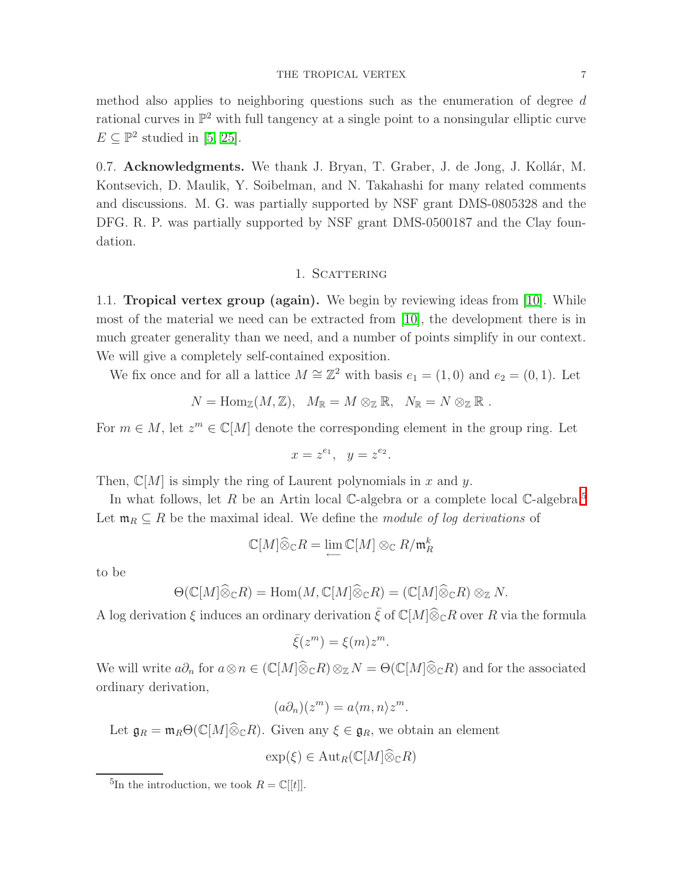method also applies to neighboring questions such as the enumeration of degree d rational curves in  $\mathbb{P}^2$  with full tangency at a single point to a nonsingular elliptic curve  $E \subseteq \mathbb{P}^2$  studied in [\[5,](#page-57-6) [25\]](#page-58-1).

<span id="page-6-0"></span>0.7. Acknowledgments. We thank J. Bryan, T. Graber, J. de Jong, J. Kollár, M. Kontsevich, D. Maulik, Y. Soibelman, and N. Takahashi for many related comments and discussions. M. G. was partially supported by NSF grant DMS-0805328 and the DFG. R. P. was partially supported by NSF grant DMS-0500187 and the Clay foundation.

### 1. SCATTERING

<span id="page-6-2"></span><span id="page-6-1"></span>1.1. Tropical vertex group (again). We begin by reviewing ideas from [\[10\]](#page-57-2). While most of the material we need can be extracted from [\[10\]](#page-57-2), the development there is in much greater generality than we need, and a number of points simplify in our context. We will give a completely self-contained exposition.

We fix once and for all a lattice  $M \cong \mathbb{Z}^2$  with basis  $e_1 = (1,0)$  and  $e_2 = (0,1)$ . Let

$$
N = \operatorname{Hom}_{\mathbb{Z}}(M, \mathbb{Z}), \quad M_{\mathbb{R}} = M \otimes_{\mathbb{Z}} \mathbb{R}, \quad N_{\mathbb{R}} = N \otimes_{\mathbb{Z}} \mathbb{R}.
$$

For  $m \in M$ , let  $z^m \in \mathbb{C}[M]$  denote the corresponding element in the group ring. Let

$$
x = z^{e_1}, \quad y = z^{e_2}.
$$

Then,  $\mathbb{C}[M]$  is simply the ring of Laurent polynomials in x and y.

In what follows, let  $R$  be an Artin local  $\mathbb{C}\text{-algebra}$  or a complete local  $\mathbb{C}\text{-algebra}$ .<sup>[5](#page-6-3)</sup> Let  $\mathfrak{m}_R \subseteq R$  be the maximal ideal. We define the module of log derivations of

$$
\mathbb{C}[M]\widehat{\otimes}_{\mathbb{C}}R=\displaystyle\lim_{\longleftarrow}\mathbb{C}[M]\otimes_{\mathbb{C}}R/\mathfrak{m}_R^k
$$

to be

$$
\Theta(\mathbb{C}[M]\widehat{\otimes}_{\mathbb{C}}R) = \text{Hom}(M,\mathbb{C}[M]\widehat{\otimes}_{\mathbb{C}}R) = (\mathbb{C}[M]\widehat{\otimes}_{\mathbb{C}}R) \otimes_{\mathbb{Z}}N.
$$

A log derivation  $\xi$  induces an ordinary derivation  $\bar{\xi}$  of  $\mathbb{C}[M]\widehat{\otimes}_{\mathbb{C}}R$  over R via the formula

$$
\bar{\xi}(z^m) = \xi(m)z^m.
$$

We will write  $a\partial_n$  for  $a\otimes n \in (\mathbb{C}[M]\widehat{\otimes}_{\mathbb{C}}R)\otimes_{\mathbb{Z}}N = \Theta(\mathbb{C}[M]\widehat{\otimes}_{\mathbb{C}}R)$  and for the associated ordinary derivation,

$$
(a\partial_n)(z^m) = a\langle m, n \rangle z^m.
$$

Let  $\mathfrak{g}_R = \mathfrak{m}_R \Theta(\mathbb{C}[M] \widehat{\otimes}_{\mathbb{C}} R)$ . Given any  $\xi \in \mathfrak{g}_R$ , we obtain an element

$$
\exp(\xi) \in \mathrm{Aut}_R(\mathbb{C}[M] \widehat{\otimes}_{\mathbb{C}} R)
$$

<span id="page-6-3"></span><sup>&</sup>lt;sup>5</sup>In the introduction, we took  $R = \mathbb{C}[[t]].$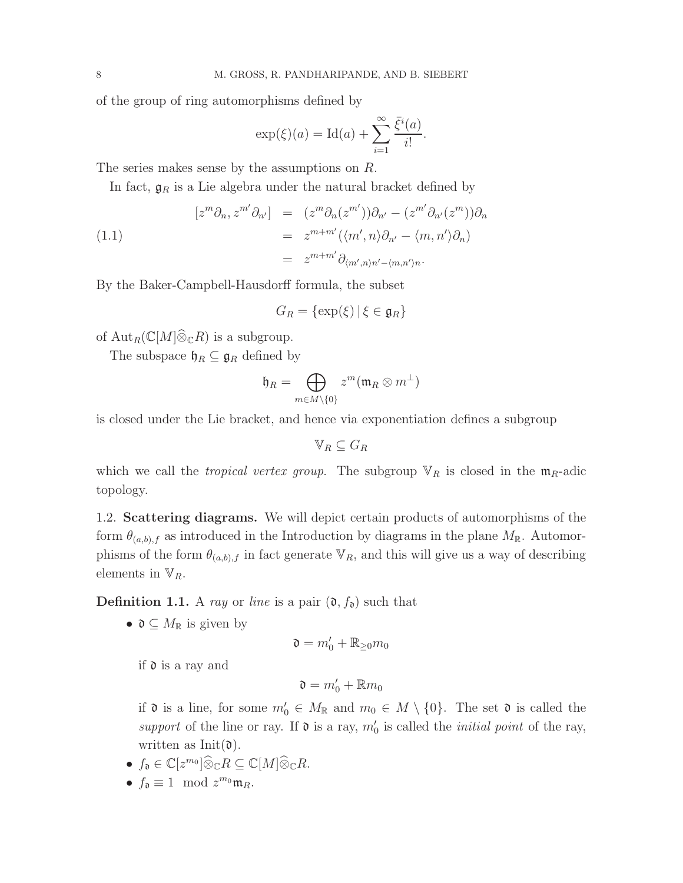of the group of ring automorphisms defined by

$$
\exp(\xi)(a) = \text{Id}(a) + \sum_{i=1}^{\infty} \frac{\bar{\xi}^i(a)}{i!}
$$

.

The series makes sense by the assumptions on R.

In fact,  $\mathfrak{g}_R$  is a Lie algebra under the natural bracket defined by

<span id="page-7-1"></span>(1.1)  
\n
$$
[z^m \partial_n, z^{m'} \partial_{n'}] = (z^m \partial_n (z^{m'})) \partial_{n'} - (z^{m'} \partial_{n'} (z^m)) \partial_n
$$
\n
$$
= z^{m+m'} (\langle m', n \rangle \partial_{n'} - \langle m, n' \rangle \partial_n)
$$
\n
$$
= z^{m+m'} \partial_{\langle m', n \rangle n' - \langle m, n' \rangle n}.
$$

By the Baker-Campbell-Hausdorff formula, the subset

$$
G_R = \{ \exp(\xi) \, | \, \xi \in \mathfrak{g}_R \}
$$

of  $\text{Aut}_R(\mathbb{C}[M]\widehat{\otimes}_{\mathbb{C}}R)$  is a subgroup.

The subspace  $\mathfrak{h}_R \subseteq \mathfrak{g}_R$  defined by

$$
\mathfrak{h}_R=\bigoplus_{m\in M\backslash\{0\}}z^m(\mathfrak{m}_R\otimes m^\perp)
$$

is closed under the Lie bracket, and hence via exponentiation defines a subgroup

$$
\mathbb{V}_R \subseteq G_R
$$

which we call the *tropical vertex group*. The subgroup  $\mathbb{V}_R$  is closed in the  $\mathfrak{m}_R$ -adic topology.

<span id="page-7-0"></span>1.2. Scattering diagrams. We will depict certain products of automorphisms of the form  $\theta_{(a,b),f}$  as introduced in the Introduction by diagrams in the plane  $M_{\mathbb{R}}$ . Automorphisms of the form  $\theta_{(a,b),f}$  in fact generate  $\mathbb{V}_R$ , and this will give us a way of describing elements in  $V_R$ .

# **Definition 1.1.** A ray or line is a pair  $(\mathfrak{d}, f_{\mathfrak{d}})$  such that

•  $\mathfrak{d} \subseteq M_{\mathbb{R}}$  is given by

$$
\mathfrak{d} = m'_0 + \mathbb{R}_{\geq 0} m_0
$$

if  $\mathfrak d$  is a ray and

$$
\mathfrak{d} = m'_0 + \mathbb{R}m_0
$$

if  $\mathfrak d$  is a line, for some  $m'_0 \in M_{\mathbb R}$  and  $m_0 \in M \setminus \{0\}$ . The set  $\mathfrak d$  is called the support of the line or ray. If  $\mathfrak d$  is a ray,  $m'_0$  is called the *initial point* of the ray, written as  $Init(0)$ .

- $f_{\mathfrak{d}} \in \mathbb{C}[z^{m_0}]\widehat{\otimes}_{\mathbb{C}}R \subseteq \mathbb{C}[M]\widehat{\otimes}_{\mathbb{C}}R$ .
- $f_{\mathfrak{d}} \equiv 1 \mod z^{m_0} \mathfrak{m}_R$ .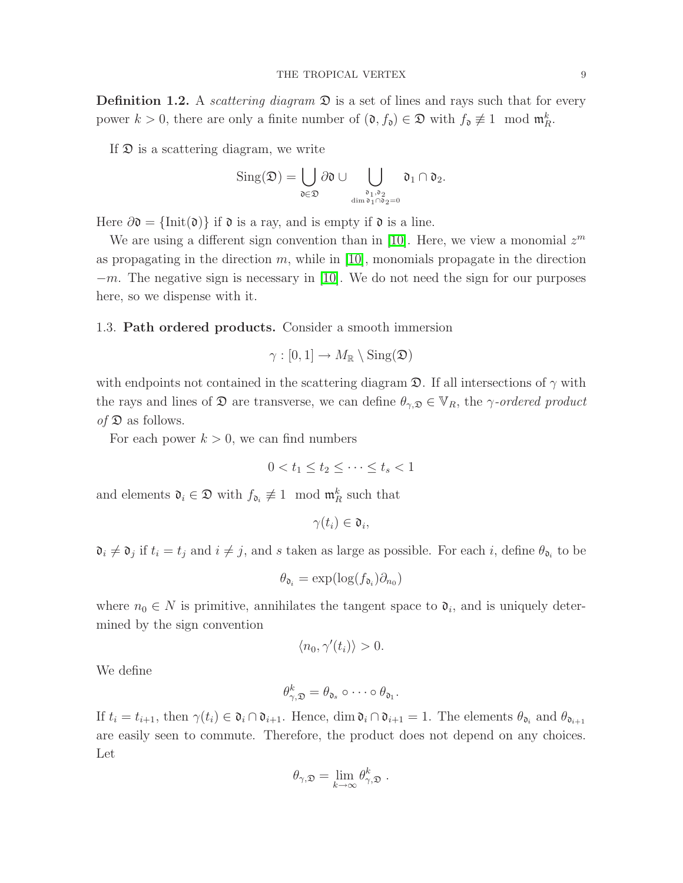**Definition 1.2.** A *scattering diagram*  $\mathfrak{D}$  is a set of lines and rays such that for every power  $k > 0$ , there are only a finite number of  $(0, f_0) \in \mathfrak{D}$  with  $f_0 \not\equiv 1 \mod \mathfrak{m}_R^k$ .

If  $\mathfrak D$  is a scattering diagram, we write

$$
\operatorname{Sing}(\mathfrak{D})=\bigcup_{\mathfrak{d}\in \mathfrak{D}}\partial\mathfrak{d}\cup\bigcup_{\genfrac{}{}{0pt}{}{\mathfrak{d}_1,\mathfrak{d}_2}{\dim\mathfrak{d}_1\cap\mathfrak{d}_2=0}}\mathfrak{d}_1\cap\mathfrak{d}_2.
$$

Here  $\partial \mathfrak{d} = {\text{Init}(\mathfrak{d})}$  if  $\mathfrak{d}$  is a ray, and is empty if  $\mathfrak{d}$  is a line.

We are using a different sign convention than in [\[10\]](#page-57-2). Here, we view a monomial  $z<sup>m</sup>$ as propagating in the direction  $m$ , while in [\[10\]](#page-57-2), monomials propagate in the direction  $-m$ . The negative sign is necessary in [\[10\]](#page-57-2). We do not need the sign for our purposes here, so we dispense with it.

### <span id="page-8-0"></span>1.3. Path ordered products. Consider a smooth immersion

$$
\gamma:[0,1]\to M_{\mathbb{R}}\setminus\mathrm{Sing}(\mathfrak{D})
$$

with endpoints not contained in the scattering diagram  $\mathfrak{D}$ . If all intersections of  $\gamma$  with the rays and lines of  $\mathfrak D$  are transverse, we can define  $\theta_{\gamma,\mathfrak D} \in \mathbb V_R$ , the  $\gamma$ -ordered product of  $\mathfrak D$  as follows.

For each power  $k > 0$ , we can find numbers

$$
0 < t_1 \le t_2 \le \cdots \le t_s < 1
$$

and elements  $\mathfrak{d}_i \in \mathfrak{D}$  with  $f_{\mathfrak{d}_i} \not\equiv 1 \mod \mathfrak{m}_R^k$  such that

$$
\gamma(t_i)\in\mathfrak{d}_i,
$$

 $\mathfrak{d}_i \neq \mathfrak{d}_j$  if  $t_i = t_j$  and  $i \neq j$ , and s taken as large as possible. For each i, define  $\theta_{\mathfrak{d}_i}$  to be

$$
\theta_{\mathfrak{d}_i} = \exp(\log(f_{\mathfrak{d}_i})\partial_{n_0})
$$

where  $n_0 \in N$  is primitive, annihilates the tangent space to  $\mathfrak{d}_i$ , and is uniquely determined by the sign convention

$$
\langle n_0, \gamma'(t_i) \rangle > 0.
$$

We define

$$
\theta^k_{\gamma,\mathfrak{D}}=\theta_{\mathfrak{d}_s}\circ\cdots\circ\theta_{\mathfrak{d}_1}.
$$

If  $t_i = t_{i+1}$ , then  $\gamma(t_i) \in \mathfrak{d}_i \cap \mathfrak{d}_{i+1}$ . Hence,  $\dim \mathfrak{d}_i \cap \mathfrak{d}_{i+1} = 1$ . The elements  $\theta_{\mathfrak{d}_i}$  and  $\theta_{\mathfrak{d}_{i+1}}$ are easily seen to commute. Therefore, the product does not depend on any choices. Let

$$
\theta_{\gamma,\mathfrak{D}} = \lim_{k \to \infty} \theta_{\gamma,\mathfrak{D}}^k.
$$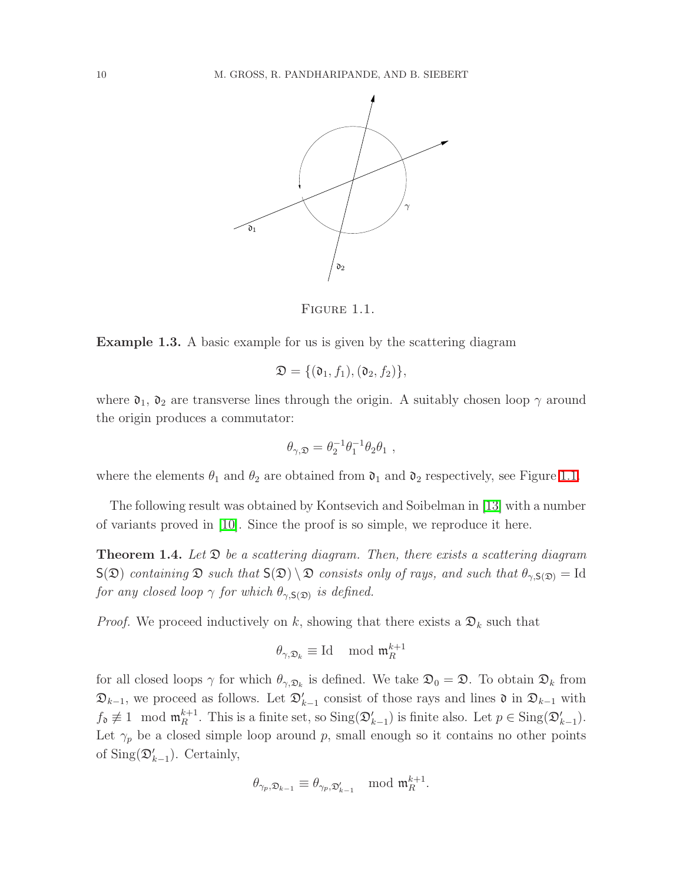

<span id="page-9-0"></span>FIGURE 1.1.

Example 1.3. A basic example for us is given by the scattering diagram

$$
\mathfrak{D} = \{(\mathfrak{d}_1, f_1), (\mathfrak{d}_2, f_2)\},\
$$

where  $\mathfrak{d}_1$ ,  $\mathfrak{d}_2$  are transverse lines through the origin. A suitably chosen loop  $\gamma$  around the origin produces a commutator:

$$
\theta_{\gamma, \mathfrak{D}} = \theta_2^{-1} \theta_1^{-1} \theta_2 \theta_1 ,
$$

where the elements  $\theta_1$  and  $\theta_2$  are obtained from  $\mathfrak{d}_1$  and  $\mathfrak{d}_2$  respectively, see Figure [1.1.](#page-9-0)

<span id="page-9-1"></span>The following result was obtained by Kontsevich and Soibelman in [\[13\]](#page-57-1) with a number of variants proved in [\[10\]](#page-57-2). Since the proof is so simple, we reproduce it here.

**Theorem 1.4.** Let  $\mathfrak{D}$  be a scattering diagram. Then, there exists a scattering diagram  $S(\mathfrak{D})$  containing  $\mathfrak{D}$  such that  $S(\mathfrak{D}) \setminus \mathfrak{D}$  consists only of rays, and such that  $\theta_{\gamma,S(\mathfrak{D})} = \mathrm{Id}$ for any closed loop  $\gamma$  for which  $\theta_{\gamma, \mathsf{S}(\mathfrak{D})}$  is defined.

*Proof.* We proceed inductively on k, showing that there exists a  $\mathfrak{D}_k$  such that

$$
\theta_{\gamma,\mathfrak{D}_k} \equiv \text{Id} \mod \mathfrak{m}_R^{k+1}
$$

for all closed loops  $\gamma$  for which  $\theta_{\gamma,\mathfrak{D}_k}$  is defined. We take  $\mathfrak{D}_0 = \mathfrak{D}$ . To obtain  $\mathfrak{D}_k$  from  $\mathfrak{D}_{k-1}$ , we proceed as follows. Let  $\mathfrak{D}'_{k-1}$  consist of those rays and lines  $\mathfrak{d}$  in  $\mathfrak{D}_{k-1}$  with  $f_{\mathfrak{d}} \not\equiv 1 \mod \mathfrak{m}_R^{k+1}$  $k+1$ . This is a finite set, so  $\text{Sing}(\mathfrak{D}'_{k-1})$  is finite also. Let  $p \in \text{Sing}(\mathfrak{D}'_{k-1})$ . Let  $\gamma_p$  be a closed simple loop around p, small enough so it contains no other points of  $\text{Sing}(\mathfrak{D}'_{k-1})$ . Certainly,

$$
\theta_{\gamma_p, \mathfrak{D}_{k-1}} \equiv \theta_{\gamma_p, \mathfrak{D}_{k-1}'} \mod \mathfrak{m}_{R}^{k+1}.
$$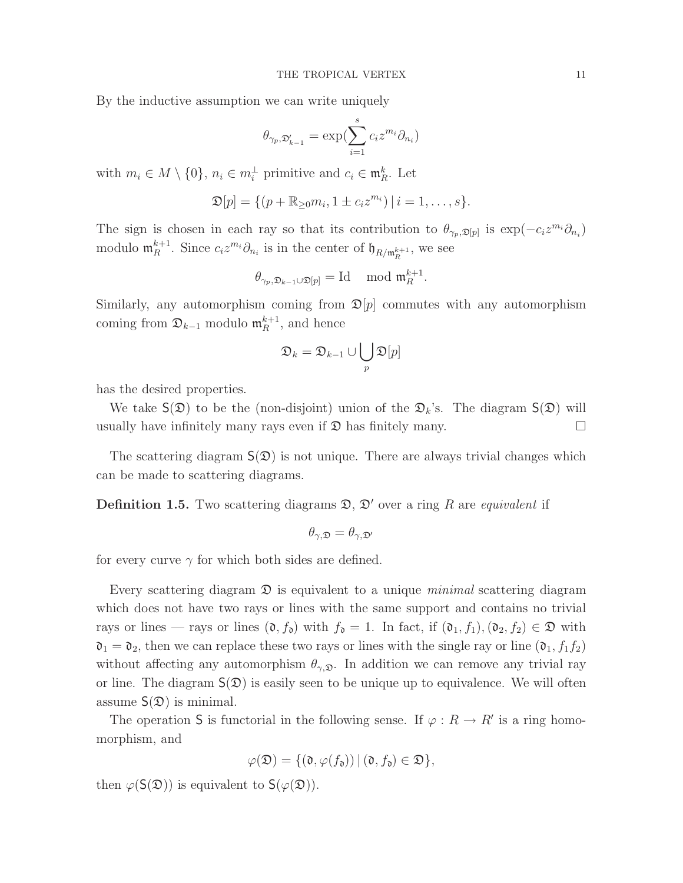By the inductive assumption we can write uniquely

$$
\theta_{\gamma_p, \mathfrak{D}_{k-1}'} = \exp\left(\sum_{i=1}^s c_i z^{m_i} \partial_{n_i}\right)
$$

with  $m_i \in M \setminus \{0\}$ ,  $n_i \in m_i^{\perp}$  primitive and  $c_i \in \mathfrak{m}_R^k$ . Let

$$
\mathfrak{D}[p] = \{ (p + \mathbb{R}_{\geq 0} m_i, 1 \pm c_i z^{m_i}) \mid i = 1, ..., s \}.
$$

The sign is chosen in each ray so that its contribution to  $\theta_{\gamma_p,\mathfrak{D}[p]}$  is  $\exp(-c_i z^{m_i} \partial_{n_i})$ modulo  $\mathfrak{m}_R^{k+1}$  $k+1$ . Since  $c_i z^{m_i} \partial_{n_i}$  is in the center of  $\mathfrak{h}_{R/\mathfrak{m}_R^{k+1}}$ , we see

$$
\theta_{\gamma_p,\mathfrak{D}_{k-1}\cup\mathfrak{D}[p]}=\text{Id} \mod \mathfrak{m}_R^{k+1}.
$$

Similarly, any automorphism coming from  $\mathfrak{D}[p]$  commutes with any automorphism coming from  $\mathfrak{D}_{k-1}$  modulo  $\mathfrak{m}_{R}^{k+1}$  $k+1$ <sub>R</sub>, and hence

$$
\mathfrak{D}_k = \mathfrak{D}_{k-1} \cup \bigcup_p \mathfrak{D}[p]
$$

has the desired properties.

We take  $S(\mathfrak{D})$  to be the (non-disjoint) union of the  $\mathfrak{D}_k$ 's. The diagram  $S(\mathfrak{D})$  will usually have infinitely many rays even if  $\mathfrak D$  has finitely many.

The scattering diagram  $S(\mathfrak{D})$  is not unique. There are always trivial changes which can be made to scattering diagrams.

**Definition 1.5.** Two scattering diagrams  $\mathfrak{D}, \mathfrak{D}'$  over a ring R are *equivalent* if

$$
\theta_{\gamma,\mathfrak{D}}=\theta_{\gamma,\mathfrak{D}'}
$$

for every curve  $\gamma$  for which both sides are defined.

Every scattering diagram  $\mathfrak D$  is equivalent to a unique *minimal* scattering diagram which does not have two rays or lines with the same support and contains no trivial rays or lines — rays or lines  $(0, f_0)$  with  $f_0 = 1$ . In fact, if  $(0_1, f_1), (0_2, f_2) \in \mathfrak{D}$  with  $\mathfrak{d}_1 = \mathfrak{d}_2$ , then we can replace these two rays or lines with the single ray or line  $(\mathfrak{d}_1, f_1f_2)$ without affecting any automorphism  $\theta_{\gamma,\mathfrak{D}}$ . In addition we can remove any trivial ray or line. The diagram  $S(\mathfrak{D})$  is easily seen to be unique up to equivalence. We will often assume  $S(\mathfrak{D})$  is minimal.

The operation S is functorial in the following sense. If  $\varphi : R \to R'$  is a ring homomorphism, and

$$
\varphi(\mathfrak{D}) = \{(\mathfrak{d}, \varphi(f_{\mathfrak{d}})) \mid (\mathfrak{d}, f_{\mathfrak{d}}) \in \mathfrak{D}\},\
$$

<span id="page-10-0"></span>then  $\varphi(\mathsf{S}(\mathfrak{D}))$  is equivalent to  $\mathsf{S}(\varphi(\mathfrak{D}))$ .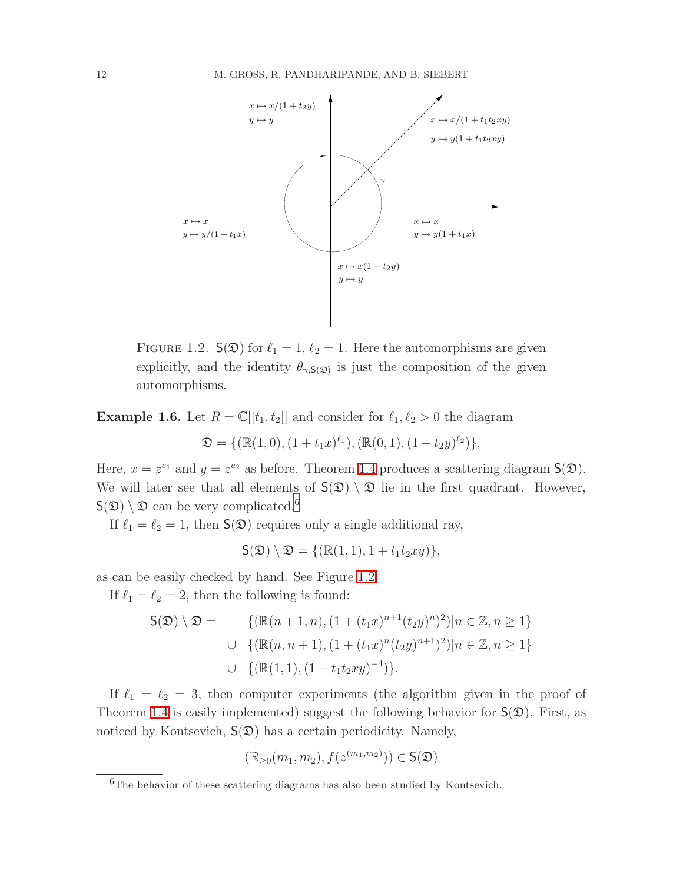

<span id="page-11-1"></span>FIGURE 1.2.  $S(\mathfrak{D})$  for  $\ell_1 = 1, \ell_2 = 1$ . Here the automorphisms are given explicitly, and the identity  $\theta_{\gamma, \mathsf{S}(\mathfrak{D})}$  is just the composition of the given automorphisms.

**Example 1.6.** Let  $R = \mathbb{C}[[t_1, t_2]]$  and consider for  $\ell_1, \ell_2 > 0$  the diagram

 $\mathfrak{D} = \{ (\mathbb{R}(1,0), (1+t_1x)^{\ell_1}), (\mathbb{R}(0,1), (1+t_2y)^{\ell_2}) \}.$ 

Here,  $x = z^{e_1}$  and  $y = z^{e_2}$  as before. Theorem [1.4](#page-9-1) produces a scattering diagram  $S(\mathfrak{D})$ . We will later see that all elements of  $S(\mathfrak{D}) \setminus \mathfrak{D}$  lie in the first quadrant. However,  $S(\mathfrak{D}) \setminus \mathfrak{D}$  can be very complicated.<sup>[6](#page-11-0)</sup>

If  $\ell_1 = \ell_2 = 1$ , then  $\mathsf{S}(\mathfrak{D})$  requires only a single additional ray,

$$
\mathsf{S}(\mathfrak{D})\setminus \mathfrak{D}=\{(\mathbb{R}(1,1),1+t_1t_2xy)\},
$$

as can be easily checked by hand. See Figure [1.2.](#page-11-1)

If  $\ell_1 = \ell_2 = 2$ , then the following is found:

$$
\mathsf{S}(\mathfrak{D}) \setminus \mathfrak{D} = \{ (\mathbb{R}(n+1,n), (1 + (t_1x)^{n+1}(t_2y)^n)^2) | n \in \mathbb{Z}, n \ge 1 \}
$$
  
\n
$$
\cup \{ (\mathbb{R}(n,n+1), (1 + (t_1x)^n(t_2y)^{n+1})^2) | n \in \mathbb{Z}, n \ge 1 \}
$$
  
\n
$$
\cup \{ (\mathbb{R}(1,1), (1 - t_1t_2xy)^{-4}) \}.
$$

If  $\ell_1 = \ell_2 = 3$ , then computer experiments (the algorithm given in the proof of Theorem [1.4](#page-9-1) is easily implemented) suggest the following behavior for  $S(\mathfrak{D})$ . First, as noticed by Kontsevich,  $S(\mathfrak{D})$  has a certain periodicity. Namely,

$$
(\mathbb{R}_{\geq 0}(m_1, m_2), f(z^{(m_1, m_2)})) \in S(\mathfrak{D})
$$

<span id="page-11-0"></span><sup>&</sup>lt;sup>6</sup>The behavior of these scattering diagrams has also been studied by Kontsevich.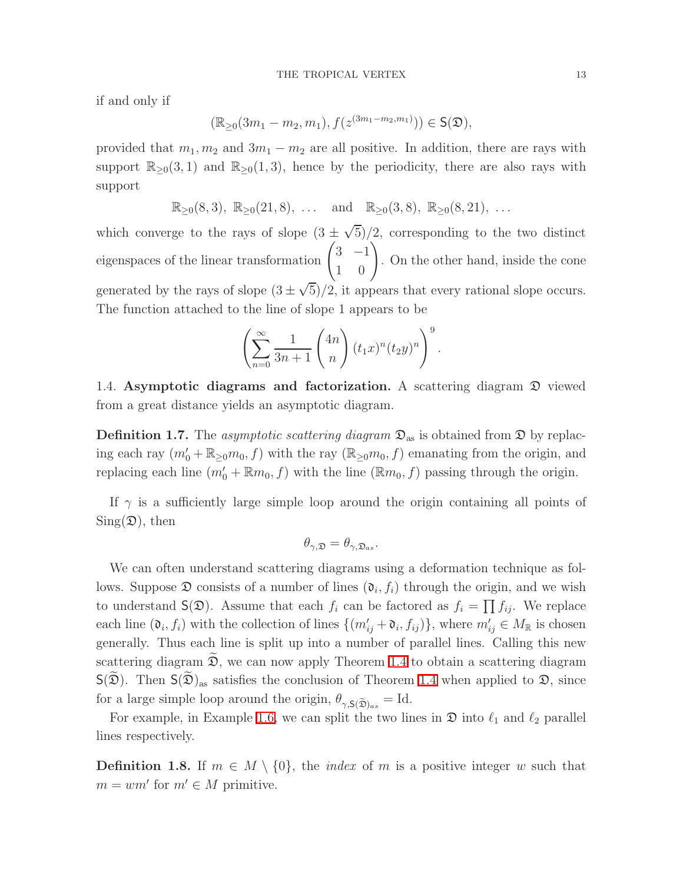if and only if

$$
(\mathbb{R}_{\geq 0}(3m_1 - m_2, m_1), f(z^{(3m_1 - m_2, m_1)})) \in S(\mathfrak{D}),
$$

provided that  $m_1, m_2$  and  $3m_1 - m_2$  are all positive. In addition, there are rays with support  $\mathbb{R}_{\geq 0}(3,1)$  and  $\mathbb{R}_{\geq 0}(1,3)$ , hence by the periodicity, there are also rays with support

$$
\mathbb{R}_{\geq 0}(8,3),\ \mathbb{R}_{\geq 0}(21,8),\ \ldots\ \ \text{and}\ \ \mathbb{R}_{\geq 0}(3,8),\ \mathbb{R}_{\geq 0}(8,21),\ \ldots
$$

which converge to the rays of slope  $(3 \pm \sqrt{5})/2$ , corresponding to the two distinct eigenspaces of the linear transformation  $\begin{pmatrix} 3 & -1 \\ 1 & 0 \end{pmatrix}$ . On the other hand, inside the cone generated by the rays of slope  $(3 \pm \sqrt{5})/2$ , it appears that every rational slope occurs. The function attached to the line of slope 1 appears to be

$$
\left(\sum_{n=0}^{\infty} \frac{1}{3n+1} {4n \choose n} (t_1x)^n (t_2y)^n\right)^9.
$$

<span id="page-12-0"></span>1.4. Asymptotic diagrams and factorization. A scattering diagram  $\mathfrak D$  viewed from a great distance yields an asymptotic diagram.

**Definition 1.7.** The asymptotic scattering diagram  $\mathfrak{D}_{\text{as}}$  is obtained from  $\mathfrak{D}$  by replacing each ray  $(m'_0 + \mathbb{R}_{\geq 0}m_0, f)$  with the ray  $(\mathbb{R}_{\geq 0}m_0, f)$  emanating from the origin, and replacing each line  $(m'_0 + \mathbb{R}m_0, f)$  with the line  $(\mathbb{R}m_0, f)$  passing through the origin.

If  $\gamma$  is a sufficiently large simple loop around the origin containing all points of  $Sing(\mathfrak{D}),$  then

$$
\theta_{\gamma,\mathfrak{D}}=\theta_{\gamma,\mathfrak{D}_{as}}.
$$

We can often understand scattering diagrams using a deformation technique as follows. Suppose  $\mathfrak D$  consists of a number of lines  $(\mathfrak d_i, f_i)$  through the origin, and we wish to understand  $\mathsf{S}(\mathfrak{D})$ . Assume that each  $f_i$  can be factored as  $f_i = \prod f_{ij}$ . We replace each line  $(\mathfrak{d}_i, f_i)$  with the collection of lines  $\{(m'_{ij} + \mathfrak{d}_i, f_{ij})\}$ , where  $m'_{ij} \in M_{\mathbb{R}}$  is chosen generally. Thus each line is split up into a number of parallel lines. Calling this new scattering diagram  $\widetilde{\mathfrak{D}}$ , we can now apply Theorem [1.4](#page-9-1) to obtain a scattering diagram  $S(\tilde{\mathfrak{D}})$ . Then  $S(\tilde{\mathfrak{D}})_{\text{as}}$  satisfies the conclusion of Theorem [1.4](#page-9-1) when applied to  $\mathfrak{D}$ , since for a large simple loop around the origin,  $\theta_{\gamma, \mathsf{S}(\widetilde{\mathfrak{D}})_{as}} = \text{Id}.$ 

For example, in Example [1.6,](#page-10-0) we can split the two lines in  $\mathfrak D$  into  $\ell_1$  and  $\ell_2$  parallel lines respectively.

**Definition 1.8.** If  $m \in M \setminus \{0\}$ , the *index* of m is a positive integer w such that  $m = w m'$  for  $m' \in M$  primitive.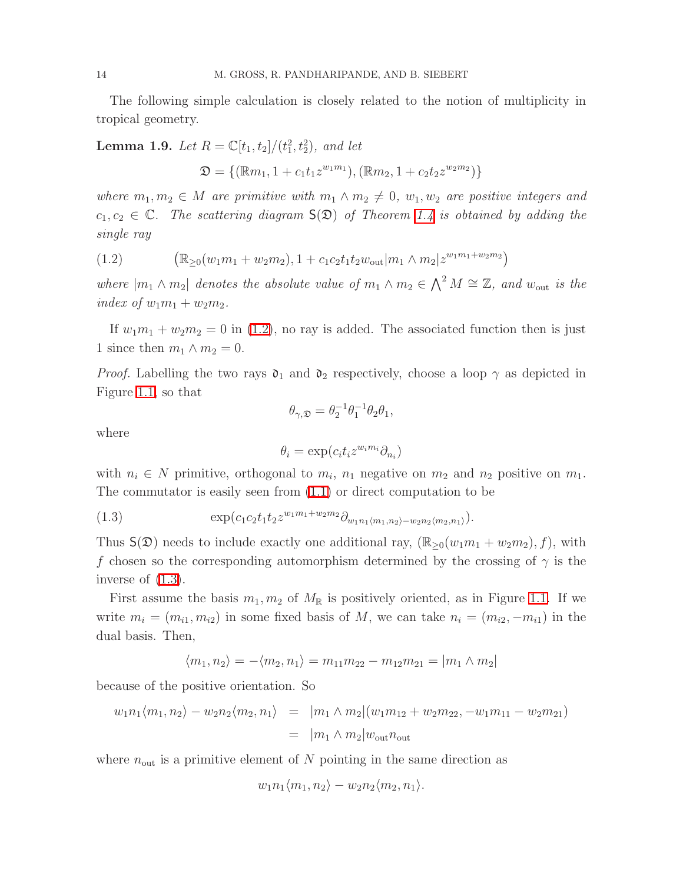<span id="page-13-2"></span>The following simple calculation is closely related to the notion of multiplicity in tropical geometry.

# **Lemma 1.9.** Let  $R = \mathbb{C}[t_1, t_2]/(t_1^2, t_2^2)$ , and let

 $\mathfrak{D} = \{(\mathbb{R}m_1, 1 + c_1t_1z^{w_1m_1}), (\mathbb{R}m_2, 1 + c_2t_2z^{w_2m_2})\}$ 

where  $m_1, m_2 \in M$  are primitive with  $m_1 \wedge m_2 \neq 0$ ,  $w_1, w_2$  are positive integers and  $c_1, c_2 \in \mathbb{C}$ . The scattering diagram  $S(\mathfrak{D})$  of Theorem [1.4](#page-9-1) is obtained by adding the single ray

<span id="page-13-0"></span>
$$
(1.2) \qquad (\mathbb{R}_{\geq 0}(w_1m_1+w_2m_2), 1+c_1c_2t_1t_2w_{\text{out}}|m_1\wedge m_2|z^{w_1m_1+w_2m_2})
$$

where  $|m_1 \wedge m_2|$  denotes the absolute value of  $m_1 \wedge m_2 \in \bigwedge^2 M \cong \mathbb{Z}$ , and  $w_{\text{out}}$  is the index of  $w_1m_1 + w_2m_2$ .

If  $w_1m_1 + w_2m_2 = 0$  in [\(1.2\)](#page-13-0), no ray is added. The associated function then is just 1 since then  $m_1 \wedge m_2 = 0$ .

*Proof.* Labelling the two rays  $\mathfrak{d}_1$  and  $\mathfrak{d}_2$  respectively, choose a loop  $\gamma$  as depicted in Figure [1.1,](#page-9-0) so that

$$
\theta_{\gamma,\mathfrak{D}} = \theta_2^{-1} \theta_1^{-1} \theta_2 \theta_1,
$$

where

$$
\theta_i = \exp(c_i t_i z^{w_i m_i} \partial_{n_i})
$$

<span id="page-13-1"></span>with  $n_i \in N$  primitive, orthogonal to  $m_i$ ,  $n_1$  negative on  $m_2$  and  $n_2$  positive on  $m_1$ . The commutator is easily seen from [\(1.1\)](#page-7-1) or direct computation to be

(1.3) 
$$
\exp(c_1c_2t_1t_2z^{w_1m_1+w_2m_2}\partial_{w_1n_1\langle m_1,n_2\rangle-w_2n_2\langle m_2,n_1\rangle}).
$$

Thus  $S(\mathfrak{D})$  needs to include exactly one additional ray,  $(\mathbb{R}_{>0}(w_1m_1 + w_2m_2), f)$ , with f chosen so the corresponding automorphism determined by the crossing of  $\gamma$  is the inverse of [\(1.3\)](#page-13-1).

First assume the basis  $m_1, m_2$  of  $M_{\mathbb{R}}$  is positively oriented, as in Figure [1.1.](#page-9-0) If we write  $m_i = (m_{i1}, m_{i2})$  in some fixed basis of M, we can take  $n_i = (m_{i2}, -m_{i1})$  in the dual basis. Then,

$$
\langle m_1, n_2 \rangle = -\langle m_2, n_1 \rangle = m_{11}m_{22} - m_{12}m_{21} = |m_1 \wedge m_2|
$$

because of the positive orientation. So

$$
w_1 n_1 \langle m_1, n_2 \rangle - w_2 n_2 \langle m_2, n_1 \rangle = |m_1 \wedge m_2| (w_1 m_{12} + w_2 m_{22}, -w_1 m_{11} - w_2 m_{21})
$$
  
=  $|m_1 \wedge m_2| w_{\text{out}} n_{\text{out}}$ 

where  $n_{\text{out}}$  is a primitive element of N pointing in the same direction as

$$
w_1n_1\langle m_1, n_2\rangle - w_2n_2\langle m_2, n_1\rangle.
$$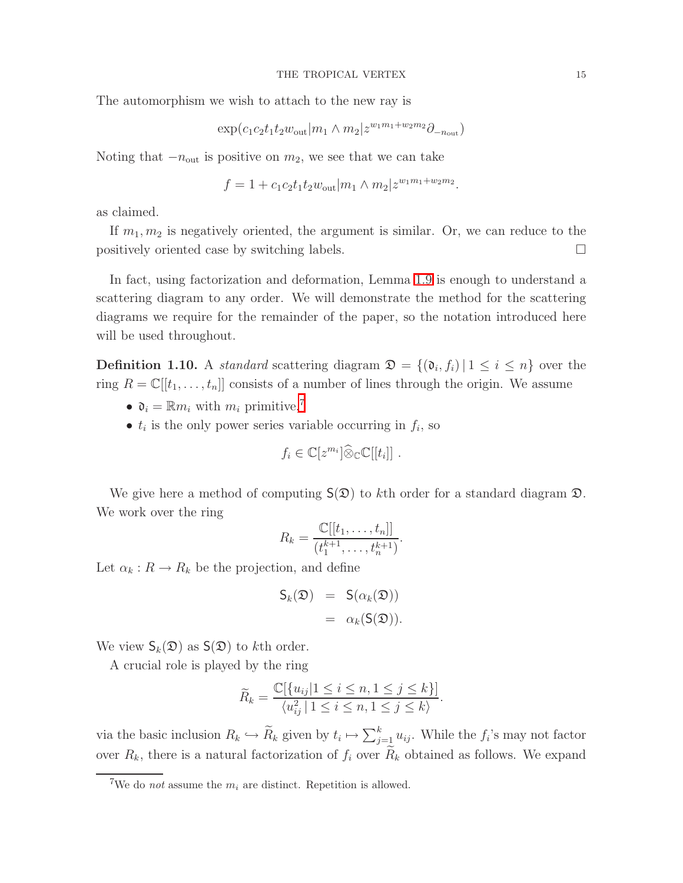The automorphism we wish to attach to the new ray is

$$
\exp(c_1c_2t_1t_2w_{\text{out}}|m_1\wedge m_2|z^{w_1m_1+w_2m_2}\partial_{-n_{\text{out}}})
$$

Noting that  $-n_{\text{out}}$  is positive on  $m_2$ , we see that we can take

$$
f = 1 + c_1 c_2 t_1 t_2 w_{\text{out}} |m_1 \wedge m_2| z^{w_1 m_1 + w_2 m_2}.
$$

as claimed.

If  $m_1, m_2$  is negatively oriented, the argument is similar. Or, we can reduce to the positively oriented case by switching labels.  $\Box$ 

In fact, using factorization and deformation, Lemma [1.9](#page-13-2) is enough to understand a scattering diagram to any order. We will demonstrate the method for the scattering diagrams we require for the remainder of the paper, so the notation introduced here will be used throughout.

<span id="page-14-1"></span>**Definition 1.10.** A *standard* scattering diagram  $\mathfrak{D} = \{(\mathfrak{d}_i, f_i) | 1 \leq i \leq n\}$  over the ring  $R = \mathbb{C}[[t_1,\ldots,t_n]]$  consists of a number of lines through the origin. We assume

- $\mathfrak{d}_i = \mathbb{R}m_i$  with  $m_i$  primitive,<sup>[7](#page-14-0)</sup>
- $t_i$  is the only power series variable occurring in  $f_i$ , so

$$
f_i \in \mathbb{C}[z^{m_i}] \widehat{\otimes}_{\mathbb{C}} \mathbb{C}[[t_i]] .
$$

We give here a method of computing  $S(\mathfrak{D})$  to kth order for a standard diagram  $\mathfrak{D}$ . We work over the ring

$$
R_k = \frac{\mathbb{C}[[t_1, \dots, t_n]]}{(t_1^{k+1}, \dots, t_n^{k+1})}.
$$

Let  $\alpha_k : R \to R_k$  be the projection, and define

$$
S_k(\mathfrak{D}) = S(\alpha_k(\mathfrak{D}))
$$
  
=  $\alpha_k(S(\mathfrak{D})).$ 

We view  $\mathsf{S}_k(\mathfrak{D})$  as  $\mathsf{S}(\mathfrak{D})$  to kth order.

A crucial role is played by the ring

$$
\widetilde{R}_k = \frac{\mathbb{C}[\{u_{ij}|1 \le i \le n, 1 \le j \le k\}]}{\langle u_{ij}^2 | 1 \le i \le n, 1 \le j \le k \rangle}.
$$

via the basic inclusion  $R_k \hookrightarrow \widetilde{R}_k$  given by  $t_i \mapsto \sum_{j=1}^k u_{ij}$ . While the  $f_i$ 's may not factor over  $R_k$ , there is a natural factorization of  $f_i$  over  $R_k$  obtained as follows. We expand

<span id="page-14-0"></span><sup>&</sup>lt;sup>7</sup>We do *not* assume the  $m_i$  are distinct. Repetition is allowed.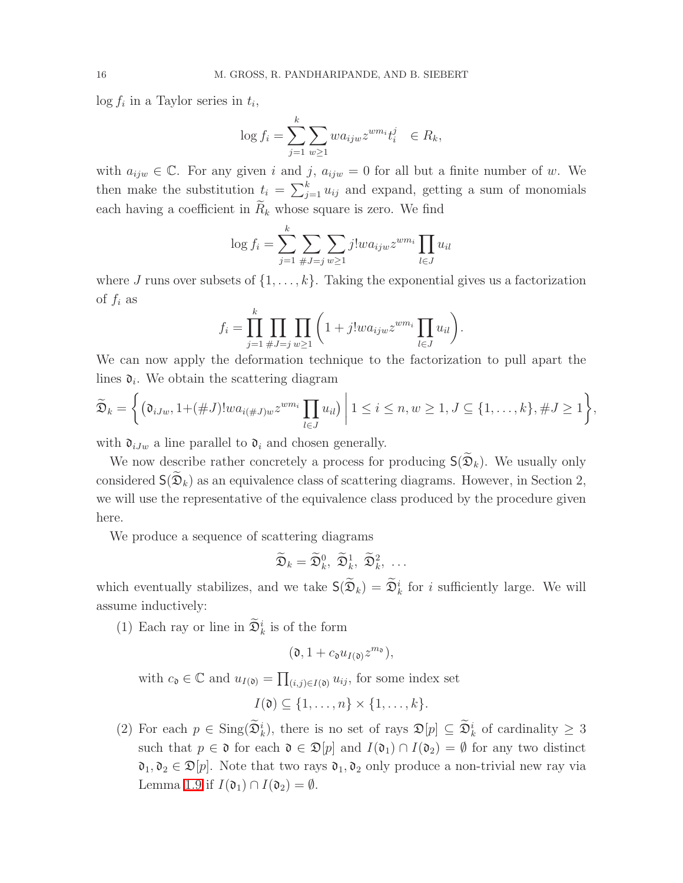$\log f_i$  in a Taylor series in  $t_i$ ,

$$
\log f_i = \sum_{j=1}^k \sum_{w \ge 1} w a_{ijw} z^{wm_i} t_i^j \quad \in R_k,
$$

with  $a_{ijw} \in \mathbb{C}$ . For any given i and j,  $a_{ijw} = 0$  for all but a finite number of w. We then make the substitution  $t_i = \sum_{j=1}^k u_{ij}$  and expand, getting a sum of monomials each having a coefficient in  $R_k$  whose square is zero. We find

$$
\log f_i = \sum_{j=1}^k \sum_{\#J=j} \sum_{w \ge 1} j! w a_{ijw} z^{wm_i} \prod_{l \in J} u_{il}
$$

where J runs over subsets of  $\{1, \ldots, k\}$ . Taking the exponential gives us a factorization of  $f_i$  as

$$
f_i = \prod_{j=1}^k \prod_{\#J=j} \prod_{w \ge 1} \left( 1 + j!wa_{ijw} z^{wm_i} \prod_{l \in J} u_{il} \right).
$$

We can now apply the deformation technique to the factorization to pull apart the lines  $\mathfrak{d}_i$ . We obtain the scattering diagram

$$
\widetilde{\mathfrak{D}}_k = \left\{ \left( \mathfrak{d}_{iJw}, 1 + (\#J)!wa_{i(\#J)w} z^{wm_i} \prod_{l \in J} u_{il} \right) \middle| 1 \leq i \leq n, w \geq 1, J \subseteq \{1, \ldots, k\}, \#J \geq 1 \right\},\
$$

with  $\mathfrak{d}_{iJw}$  a line parallel to  $\mathfrak{d}_i$  and chosen generally.

We now describe rather concretely a process for producing  $S(\widetilde{\mathfrak{D}}_k)$ . We usually only considered  $S(\widetilde{\mathfrak{D}}_k)$  as an equivalence class of scattering diagrams. However, in Section 2, we will use the representative of the equivalence class produced by the procedure given here.

We produce a sequence of scattering diagrams

$$
\widetilde{\mathfrak{D}}_k = \widetilde{\mathfrak{D}}^0_k, \ \widetilde{\mathfrak{D}}^1_k, \ \widetilde{\mathfrak{D}}^2_k, \ \ldots
$$

which eventually stabilizes, and we take  $\mathsf{S}(\widetilde{\mathfrak{D}}_k) = \widetilde{\mathfrak{D}}_k^i$  for i sufficiently large. We will assume inductively:

(1) Each ray or line in  $\mathfrak{D}_k^i$  is of the form

$$
(\mathfrak{d},1+c_{\mathfrak{d}}u_{I(\mathfrak{d})}z^{m_{\mathfrak{d}}}),
$$

with  $c_{\mathfrak{d}} \in \mathbb{C}$  and  $u_{I(\mathfrak{d})} = \prod_{(i,j) \in I(\mathfrak{d})} u_{ij}$ , for some index set  $I(\mathfrak{d}) \subset \{1, \ldots, n\} \times \{1, \ldots, k\}.$ 

(2) For each  $p \in \text{Sing}(\mathfrak{D}_k^i)$ , there is no set of rays  $\mathfrak{D}[p] \subseteq \mathfrak{D}_k^i$  of cardinality  $\geq 3$ such that  $p \in \mathfrak{d}$  for each  $\mathfrak{d} \in \mathfrak{D}[p]$  and  $I(\mathfrak{d}_1) \cap I(\mathfrak{d}_2) = \emptyset$  for any two distinct  $\mathfrak{d}_1, \mathfrak{d}_2 \in \mathfrak{D}[p]$ . Note that two rays  $\mathfrak{d}_1, \mathfrak{d}_2$  only produce a non-trivial new ray via Lemma [1.9](#page-13-2) if  $I(\mathfrak{d}_1) \cap I(\mathfrak{d}_2) = \emptyset$ .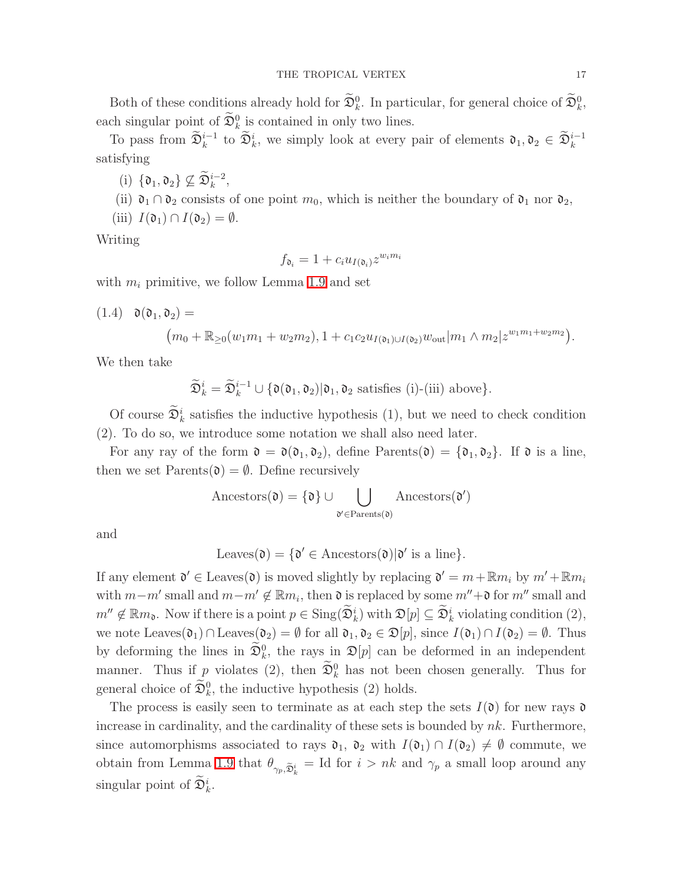Both of these conditions already hold for  $\mathfrak{D}_k^0$ . In particular, for general choice of  $\mathfrak{D}_k^0$ , each singular point of  $\mathfrak{D}_k^0$  is contained in only two lines.

To pass from  $\widetilde{\mathfrak{D}}_k^{i-1}$  to  $\widetilde{\mathfrak{D}}_k^i$ , we simply look at every pair of elements  $\mathfrak{d}_1, \mathfrak{d}_2 \in \widetilde{\mathfrak{D}}_k^{i-1}$ satisfying

- (i)  $\{\mathfrak{d}_1, \mathfrak{d}_2\} \not\subseteq \widetilde{\mathfrak{D}}_k^{i-2}$ ,
- (ii)  $\mathfrak{d}_1 \cap \mathfrak{d}_2$  consists of one point  $m_0$ , which is neither the boundary of  $\mathfrak{d}_1$  nor  $\mathfrak{d}_2$ ,
- (iii)  $I(\mathfrak{d}_1) \cap I(\mathfrak{d}_2) = \emptyset$ .

Writing

$$
f_{\mathfrak{d}_i} = 1 + c_i u_{I(\mathfrak{d}_i)} z^{w_i m_i}
$$

<span id="page-16-0"></span>with  $m_i$  primitive, we follow Lemma [1.9](#page-13-2) and set

 $(1.4)$   $\mathfrak{d}(\mathfrak{d}_1, \mathfrak{d}_2) =$  $(m_0 + \mathbb{R}_{\geq 0}(w_1m_1 + w_2m_2), 1 + c_1c_2u_{I(\mathfrak{d}_1)\cup I(\mathfrak{d}_2)}w_{\text{out}}|m_1 \wedge m_2|z^{w_1m_1 + w_2m_2}).$ 

We then take

$$
\widetilde{\mathfrak{D}}_k^i = \widetilde{\mathfrak{D}}_k^{i-1} \cup \{ \mathfrak{d}(\mathfrak{d}_1, \mathfrak{d}_2) | \mathfrak{d}_1, \mathfrak{d}_2 \text{ satisfies (i)-(iii) above} \}.
$$

Of course  $\mathfrak{D}_k^i$  satisfies the inductive hypothesis (1), but we need to check condition (2). To do so, we introduce some notation we shall also need later.

For any ray of the form  $\mathfrak{d} = \mathfrak{d}(\mathfrak{d}_1, \mathfrak{d}_2)$ , define Parents $(\mathfrak{d}) = {\mathfrak{d}_1, \mathfrak{d}_2}$ . If  $\mathfrak{d}$  is a line, then we set  $Parents(\mathfrak{d}) = \emptyset$ . Define recursively

$$
\mathrm{Anceators}(\mathfrak{d}) = \{\mathfrak{d}\} \cup \bigcup_{\mathfrak{d}' \in \mathrm{Parents}(\mathfrak{d})} \mathrm{Anceators}(\mathfrak{d}')
$$

and

$$
\mathrm{Leaves}(\mathfrak{d})=\{\mathfrak{d}'\in\mathrm{Ancestors}(\mathfrak{d})|\mathfrak{d}'\;\mathrm{is}\;\mathrm{a}\;\mathrm{line}\}.
$$

If any element  $\mathfrak{d}' \in \text{Leaves}(\mathfrak{d})$  is moved slightly by replacing  $\mathfrak{d}' = m + \mathbb{R}m_i$  by  $m' + \mathbb{R}m_i$ with  $m-m'$  small and  $m-m' \notin \mathbb{R}m_i$ , then  $\mathfrak{d}$  is replaced by some  $m''+\mathfrak{d}$  for  $m''$  small and  $m'' \notin \mathbb{R}m_0$ . Now if there is a point  $p \in \text{Sing}(\mathcal{D}_k^i)$  with  $\mathcal{D}[p] \subseteq \mathcal{D}_k^i$  violating condition  $(2)$ , we note Leaves $(\mathfrak{d}_1) \cap \text{Leaves}(\mathfrak{d}_2) = \emptyset$  for all  $\mathfrak{d}_1, \mathfrak{d}_2 \in \mathfrak{D}[p]$ , since  $I(\mathfrak{d}_1) \cap I(\mathfrak{d}_2) = \emptyset$ . Thus by deforming the lines in  $\mathfrak{D}_k^0$ , the rays in  $\mathfrak{D}[p]$  can be deformed in an independent manner. Thus if  $p$  violates (2), then  $\mathfrak{D}_k^0$  has not been chosen generally. Thus for general choice of  $\mathfrak{D}_{k}^{0}$ , the inductive hypothesis (2) holds.

The process is easily seen to terminate as at each step the sets  $I(\mathfrak{d})$  for new rays  $\mathfrak{d}$ increase in cardinality, and the cardinality of these sets is bounded by  $nk$ . Furthermore, since automorphisms associated to rays  $\mathfrak{d}_1$ ,  $\mathfrak{d}_2$  with  $I(\mathfrak{d}_1) \cap I(\mathfrak{d}_2) \neq \emptyset$  commute, we obtain from Lemma [1.9](#page-13-2) that  $\theta_{\gamma_p,\widetilde{D}_k^i} = \text{Id}$  for  $i > nk$  and  $\gamma_p$  a small loop around any singular point of  $\mathfrak{D}_k^i$ .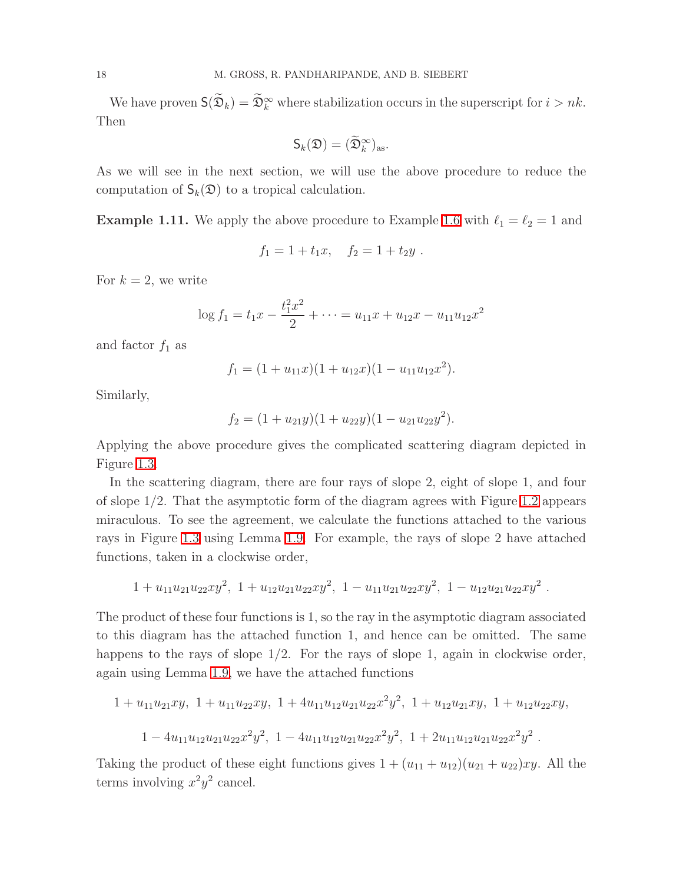We have proven  $\mathsf{S}(\widetilde{\mathfrak{D}}_k) = \widetilde{\mathfrak{D}}_k^{\infty}$  where stabilization occurs in the superscript for  $i > nk$ . Then

$$
\mathsf{S}_k(\mathfrak{D}) = (\widetilde{\mathfrak{D}}_k^{\infty})_{\mathrm{as}}.
$$

<span id="page-17-0"></span>As we will see in the next section, we will use the above procedure to reduce the computation of  $\mathsf{S}_k(\mathfrak{D})$  to a tropical calculation.

**Example 1.11.** We apply the above procedure to Example [1.6](#page-10-0) with  $\ell_1 = \ell_2 = 1$  and

$$
f_1 = 1 + t_1 x, \quad f_2 = 1 + t_2 y \; .
$$

For  $k = 2$ , we write

$$
\log f_1 = t_1 x - \frac{t_1^2 x^2}{2} + \dots = u_{11} x + u_{12} x - u_{11} u_{12} x^2
$$

and factor  $f_1$  as

$$
f_1 = (1 + u_{11}x)(1 + u_{12}x)(1 - u_{11}u_{12}x^2).
$$

Similarly,

$$
f_2 = (1 + u_{21}y)(1 + u_{22}y)(1 - u_{21}u_{22}y^2).
$$

Applying the above procedure gives the complicated scattering diagram depicted in Figure [1.3.](#page-18-2)

In the scattering diagram, there are four rays of slope 2, eight of slope 1, and four of slope 1/2. That the asymptotic form of the diagram agrees with Figure [1.2](#page-11-1) appears miraculous. To see the agreement, we calculate the functions attached to the various rays in Figure [1.3](#page-18-2) using Lemma [1.9.](#page-13-2) For example, the rays of slope 2 have attached functions, taken in a clockwise order,

$$
1 + u_{11}u_{21}u_{22}xy^2, \ 1 + u_{12}u_{21}u_{22}xy^2, \ 1 - u_{11}u_{21}u_{22}xy^2, \ 1 - u_{12}u_{21}u_{22}xy^2.
$$

The product of these four functions is 1, so the ray in the asymptotic diagram associated to this diagram has the attached function 1, and hence can be omitted. The same happens to the rays of slope  $1/2$ . For the rays of slope 1, again in clockwise order, again using Lemma [1.9,](#page-13-2) we have the attached functions

$$
1 + u_{11}u_{21}xy, \ 1 + u_{11}u_{22}xy, \ 1 + 4u_{11}u_{12}u_{21}u_{22}x^2y^2, \ 1 + u_{12}u_{21}xy, \ 1 + u_{12}u_{22}xy,
$$
  

$$
1 - 4u_{11}u_{12}u_{21}u_{22}x^2y^2, \ 1 - 4u_{11}u_{12}u_{21}u_{22}x^2y^2, \ 1 + 2u_{11}u_{12}u_{21}u_{22}x^2y^2.
$$

Taking the product of these eight functions gives  $1 + (u_{11} + u_{12})(u_{21} + u_{22})xy$ . All the terms involving  $x^2y^2$  cancel.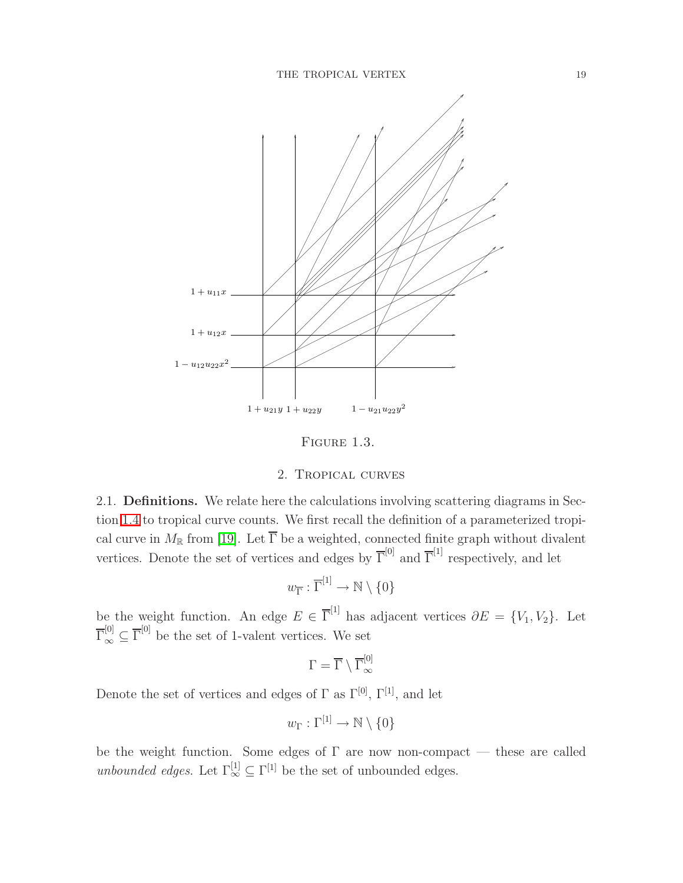

<span id="page-18-2"></span>FIGURE 1.3.

## 2. Tropical curves

<span id="page-18-1"></span><span id="page-18-0"></span>2.1. Definitions. We relate here the calculations involving scattering diagrams in Section [1.4](#page-12-0) to tropical curve counts. We first recall the definition of a parameterized tropical curve in  $M_{\mathbb{R}}$  from [\[19\]](#page-57-4). Let  $\Gamma$  be a weighted, connected finite graph without divalent vertices. Denote the set of vertices and edges by  $\overline{\Gamma}^{[0]}$  and  $\overline{\Gamma}^{[1]}$  respectively, and let

$$
w_{\overline{\Gamma}}:\overline{\Gamma}^{[1]}\to\mathbb{N}\setminus\{0\}
$$

be the weight function. An edge  $E \in \overline{\Gamma}^{[1]}$  has adjacent vertices  $\partial E = \{V_1, V_2\}$ . Let  $\overline{\Gamma}_{\infty}^{[0]} \subseteq \overline{\Gamma}^{[0]}$  be the set of 1-valent vertices. We set

$$
\Gamma = \overline{\Gamma} \setminus \overline{\Gamma}^{[0]}_{\infty}
$$

Denote the set of vertices and edges of  $\Gamma$  as  $\Gamma^{[0]}$ ,  $\Gamma^{[1]}$ , and let

$$
w_{\Gamma}: \Gamma^{[1]} \to \mathbb{N} \setminus \{0\}
$$

be the weight function. Some edges of Γ are now non-compact — these are called unbounded edges. Let  $\Gamma_{\infty}^{[1]} \subseteq \Gamma^{[1]}$  be the set of unbounded edges.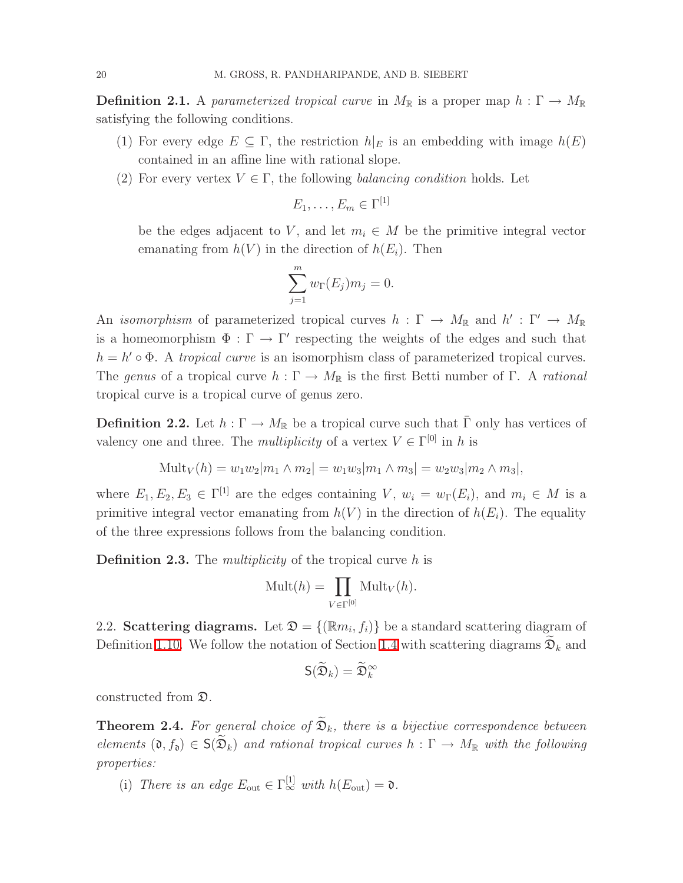**Definition 2.1.** A parameterized tropical curve in  $M_{\mathbb{R}}$  is a proper map  $h : \Gamma \to M_{\mathbb{R}}$ satisfying the following conditions.

- (1) For every edge  $E \subseteq \Gamma$ , the restriction  $h|_E$  is an embedding with image  $h(E)$ contained in an affine line with rational slope.
- (2) For every vertex  $V \in \Gamma$ , the following *balancing condition* holds. Let

$$
E_1,\ldots,E_m\in\Gamma^{[1]}
$$

be the edges adjacent to V, and let  $m_i \in M$  be the primitive integral vector emanating from  $h(V)$  in the direction of  $h(E_i)$ . Then

$$
\sum_{j=1}^{m} w_{\Gamma}(E_j) m_j = 0.
$$

An *isomorphism* of parameterized tropical curves  $h : \Gamma \to M_{\mathbb{R}}$  and  $h' : \Gamma' \to M_{\mathbb{R}}$ is a homeomorphism  $\Phi : \Gamma \to \Gamma'$  respecting the weights of the edges and such that  $h = h' \circ \Phi$ . A tropical curve is an isomorphism class of parameterized tropical curves. The genus of a tropical curve  $h : \Gamma \to M_{\mathbb{R}}$  is the first Betti number of  $\Gamma$ . A rational tropical curve is a tropical curve of genus zero.

<span id="page-19-2"></span>**Definition 2.2.** Let  $h : \Gamma \to M_{\mathbb{R}}$  be a tropical curve such that  $\overline{\Gamma}$  only has vertices of valency one and three. The *multiplicity* of a vertex  $V \in \Gamma^{[0]}$  in h is

$$
Mult_V(h) = w_1w_2|m_1 \wedge m_2| = w_1w_3|m_1 \wedge m_3| = w_2w_3|m_2 \wedge m_3|,
$$

where  $E_1, E_2, E_3 \in \Gamma^{[1]}$  are the edges containing V,  $w_i = w_{\Gamma}(E_i)$ , and  $m_i \in M$  is a primitive integral vector emanating from  $h(V)$  in the direction of  $h(E_i)$ . The equality of the three expressions follows from the balancing condition.

**Definition 2.3.** The *multiplicity* of the tropical curve  $h$  is

$$
\text{Mult}(h) = \prod_{V \in \Gamma^{[0]}} \text{Mult}_V(h).
$$

<span id="page-19-0"></span>2.2. Scattering diagrams. Let  $\mathfrak{D} = \{(\mathbb{R}m_i, f_i)\}\$  be a standard scattering diagram of Definition [1.10.](#page-14-1) We follow the notation of Section [1.4](#page-12-0) with scattering diagrams  $\mathfrak{D}_k$  and

$$
\mathsf{S}(\widetilde{\mathfrak{D}}_k) = \widetilde{\mathfrak{D}}_k^{\infty}
$$

<span id="page-19-1"></span>constructed from D.

**Theorem 2.4.** For general choice of  $\widetilde{\mathfrak{D}}_k$ , there is a bijective correspondence between elements  $(\mathfrak{d}, f_{\mathfrak{d}}) \in S(\mathfrak{D}_k)$  and rational tropical curves  $h : \Gamma \to M_{\mathbb{R}}$  with the following properties:

(i) There is an edge  $E_{\text{out}} \in \Gamma_{\infty}^{[1]}$  with  $h(E_{\text{out}}) = \mathfrak{d}$ .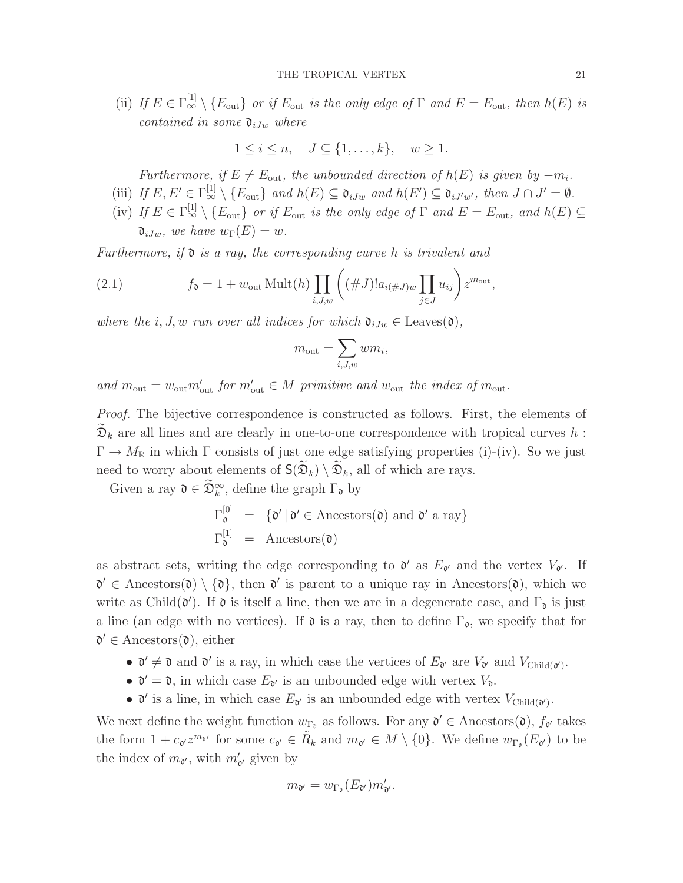(ii) If  $E \in \Gamma_{\infty}^{[1]} \setminus \{E_{\text{out}}\}$  or if  $E_{\text{out}}$  is the only edge of  $\Gamma$  and  $E = E_{\text{out}}$ , then  $h(E)$  is contained in some  $\mathfrak{d}_{iJw}$  where

$$
1 \leq i \leq n, \quad J \subseteq \{1, \ldots, k\}, \quad w \geq 1.
$$

Furthermore, if  $E \neq E_{\text{out}}$ , the unbounded direction of  $h(E)$  is given by  $-m_i$ .

- (iii) If  $E, E' \in \Gamma_{\infty}^{[1]} \setminus \{E_{\text{out}}\}$  and  $h(E) \subseteq \mathfrak{d}_{iJw}$  and  $h(E') \subseteq \mathfrak{d}_{iJ'w'}$ , then  $J \cap J' = \emptyset$ .
- (iv) If  $E \in \Gamma_{\infty}^{[1]} \setminus \{E_{\text{out}}\}$  or if  $E_{\text{out}}$  is the only edge of  $\Gamma$  and  $E = E_{\text{out}}$ , and  $h(E) \subseteq$  $\mathfrak{d}_{iJw}$ , we have  $w_{\Gamma}(E) = w$ .

<span id="page-20-0"></span>Furthermore, if  $\mathfrak d$  is a ray, the corresponding curve h is trivalent and

(2.1) 
$$
f_{\mathfrak{d}} = 1 + w_{\text{out}} \operatorname{Mult}(h) \prod_{i,J,w} \left( (\# J)! a_{i(\# J)w} \prod_{j \in J} u_{ij} \right) z^{m_{\text{out}}},
$$

where the i, J, w run over all indices for which  $\mathfrak{d}_{iJw} \in \text{Leaves}(\mathfrak{d})$ ,

$$
m_{\rm out} = \sum_{i,J,w} w m_i,
$$

and  $m_{\text{out}} = w_{\text{out}} m'_{\text{out}}$  for  $m'_{\text{out}} \in M$  primitive and  $w_{\text{out}}$  the index of  $m_{\text{out}}$ .

Proof. The bijective correspondence is constructed as follows. First, the elements of  $\mathfrak{D}_k$  are all lines and are clearly in one-to-one correspondence with tropical curves h:  $\Gamma \to M_{\mathbb{R}}$  in which  $\Gamma$  consists of just one edge satisfying properties (i)-(iv). So we just need to worry about elements of  $S(\overline{\mathfrak{D}}_k) \setminus \overline{\mathfrak{D}}_k$ , all of which are rays.

Given a ray  $\mathfrak{d} \in \mathfrak{D}_k^{\infty}$ , define the graph  $\Gamma_{\mathfrak{d}}$  by

$$
\Gamma_{\mathfrak{d}}^{[0]} = \{ \mathfrak{d}' \, | \, \mathfrak{d}' \in \text{Ancestors}(\mathfrak{d}) \text{ and } \mathfrak{d}' \text{ a ray} \}
$$
  

$$
\Gamma_{\mathfrak{d}}^{[1]} = \text{Ancestors}(\mathfrak{d})
$$

as abstract sets, writing the edge corresponding to  $\mathfrak{d}'$  as  $E_{\mathfrak{d}'}$  and the vertex  $V_{\mathfrak{d}'}$ . If  $\mathfrak{d}' \in \text{Ancestors}(\mathfrak{d}) \setminus \{\mathfrak{d}\},\$  then  $\mathfrak{d}'$  is parent to a unique ray in Ancestors $(\mathfrak{d})$ , which we write as Child( $\mathfrak{d}'$ ). If  $\mathfrak d$  is itself a line, then we are in a degenerate case, and  $\Gamma_{\mathfrak d}$  is just a line (an edge with no vertices). If  $\mathfrak d$  is a ray, then to define  $\Gamma_{\mathfrak d}$ , we specify that for  $\mathfrak{d}' \in \text{Anceators}(\mathfrak{d})$ , either

- $\mathfrak{d}' \neq \mathfrak{d}$  and  $\mathfrak{d}'$  is a ray, in which case the vertices of  $E_{\mathfrak{d}'}$  are  $V_{\mathfrak{d}'}$  and  $V_{\text{Child}(\mathfrak{d}')}$ .
- $\mathfrak{d}' = \mathfrak{d}$ , in which case  $E_{\mathfrak{d}'}$  is an unbounded edge with vertex  $V_{\mathfrak{d}}$ .
- $\mathfrak{d}'$  is a line, in which case  $E_{\mathfrak{d}'}$  is an unbounded edge with vertex  $V_{\text{Child}(\mathfrak{d}')}$ .

We next define the weight function  $w_{\Gamma_{\mathfrak{d}}}$  as follows. For any  $\mathfrak{d}' \in \text{Anceators}(\mathfrak{d})$ ,  $f_{\mathfrak{d}'}$  takes the form  $1 + c_{\mathfrak{d}'} z^{m_{\mathfrak{d}'}}$  for some  $c_{\mathfrak{d}'} \in \tilde{R}_k$  and  $m_{\mathfrak{d}'} \in M \setminus \{0\}$ . We define  $w_{\Gamma_{\mathfrak{d}}}(E_{\mathfrak{d}'})$  to be the index of  $m_{\mathfrak{d}'}$ , with  $m'_{\mathfrak{d}'}$  given by

$$
m_{\mathfrak{d}'} = w_{\Gamma_{\mathfrak{d}}}(E_{\mathfrak{d}'})m'_{\mathfrak{d}'}.
$$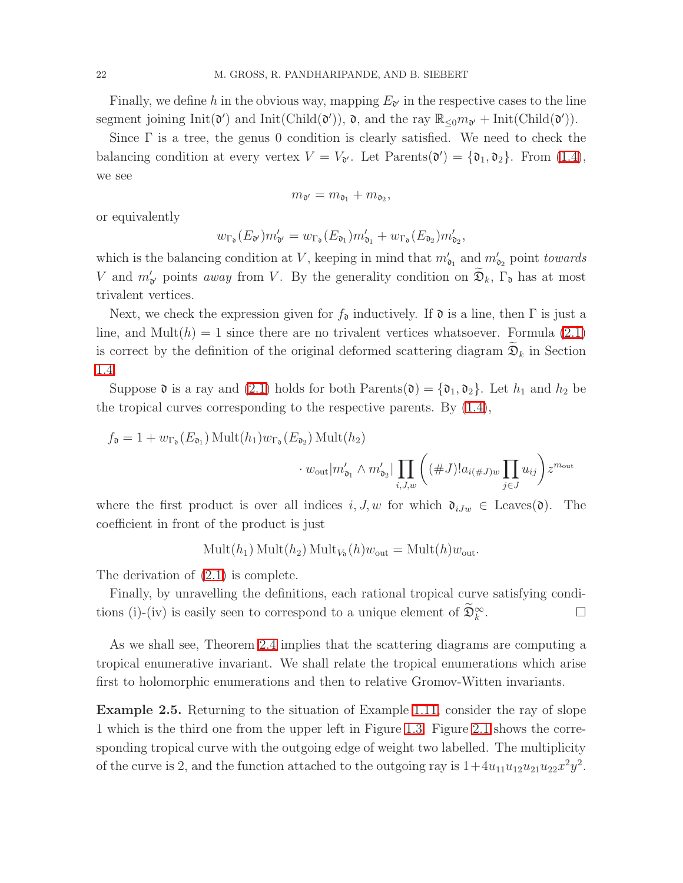Finally, we define h in the obvious way, mapping  $E_{\mathfrak{d}'}$  in the respective cases to the line segment joining  $Init(\mathfrak{d}')$  and  $Init(Child(\mathfrak{d}'))$ ,  $\mathfrak{d}$ , and the ray  $\mathbb{R}_{\leq 0}m_{\mathfrak{d}'} +Init(Child(\mathfrak{d}'))$ .

Since  $\Gamma$  is a tree, the genus 0 condition is clearly satisfied. We need to check the balancing condition at every vertex  $V = V_{\mathfrak{d}}$ . Let Parents $(\mathfrak{d}') = {\mathfrak{d}}_1, \mathfrak{d}_2$ . From [\(1.4\)](#page-16-0), we see

$$
m_{\mathfrak{d}'}=m_{\mathfrak{d}_1}+m_{\mathfrak{d}_2},
$$

or equivalently

$$
w_{\Gamma_{\mathfrak{d}}}(E_{\mathfrak{d}'})m'_{\mathfrak{d}'}=w_{\Gamma_{\mathfrak{d}}}(E_{\mathfrak{d}_1})m'_{\mathfrak{d}_1}+w_{\Gamma_{\mathfrak{d}}}(E_{\mathfrak{d}_2})m'_{\mathfrak{d}_2},
$$

which is the balancing condition at V, keeping in mind that  $m'_{o_1}$  and  $m'_{o_2}$  point *towards* V and  $m'_{\mathfrak{d}'}$  points away from V. By the generality condition on  $\mathfrak{D}_k$ ,  $\Gamma_{\mathfrak{d}}$  has at most trivalent vertices.

Next, we check the expression given for  $f_{\mathfrak{d}}$  inductively. If  $\mathfrak{d}$  is a line, then  $\Gamma$  is just a line, and  $Mult(h) = 1$  since there are no trivalent vertices whatsoever. Formula [\(2.1\)](#page-20-0) is correct by the definition of the original deformed scattering diagram  $\mathfrak{D}_k$  in Section [1.4.](#page-12-0)

Suppose  $\mathfrak d$  is a ray and [\(2.1\)](#page-20-0) holds for both Parents( $\mathfrak d$ ) = { $\mathfrak d_1, \mathfrak d_2$ }. Let  $h_1$  and  $h_2$  be the tropical curves corresponding to the respective parents. By [\(1.4\)](#page-16-0),

$$
f_{\mathfrak{d}} = 1 + w_{\Gamma_{\mathfrak{d}}}(E_{\mathfrak{d}_1}) \operatorname{Mult}(h_1) w_{\Gamma_{\mathfrak{d}}}(E_{\mathfrak{d}_2}) \operatorname{Mult}(h_2)
$$

$$
\cdot w_{\operatorname{out}} |m'_{\mathfrak{d}_1} \wedge m'_{\mathfrak{d}_2}| \prod_{i,J,w} \left( (\# J)! a_{i(\# J)w} \prod_{j \in J} u_{ij} \right) z^{m_{\operatorname{out}}}
$$

where the first product is over all indices  $i, J, w$  for which  $\mathfrak{d}_{iJw} \in \text{Leaves}(\mathfrak{d})$ . The coefficient in front of the product is just

$$
\text{Mult}(h_1) \text{Mult}(h_2) \text{Mult}_{V_2}(h) w_{\text{out}} = \text{Mult}(h) w_{\text{out}}.
$$

The derivation of [\(2.1\)](#page-20-0) is complete.

Finally, by unravelling the definitions, each rational tropical curve satisfying conditions (i)-(iv) is easily seen to correspond to a unique element of  $\mathfrak{D}_k^{\infty}$ . — Первый проста в сервести в сервести в сервести в сервести в сервести в сервести в сервести в сервести в се<br>В сервести в сервести в сервести в сервести в сервести в сервести в сервести в сервести в сервести в сервести<br>

As we shall see, Theorem [2.4](#page-19-1) implies that the scattering diagrams are computing a tropical enumerative invariant. We shall relate the tropical enumerations which arise first to holomorphic enumerations and then to relative Gromov-Witten invariants.

Example 2.5. Returning to the situation of Example [1.11,](#page-17-0) consider the ray of slope 1 which is the third one from the upper left in Figure [1.3.](#page-18-2) Figure [2.1](#page-22-1) shows the corresponding tropical curve with the outgoing edge of weight two labelled. The multiplicity of the curve is 2, and the function attached to the outgoing ray is  $1+4u_{11}u_{12}u_{21}u_{22}x^2y^2$ .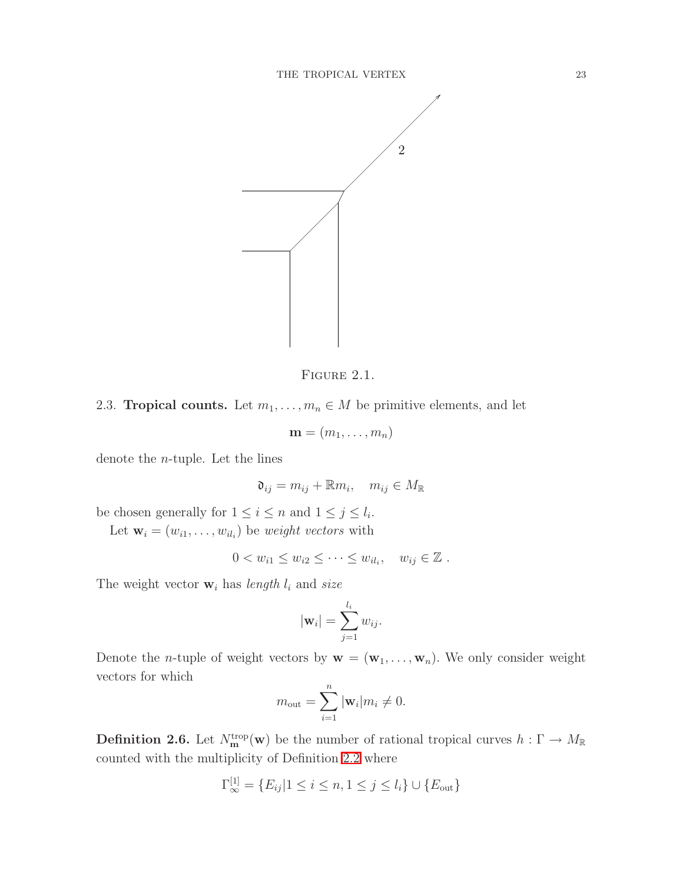

<span id="page-22-1"></span>FIGURE 2.1.

# <span id="page-22-0"></span>2.3. **Tropical counts.** Let  $m_1, \ldots, m_n \in M$  be primitive elements, and let

$$
\mathbf{m}=(m_1,\ldots,m_n)
$$

denote the n-tuple. Let the lines

$$
\mathfrak{d}_{ij} = m_{ij} + \mathbb{R}m_i, \quad m_{ij} \in M_{\mathbb{R}}
$$

be chosen generally for  $1 \leq i \leq n$  and  $1 \leq j \leq l_i$ .

Let  $\mathbf{w}_i = (w_{i1}, \dots, w_{il_i})$  be weight vectors with

$$
0 < w_{i1} \leq w_{i2} \leq \cdots \leq w_{il_i}, \quad w_{ij} \in \mathbb{Z} \ .
$$

The weight vector  $\mathbf{w}_i$  has length  $l_i$  and size

$$
|\mathbf{w}_i| = \sum_{j=1}^{l_i} w_{ij}.
$$

Denote the *n*-tuple of weight vectors by  $\mathbf{w} = (\mathbf{w}_1, \dots, \mathbf{w}_n)$ . We only consider weight vectors for which

$$
m_{\text{out}} = \sum_{i=1}^{n} |\mathbf{w}_i| m_i \neq 0.
$$

<span id="page-22-2"></span>**Definition 2.6.** Let  $N_{\mathbf{m}}^{\text{trop}}(\mathbf{w})$  be the number of rational tropical curves  $h : \Gamma \to M_{\mathbb{R}}$ counted with the multiplicity of Definition [2.2](#page-19-2) where

$$
\Gamma_{\infty}^{[1]} = \{ E_{ij} | 1 \le i \le n, 1 \le j \le l_i \} \cup \{ E_{\text{out}} \}
$$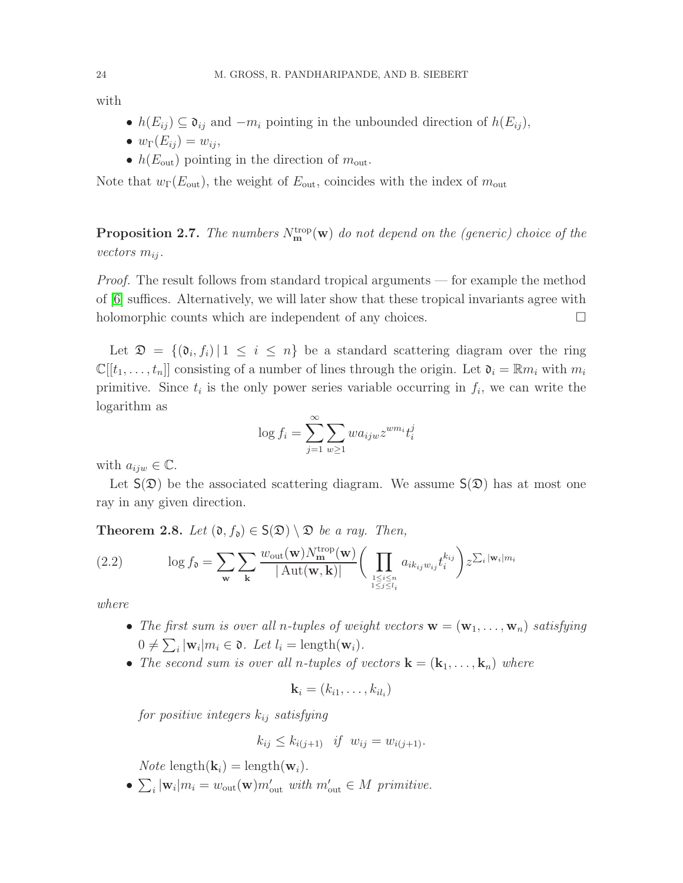with

- $h(E_{ij}) \subseteq \mathfrak{d}_{ij}$  and  $-m_i$  pointing in the unbounded direction of  $h(E_{ij})$ ,
- $w_{\Gamma}(E_{ii}) = w_{ii},$
- $h(E_{\text{out}})$  pointing in the direction of  $m_{\text{out}}$ .

Note that  $w_{\Gamma}(E_{\text{out}})$ , the weight of  $E_{\text{out}}$ , coincides with the index of  $m_{\text{out}}$ 

**Proposition 2.7.** The numbers  $N_{\mathbf{m}}^{\text{trop}}(\mathbf{w})$  do not depend on the (generic) choice of the vectors  $m_{ij}$ .

Proof. The result follows from standard tropical arguments — for example the method of [\[6\]](#page-57-7) suffices. Alternatively, we will later show that these tropical invariants agree with holomorphic counts which are independent of any choices.

Let  $\mathfrak{D} = \{(\mathfrak{d}_i, f_i) | 1 \leq i \leq n\}$  be a standard scattering diagram over the ring  $\mathbb{C}[[t_1,\ldots,t_n]]$  consisting of a number of lines through the origin. Let  $\mathfrak{d}_i = \mathbb{R}m_i$  with  $m_i$ primitive. Since  $t_i$  is the only power series variable occurring in  $f_i$ , we can write the logarithm as

$$
\log f_i = \sum_{j=1}^{\infty} \sum_{w \ge 1} w a_{ijw} z^{wm_i} t_i^j
$$

with  $a_{iiw} \in \mathbb{C}$ .

<span id="page-23-1"></span>Let  $S(\mathfrak{D})$  be the associated scattering diagram. We assume  $S(\mathfrak{D})$  has at most one ray in any given direction.

<span id="page-23-0"></span>**Theorem 2.8.** Let  $(\mathfrak{d}, f_{\mathfrak{d}}) \in S(\mathfrak{D}) \setminus \mathfrak{D}$  be a ray. Then,

(2.2) 
$$
\log f_{\mathfrak{d}} = \sum_{\mathbf{w}} \sum_{\mathbf{k}} \frac{w_{\text{out}}(\mathbf{w}) N_{\mathbf{m}}^{\text{trop}}(\mathbf{w})}{|\operatorname{Aut}(\mathbf{w}, \mathbf{k})|} \bigg( \prod_{1 \leq i \leq n \atop 1 \leq j \leq l_i} a_{ik_{ij}w_{ij}} t_i^{k_{ij}} \bigg) z^{\sum_i |\mathbf{w}_i| m_i}
$$

where

- The first sum is over all n-tuples of weight vectors  $\mathbf{w} = (\mathbf{w}_1, \dots, \mathbf{w}_n)$  satisfying  $0 \neq \sum_i |\mathbf{w}_i| m_i \in \mathfrak{d}$ . Let  $l_i = \text{length}(\mathbf{w}_i)$ .
- The second sum is over all n-tuples of vectors  $\mathbf{k} = (\mathbf{k}_1, \dots, \mathbf{k}_n)$  where

$$
\mathbf{k}_i = (k_{i1}, \ldots, k_{il_i})
$$

for positive integers  $k_{ij}$  satisfying

$$
k_{ij} \leq k_{i(j+1)}
$$
 if  $w_{ij} = w_{i(j+1)}$ .

*Note* length $(\mathbf{k}_i) = \text{length}(\mathbf{w}_i)$ .

•  $\sum_i |\mathbf{w}_i| m_i = w_{\text{out}}(\mathbf{w}) m'_{\text{out}}$  with  $m'_{\text{out}} \in M$  primitive.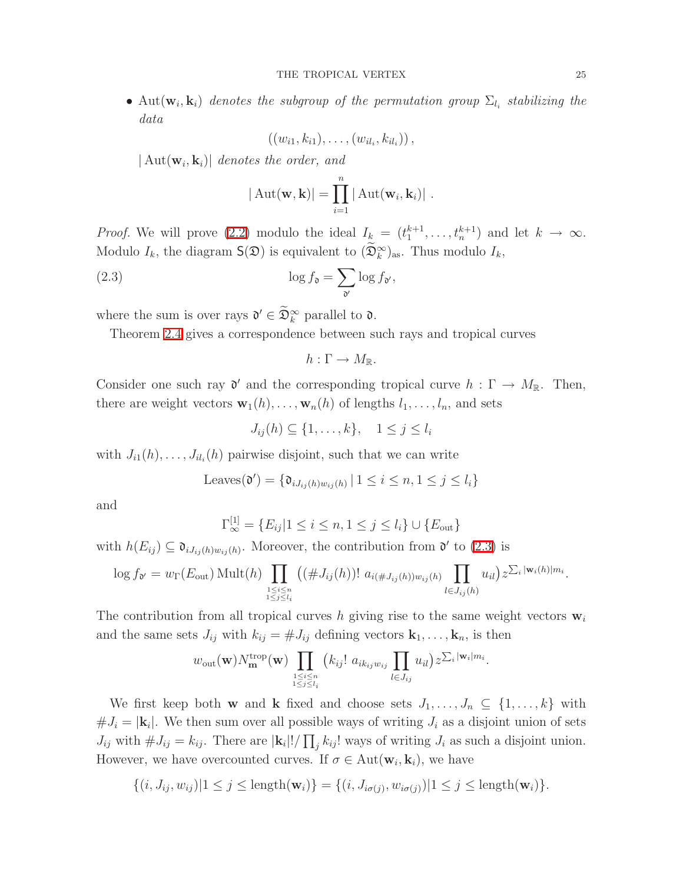• Aut $(\mathbf{w}_i, \mathbf{k}_i)$  denotes the subgroup of the permutation group  $\Sigma_{l_i}$  stabilizing the data

$$
((w_{i1},k_{i1}),\ldots,(w_{il_i},k_{il_i})),
$$

 $|\mathrm{Aut}(\mathbf{w}_i, \mathbf{k}_i)|$  denotes the order, and

<span id="page-24-0"></span>
$$
|\operatorname{Aut}(\mathbf{w},\mathbf{k})|=\prod_{i=1}^n|\operatorname{Aut}(\mathbf{w}_i,\mathbf{k}_i)|.
$$

*Proof.* We will prove [\(2.2\)](#page-23-0) modulo the ideal  $I_k = (t_1^{k+1}, \ldots, t_n^{k+1})$  and let  $k \to \infty$ . Modulo  $I_k$ , the diagram  $\mathsf{S}(\mathfrak{D})$  is equivalent to  $(\widetilde{\mathfrak{D}}_k^{\infty})_{\mathrm{as}}$ . Thus modulo  $I_k$ ,

(2.3) 
$$
\log f_{\mathfrak{d}} = \sum_{\mathfrak{d}'} \log f_{\mathfrak{d}'},
$$

where the sum is over rays  $\mathfrak{d}' \in \mathfrak{D}_k^{\infty}$  parallel to  $\mathfrak{d}$ .

Theorem [2.4](#page-19-1) gives a correspondence between such rays and tropical curves

$$
h:\Gamma\to M_{\mathbb{R}}.
$$

Consider one such ray  $\mathfrak{d}'$  and the corresponding tropical curve  $h : \Gamma \to M_{\mathbb{R}}$ . Then, there are weight vectors  $\mathbf{w}_1(h), \ldots, \mathbf{w}_n(h)$  of lengths  $l_1, \ldots, l_n$ , and sets

 $J_{ij}(h) \subseteq \{1, \ldots, k\}, \quad 1 \leq j \leq l_i$ 

with  $J_{i1}(h), \ldots, J_{il_i}(h)$  pairwise disjoint, such that we can write

Leaves
$$
(\mathfrak{d}') = \{ \mathfrak{d}_{iJ_{ij}(h)w_{ij}(h)} \mid 1 \leq i \leq n, 1 \leq j \leq l_i \}
$$

and

$$
\Gamma_{\infty}^{[1]} = \{E_{ij} | 1 \le i \le n, 1 \le j \le l_i\} \cup \{E_{\text{out}}\}
$$

with  $h(E_{ij}) \subseteq \mathfrak{d}_{iJ_{ij}(h)w_{ij}(h)}$ . Moreover, the contribution from  $\mathfrak{d}'$  to [\(2.3\)](#page-24-0) is

$$
\log f_{\mathfrak{d}'} = w_{\Gamma}(E_{\text{out}}) \operatorname{Mult}(h) \prod_{\substack{1 \leq i \leq n \\ 1 \leq j \leq l_i}} \left( (\#J_{ij}(h))! a_{i(\#J_{ij}(h))w_{ij}(h)} \prod_{l \in J_{ij}(h)} u_{il} \right) z^{\sum_i |\mathbf{w}_i(h)| m_i}.
$$

The contribution from all tropical curves h giving rise to the same weight vectors  $\mathbf{w}_i$ and the same sets  $J_{ij}$  with  $k_{ij} = #J_{ij}$  defining vectors  $\mathbf{k}_1, \ldots, \mathbf{k}_n$ , is then

$$
w_{\text{out}}(\mathbf{w})N_{\mathbf{m}}^{\text{trop}}(\mathbf{w})\prod_{\substack{1 \leq i \leq n \\ 1 \leq j \leq l_i}} (k_{ij}! a_{ik_{ij}w_{ij}} \prod_{l \in J_{ij}} u_{il}) z^{\sum_i |\mathbf{w}_i| m_i}.
$$

We first keep both **w** and **k** fixed and choose sets  $J_1, \ldots, J_n \subseteq \{1, \ldots, k\}$  with  $\#J_i = |\mathbf{k}_i|$ . We then sum over all possible ways of writing  $J_i$  as a disjoint union of sets  $J_{ij}$  with  $\#J_{ij} = k_{ij}$ . There are  $|\mathbf{k}_i|!/\prod_j k_{ij}!$  ways of writing  $J_i$  as such a disjoint union. However, we have overcounted curves. If  $\sigma \in \text{Aut}(\mathbf{w}_i, \mathbf{k}_i)$ , we have

$$
\{(i, J_{ij}, w_{ij})|1 \leq j \leq \text{length}(\mathbf{w}_i)\} = \{(i, J_{i\sigma(j)}, w_{i\sigma(j)})|1 \leq j \leq \text{length}(\mathbf{w}_i)\}.
$$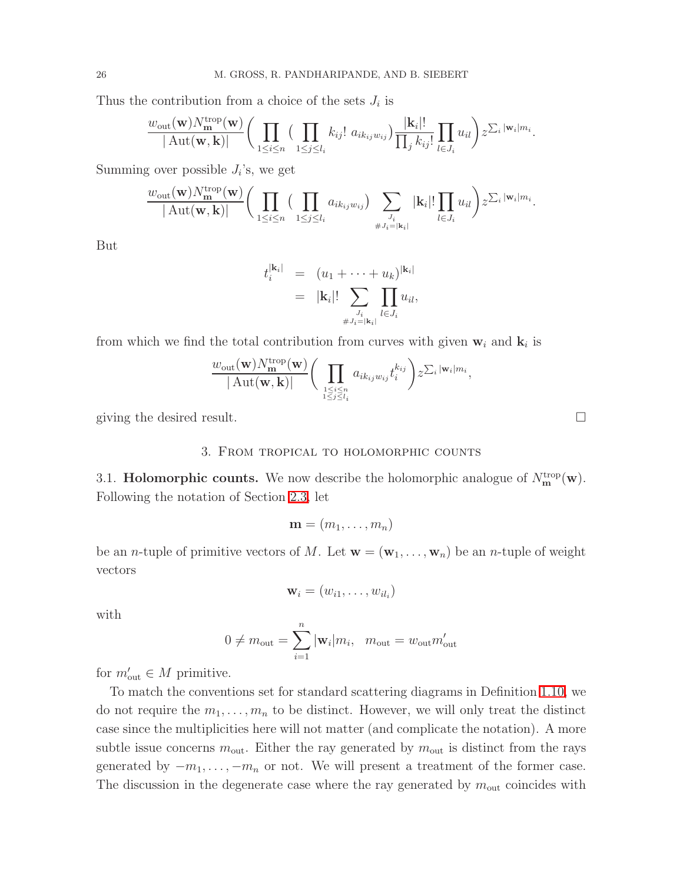Thus the contribution from a choice of the sets  $J_i$  is

$$
\frac{w_{\text{out}}(\mathbf{w})N_{\mathbf{m}}^{\text{trop}}(\mathbf{w})}{|\operatorname{Aut}(\mathbf{w}, \mathbf{k})|} \bigg(\prod_{1 \leq i \leq n} \big(\prod_{1 \leq j \leq l_i} k_{ij}! a_{ik_{ij}w_{ij}}\big) \frac{|\mathbf{k}_i|!}{\prod_j k_{ij}!} \prod_{l \in J_i} u_{il}\bigg) z^{\sum_i |\mathbf{w}_i| m_i}.
$$

Summing over possible  $J_i$ 's, we get

$$
\frac{w_{\text{out}}(\mathbf{w})N_{\mathbf{m}}^{\text{trop}}(\mathbf{w})}{|\operatorname{Aut}(\mathbf{w},\mathbf{k})|}\bigg(\prod_{1\leq i\leq n}(\prod_{1\leq j\leq l_i}a_{ik_{ij}w_{ij}})\sum_{J_i \atop \#J_i=|\mathbf{k}_i|}|\mathbf{k}_i|!\prod_{l\in J_i}u_{il}\bigg)z^{\sum_i|\mathbf{w}_i|m_i}.
$$

But

$$
t_i^{|\mathbf{k}_i|} = (u_1 + \cdots + u_k)^{|\mathbf{k}_i|}
$$
  
=  $|\mathbf{k}_i|! \sum_{J_i \atop \#J_i=|\mathbf{k}_i|} \prod_{l \in J_i} u_{il},$ 

from which we find the total contribution from curves with given  $w_i$  and  $k_i$  is

$$
\frac{w_{\text{out}}(\mathbf{w})N_{\mathbf{m}}^{\text{trop}}(\mathbf{w})}{|\operatorname{Aut}(\mathbf{w}, \mathbf{k})|} \bigg(\prod_{\substack{1 \leq i \leq n \\ 1 \leq j \leq l_i}} a_{ik_{ij}w_{ij}}t_i^{k_{ij}}\bigg) z^{\sum_i |\mathbf{w}_i|m_i},
$$

<span id="page-25-0"></span>giving the desired result.  $\Box$ 

## 3. From tropical to holomorphic counts

<span id="page-25-1"></span>3.1. Holomorphic counts. We now describe the holomorphic analogue of  $N_{\mathbf{m}}^{\text{trop}}(\mathbf{w})$ . Following the notation of Section [2.3,](#page-22-0) let

$$
\mathbf{m}=(m_1,\ldots,m_n)
$$

be an *n*-tuple of primitive vectors of M. Let  $\mathbf{w} = (\mathbf{w}_1, \dots, \mathbf{w}_n)$  be an *n*-tuple of weight vectors

$$
\mathbf{w}_i = (w_{i1}, \dots, w_{il_i})
$$

with

$$
0 \neq m_{\text{out}} = \sum_{i=1}^{n} |\mathbf{w}_i| m_i, \quad m_{\text{out}} = w_{\text{out}} m'_{\text{out}}
$$

for  $m'_{\text{out}} \in M$  primitive.

To match the conventions set for standard scattering diagrams in Definition [1.10,](#page-14-1) we do not require the  $m_1, \ldots, m_n$  to be distinct. However, we will only treat the distinct case since the multiplicities here will not matter (and complicate the notation). A more subtle issue concerns  $m_{\text{out}}$ . Either the ray generated by  $m_{\text{out}}$  is distinct from the rays generated by  $-m_1, \ldots, -m_n$  or not. We will present a treatment of the former case. The discussion in the degenerate case where the ray generated by  $m_{\text{out}}$  coincides with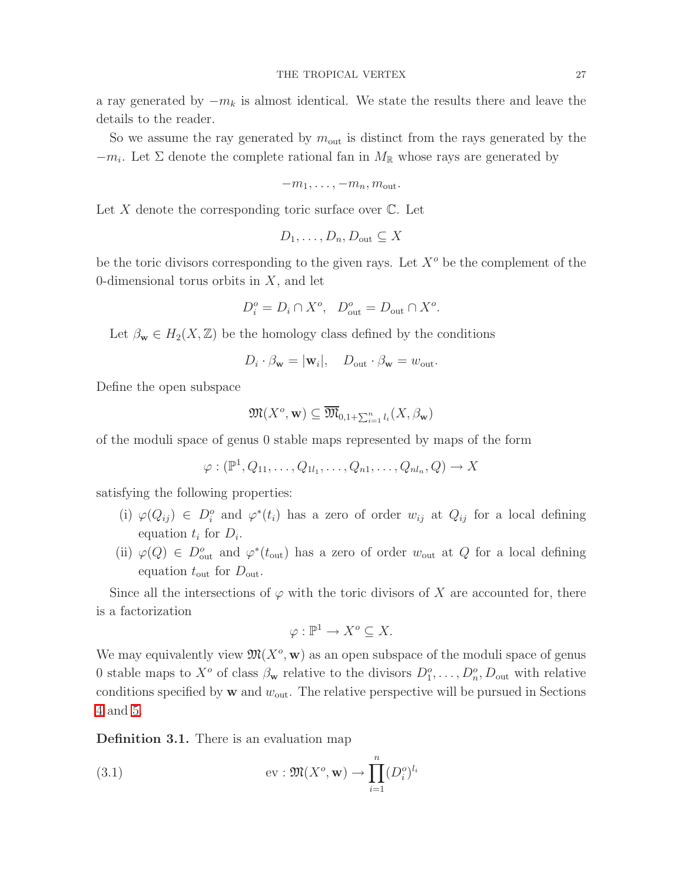a ray generated by  $-m_k$  is almost identical. We state the results there and leave the details to the reader.

So we assume the ray generated by  $m_{\text{out}}$  is distinct from the rays generated by the  $-m_i$ . Let  $\Sigma$  denote the complete rational fan in  $M_{\mathbb{R}}$  whose rays are generated by

$$
-m_1,\ldots,-m_n,m_{\rm out}.
$$

Let  $X$  denote the corresponding toric surface over  $\mathbb C$ . Let

$$
D_1,\ldots,D_n,D_{\text{out}}\subseteq X
$$

be the toric divisors corresponding to the given rays. Let  $X<sup>o</sup>$  be the complement of the 0-dimensional torus orbits in  $X$ , and let

$$
D_i^o = D_i \cap X^o, \quad D_{\text{out}}^o = D_{\text{out}} \cap X^o.
$$

Let  $\beta_{\mathbf{w}} \in H_2(X, \mathbb{Z})$  be the homology class defined by the conditions

$$
D_i \cdot \beta_{\mathbf{w}} = |\mathbf{w}_i|, \quad D_{\text{out}} \cdot \beta_{\mathbf{w}} = w_{\text{out}}.
$$

Define the open subspace

$$
\mathfrak{M}(X^o, \mathbf{w}) \subseteq \overline{\mathfrak{M}}_{0,1+\sum_{i=1}^n l_i}(X, \beta_{\mathbf{w}})
$$

of the moduli space of genus 0 stable maps represented by maps of the form

$$
\varphi : (\mathbb{P}^1, Q_{11}, \dots, Q_{1l_1}, \dots, Q_{n1}, \dots, Q_{nl_n}, Q) \to X
$$

satisfying the following properties:

- (i)  $\varphi(Q_{ij}) \in D_i^o$  and  $\varphi^*(t_i)$  has a zero of order  $w_{ij}$  at  $Q_{ij}$  for a local defining equation  $t_i$  for  $D_i$ .
- (ii)  $\varphi(Q) \in D_{\text{out}}^o$  and  $\varphi^*(t_{\text{out}})$  has a zero of order  $w_{\text{out}}$  at Q for a local defining equation  $t_{\text{out}}$  for  $D_{\text{out}}$ .

Since all the intersections of  $\varphi$  with the toric divisors of X are accounted for, there is a factorization

$$
\varphi : \mathbb{P}^1 \to X^o \subseteq X.
$$

We may equivalently view  $\mathfrak{M}(X^o, \mathbf{w})$  as an open subspace of the moduli space of genus 0 stable maps to  $X^o$  of class  $\beta_{\bf w}$  relative to the divisors  $D_1^o, \ldots, D_n^o, D_{\text{out}}$  with relative conditions specified by  $w$  and  $w_{\text{out}}$ . The relative perspective will be pursued in Sections [4](#page-29-1) and [5.](#page-37-0)

<span id="page-26-1"></span>Definition 3.1. There is an evaluation map

<span id="page-26-0"></span>(3.1) 
$$
\text{ev}: \mathfrak{M}(X^o, \mathbf{w}) \to \prod_{i=1}^n (D_i^o)^{l_i}
$$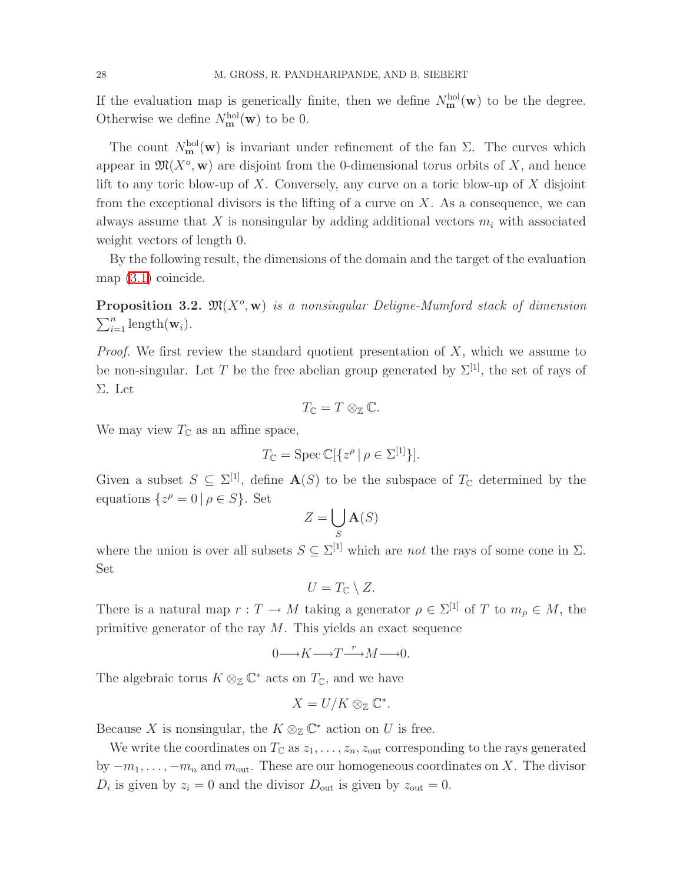If the evaluation map is generically finite, then we define  $N_{\mathbf{m}}^{\text{hol}}(\mathbf{w})$  to be the degree. Otherwise we define  $N_{\mathbf{m}}^{\text{hol}}(\mathbf{w})$  to be 0.

The count  $N_{\mathbf{m}}^{\text{hol}}(\mathbf{w})$  is invariant under refinement of the fan  $\Sigma$ . The curves which appear in  $\mathfrak{M}(X^o, \mathbf{w})$  are disjoint from the 0-dimensional torus orbits of X, and hence lift to any toric blow-up of X. Conversely, any curve on a toric blow-up of X disjoint from the exceptional divisors is the lifting of a curve on  $X$ . As a consequence, we can always assume that X is nonsingular by adding additional vectors  $m_i$  with associated weight vectors of length 0.

<span id="page-27-0"></span>By the following result, the dimensions of the domain and the target of the evaluation map [\(3.1\)](#page-26-0) coincide.

**Proposition 3.2.**  $\mathfrak{M}(X^o, \mathbf{w})$  is a nonsingular Deligne-Mumford stack of dimension  $\sum_{i=1}^n \text{length}(\mathbf{w}_i).$ 

*Proof.* We first review the standard quotient presentation of  $X$ , which we assume to be non-singular. Let T be the free abelian group generated by  $\Sigma^{[1]}$ , the set of rays of Σ. Let

$$
T_{\mathbb{C}}=T\otimes_{\mathbb{Z}}\mathbb{C}.
$$

We may view  $T_{\mathbb{C}}$  as an affine space,

$$
T_{\mathbb{C}} = \operatorname{Spec} \mathbb{C}[\{z^{\rho} \mid \rho \in \Sigma^{[1]}\}].
$$

Given a subset  $S \subseteq \Sigma^{[1]}$ , define  $\mathbf{A}(S)$  to be the subspace of  $T_{\mathbb{C}}$  determined by the equations  $\{z^{\rho} = 0 \mid \rho \in S\}$ . Set

$$
Z = \bigcup_{S} \mathbf{A}(S)
$$

where the union is over all subsets  $S \subseteq \Sigma^{[1]}$  which are *not* the rays of some cone in  $\Sigma$ . Set

$$
U=T_{\mathbb{C}}\setminus Z.
$$

There is a natural map  $r: T \to M$  taking a generator  $\rho \in \Sigma^{[1]}$  of T to  $m_{\rho} \in M$ , the primitive generator of the ray  $M$ . This yields an exact sequence

$$
0 \longrightarrow K \longrightarrow T \longrightarrow M \longrightarrow 0.
$$

The algebraic torus  $K \otimes_{\mathbb{Z}} \mathbb{C}^*$  acts on  $T_{\mathbb{C}}$ , and we have

$$
X=U/K\otimes_{\mathbb{Z}}\mathbb{C}^*.
$$

Because X is nonsingular, the  $K \otimes_{\mathbb{Z}} \mathbb{C}^*$  action on U is free.

We write the coordinates on  $T_c$  as  $z_1, \ldots, z_n, z_{\text{out}}$  corresponding to the rays generated by  $-m_1, \ldots, -m_n$  and  $m_{\text{out}}$ . These are our homogeneous coordinates on X. The divisor  $D_i$  is given by  $z_i = 0$  and the divisor  $D_{\text{out}}$  is given by  $z_{\text{out}} = 0$ .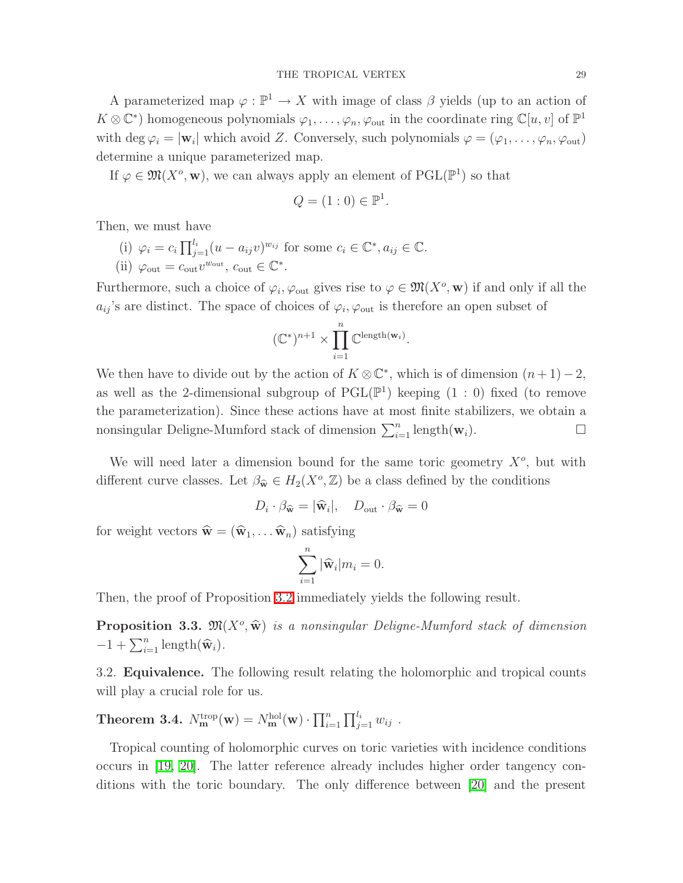A parameterized map  $\varphi : \mathbb{P}^1 \to X$  with image of class  $\beta$  yields (up to an action of  $K \otimes \mathbb{C}^*$ ) homogeneous polynomials  $\varphi_1, \ldots, \varphi_n, \varphi_{\text{out}}$  in the coordinate ring  $\mathbb{C}[u, v]$  of  $\mathbb{P}^1$ with deg  $\varphi_i = |\mathbf{w}_i|$  which avoid Z. Conversely, such polynomials  $\varphi = (\varphi_1, \dots, \varphi_n, \varphi_{\text{out}})$ determine a unique parameterized map.

If  $\varphi \in \mathfrak{M}(X^o, \mathbf{w})$ , we can always apply an element of  $\mathrm{PGL}(\mathbb{P}^1)$  so that

$$
Q = (1:0) \in \mathbb{P}^1.
$$

Then, we must have

(i)  $\varphi_i = c_i \prod_{j=1}^{l_i} (u - a_{ij}v)^{w_{ij}}$  for some  $c_i \in \mathbb{C}^*, a_{ij} \in \mathbb{C}$ . (ii)  $\varphi_{\text{out}} = c_{\text{out}} v^{w_{\text{out}}}, c_{\text{out}} \in \mathbb{C}^*.$ 

Furthermore, such a choice of  $\varphi_i$ ,  $\varphi_{\text{out}}$  gives rise to  $\varphi \in \mathfrak{M}(X^o, \mathbf{w})$  if and only if all the  $a_{ij}$ 's are distinct. The space of choices of  $\varphi_i$ ,  $\varphi_{\text{out}}$  is therefore an open subset of

$$
(\mathbb{C}^*)^{n+1}\times\prod_{i=1}^n\mathbb{C}^{\text{length}(\mathbf{w}_i)}.
$$

We then have to divide out by the action of  $K \otimes \mathbb{C}^*$ , which is of dimension  $(n+1)-2$ , as well as the 2-dimensional subgroup of  $PGL(\mathbb{P}^1)$  keeping  $(1:0)$  fixed (to remove the parameterization). Since these actions have at most finite stabilizers, we obtain a nonsingular Deligne-Mumford stack of dimension  $\sum_{i=1}^{n}$  length $(\mathbf{w}_i)$ .

We will need later a dimension bound for the same toric geometry  $X^o$ , but with different curve classes. Let  $\beta_{\widehat{\mathbf{w}}} \in H_2(X^o, \mathbb{Z})$  be a class defined by the conditions

$$
D_i \cdot \beta_{\widehat{\mathbf{w}}} = |\widehat{\mathbf{w}}_i|, \quad D_{\text{out}} \cdot \beta_{\widehat{\mathbf{w}}} = 0
$$

for weight vectors  $\widehat{\mathbf{w}} = (\widehat{\mathbf{w}}_1, \dots \widehat{\mathbf{w}}_n)$  satisfying

$$
\sum_{i=1}^{n} |\widehat{\mathbf{w}}_i| m_i = 0.
$$

<span id="page-28-2"></span>Then, the proof of Proposition [3.2](#page-27-0) immediately yields the following result.

**Proposition 3.3.**  $\mathfrak{M}(X^o, \widehat{\mathbf{w}})$  is a nonsingular Deligne-Mumford stack of dimension  $-1 + \sum_{i=1}^{n} \text{length}(\widehat{\mathbf{w}}_i).$ 

<span id="page-28-1"></span><span id="page-28-0"></span>3.2. Equivalence. The following result relating the holomorphic and tropical counts will play a crucial role for us.

Theorem 3.4.  $N_{\mathbf{m}}^{\text{trop}}(\mathbf{w}) = N_{\mathbf{m}}^{\text{hol}}(\mathbf{w}) \cdot \prod_{i=1}^{n} \prod_{j=1}^{l_i} w_{ij}$ .

Tropical counting of holomorphic curves on toric varieties with incidence conditions occurs in [\[19,](#page-57-4) [20\]](#page-57-5). The latter reference already includes higher order tangency conditions with the toric boundary. The only difference between [\[20\]](#page-57-5) and the present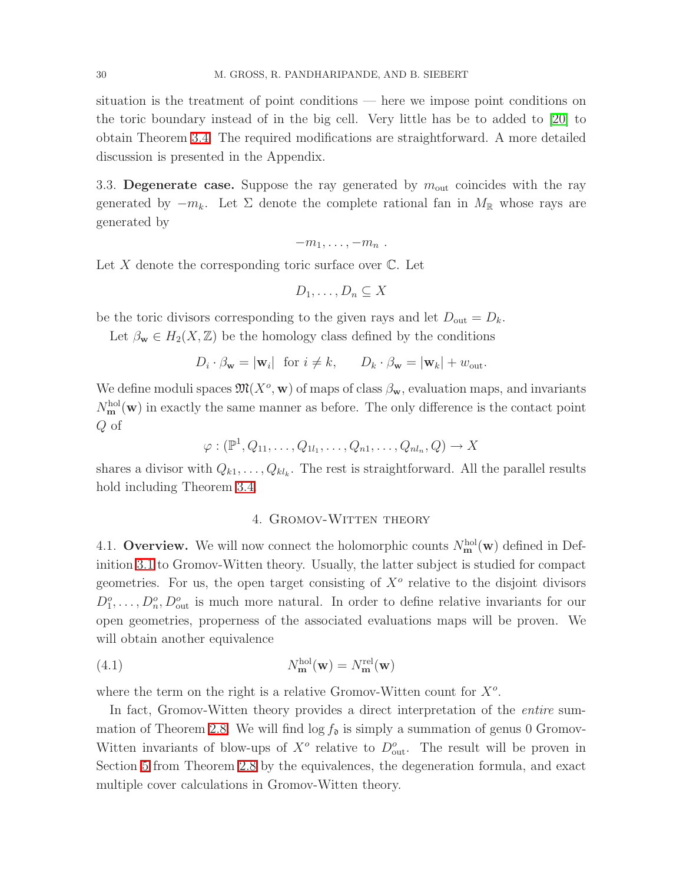situation is the treatment of point conditions — here we impose point conditions on the toric boundary instead of in the big cell. Very little has be to added to [\[20\]](#page-57-5) to obtain Theorem [3.4.](#page-28-1) The required modifications are straightforward. A more detailed discussion is presented in the Appendix.

<span id="page-29-0"></span>3.3. Degenerate case. Suppose the ray generated by  $m_{\text{out}}$  coincides with the ray generated by  $-m_k$ . Let  $\Sigma$  denote the complete rational fan in  $M_{\mathbb{R}}$  whose rays are generated by

$$
-m_1,\ldots,-m_n.
$$

Let  $X$  denote the corresponding toric surface over  $\mathbb{C}$ . Let

$$
D_1,\ldots,D_n\subseteq X
$$

be the toric divisors corresponding to the given rays and let  $D_{\text{out}} = D_k$ .

Let  $\beta_{\mathbf{w}} \in H_2(X,\mathbb{Z})$  be the homology class defined by the conditions

$$
D_i \cdot \beta_{\mathbf{w}} = |\mathbf{w}_i|
$$
 for  $i \neq k$ ,  $D_k \cdot \beta_{\mathbf{w}} = |\mathbf{w}_k| + w_{\text{out}}$ .

We define moduli spaces  $\mathfrak{M}(X^o, \mathbf{w})$  of maps of class  $\beta_{\mathbf{w}}$ , evaluation maps, and invariants  $N_{\mathbf{m}}^{\text{hol}}(\mathbf{w})$  in exactly the same manner as before. The only difference is the contact point Q of

$$
\varphi : (\mathbb{P}^1, Q_{11}, \dots, Q_{1l_1}, \dots, Q_{n1}, \dots, Q_{nl_n}, Q) \to X
$$

<span id="page-29-1"></span>shares a divisor with  $Q_{k1}, \ldots, Q_{kl_k}$ . The rest is straightforward. All the parallel results hold including Theorem [3.4.](#page-28-1)

#### 4. GROMOV-WITTEN THEORY

<span id="page-29-2"></span>4.1. Overview. We will now connect the holomorphic counts  $N_{\mathbf{m}}^{\text{hol}}(\mathbf{w})$  defined in Definition [3.1](#page-26-1) to Gromov-Witten theory. Usually, the latter subject is studied for compact geometries. For us, the open target consisting of  $X^o$  relative to the disjoint divisors  $D_1^o, \ldots, D_n^o, D_{\text{out}}^o$  is much more natural. In order to define relative invariants for our open geometries, properness of the associated evaluations maps will be proven. We will obtain another equivalence

(4.1) 
$$
N_{\mathbf{m}}^{\text{hol}}(\mathbf{w}) = N_{\mathbf{m}}^{\text{rel}}(\mathbf{w})
$$

where the term on the right is a relative Gromov-Witten count for  $X^o$ .

In fact, Gromov-Witten theory provides a direct interpretation of the entire sum-mation of Theorem [2.8.](#page-23-1) We will find  $\log f_{\rm o}$  is simply a summation of genus 0 Gromov-Witten invariants of blow-ups of  $X^o$  relative to  $D^o_{\text{out}}$ . The result will be proven in Section [5](#page-37-0) from Theorem [2.8](#page-23-1) by the equivalences, the degeneration formula, and exact multiple cover calculations in Gromov-Witten theory.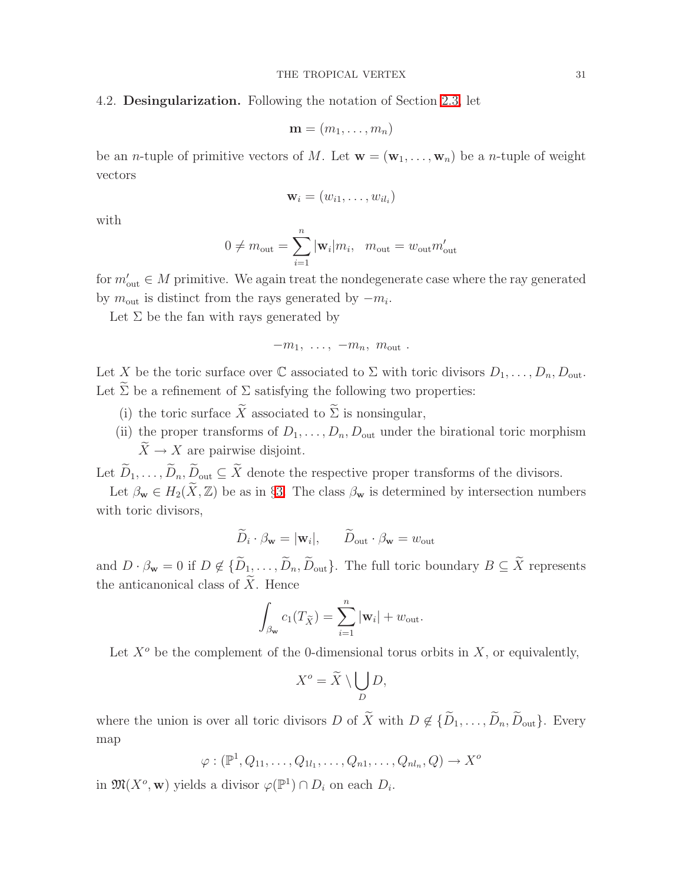## <span id="page-30-0"></span>4.2. Desingularization. Following the notation of Section [2.3,](#page-22-0) let

$$
\mathbf{m}=(m_1,\ldots,m_n)
$$

be an *n*-tuple of primitive vectors of M. Let  $\mathbf{w} = (\mathbf{w}_1, \dots, \mathbf{w}_n)$  be a *n*-tuple of weight vectors

$$
\mathbf{w}_i = (w_{i1}, \dots, w_{il_i})
$$

with

$$
0 \neq m_{\text{out}} = \sum_{i=1}^{n} |\mathbf{w}_i| m_i, \quad m_{\text{out}} = w_{\text{out}} m'_{\text{out}}
$$

for  $m'_{\text{out}} \in M$  primitive. We again treat the nondegenerate case where the ray generated by  $m_{\text{out}}$  is distinct from the rays generated by  $-m_i$ .

Let  $\Sigma$  be the fan with rays generated by

$$
-m_1, \ldots, -m_n, m_{\text{out}}.
$$

Let X be the toric surface over  $\mathbb C$  associated to  $\Sigma$  with toric divisors  $D_1, \ldots, D_n, D_{\text{out}}$ . Let  $\widetilde{\Sigma}$  be a refinement of  $\Sigma$  satisfying the following two properties:

- (i) the toric surface  $\widetilde{X}$  associated to  $\widetilde{\Sigma}$  is nonsingular,
- (ii) the proper transforms of  $D_1, \ldots, D_n, D_{\text{out}}$  under the birational toric morphism  $\widetilde{X} \to X$  are pairwise disjoint.

Let  $\widetilde{D}_1, \ldots, \widetilde{D}_n, \widetilde{D}_{\text{out}} \subseteq \widetilde{X}$  denote the respective proper transforms of the divisors.

Let  $\beta_{\mathbf{w}} \in H_2(\widetilde{X}, \mathbb{Z})$  be as in §[3.](#page-25-0) The class  $\beta_{\mathbf{w}}$  is determined by intersection numbers with toric divisors,

$$
\widetilde{D}_i \cdot \beta_{\mathbf{w}} = |\mathbf{w}_i|, \qquad \widetilde{D}_{\text{out}} \cdot \beta_{\mathbf{w}} = w_{\text{out}}
$$

and  $D \cdot \beta_{\bf w} = 0$  if  $D \notin {\tilde{D}_1, \ldots, \tilde{D}_n, \tilde{D}_{\text{out}}}$ . The full toric boundary  $B \subseteq \tilde{X}$  represents the anticanonical class of  $\tilde{X}$ . Hence

$$
\int_{\beta_{\mathbf{w}}} c_1(T_{\widetilde{X}}) = \sum_{i=1}^n |\mathbf{w}_i| + w_{\text{out}}.
$$

Let  $X^{\circ}$  be the complement of the 0-dimensional torus orbits in X, or equivalently,

$$
X^o = \widetilde{X} \setminus \bigcup_D D,
$$

where the union is over all toric divisors D of  $\widetilde{X}$  with  $D \notin {\{\widetilde{D}_1, \ldots, \widetilde{D}_n, \widetilde{D}_{out}\}}$ . Every map

$$
\varphi: (\mathbb{P}^1, Q_{11}, \ldots, Q_{1l_1}, \ldots, Q_{n1}, \ldots, Q_{nl_n}, Q) \to X^o
$$

<span id="page-30-1"></span>in  $\mathfrak{M}(X^o, \mathbf{w})$  yields a divisor  $\varphi(\mathbb{P}^1) \cap D_i$  on each  $D_i$ .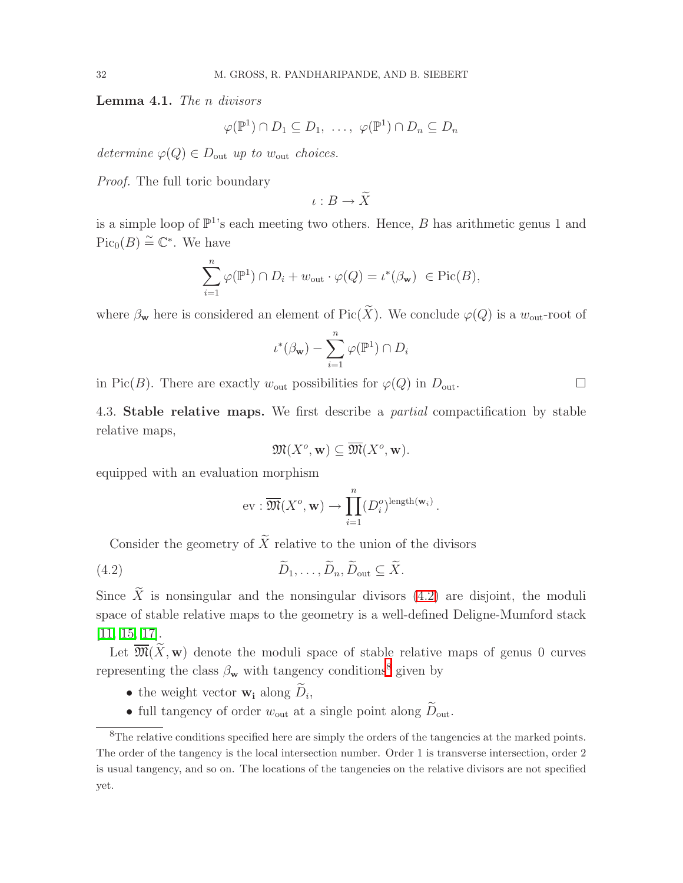Lemma 4.1. The n divisors

$$
\varphi(\mathbb{P}^1) \cap D_1 \subseteq D_1, \ldots, \varphi(\mathbb{P}^1) \cap D_n \subseteq D_n
$$

determine  $\varphi(Q) \in D_{\text{out}}$  up to  $w_{\text{out}}$  choices.

Proof. The full toric boundary

$$
\iota:B\to\widetilde{X}
$$

is a simple loop of  $\mathbb{P}^1$ 's each meeting two others. Hence, B has arithmetic genus 1 and  $Pic_0(B) \cong \mathbb{C}^*$ . We have

$$
\sum_{i=1}^{n} \varphi(\mathbb{P}^1) \cap D_i + w_{\text{out}} \cdot \varphi(Q) = \iota^*(\beta_{\mathbf{w}}) \in \text{Pic}(B),
$$

where  $\beta_{\bf w}$  here is considered an element of Pic( $\widetilde{X}$ ). We conclude  $\varphi(Q)$  is a  $w_{\text{out}}$ -root of

$$
\iota^*(\beta_{\mathbf{w}}) - \sum_{i=1}^n \varphi(\mathbb{P}^1) \cap D_i
$$

<span id="page-31-0"></span>in Pic(B). There are exactly  $w_{\text{out}}$  possibilities for  $\varphi(Q)$  in  $D_{\text{out}}$ .

4.3. Stable relative maps. We first describe a partial compactification by stable relative maps,

$$
\mathfrak{M}(X^o, \mathbf{w}) \subseteq \overline{\mathfrak{M}}(X^o, \mathbf{w}).
$$

equipped with an evaluation morphism

<span id="page-31-1"></span>
$$
\text{ev}: \overline{\mathfrak{M}}(X^o, \mathbf{w}) \to \prod_{i=1}^n (D_i^o)^{\text{length}(\mathbf{w}_i)}.
$$

Consider the geometry of  $\widetilde{X}$  relative to the union of the divisors

(4.2) 
$$
\widetilde{D}_1, \ldots, \widetilde{D}_n, \widetilde{D}_{\text{out}} \subseteq \widetilde{X}.
$$

Since  $\widetilde{X}$  is nonsingular and the nonsingular divisors [\(4.2\)](#page-31-1) are disjoint, the moduli space of stable relative maps to the geometry is a well-defined Deligne-Mumford stack [\[11,](#page-57-8) [15,](#page-57-9) [17\]](#page-57-10).

Let  $\overline{\mathfrak{M}}(X, \mathbf{w})$  denote the moduli space of stable relative maps of genus 0 curves representing the class  $\beta_{\mathbf{w}}$  with tangency conditions<sup>[8](#page-31-2)</sup> given by

- the weight vector  $\mathbf{w_i}$  along  $D_i$ ,
- full tangency of order  $w_{\text{out}}$  at a single point along  $\widetilde{D}_{\text{out}}$ .

<span id="page-31-2"></span><sup>&</sup>lt;sup>8</sup>The relative conditions specified here are simply the orders of the tangencies at the marked points. The order of the tangency is the local intersection number. Order 1 is transverse intersection, order 2 is usual tangency, and so on. The locations of the tangencies on the relative divisors are not specified yet.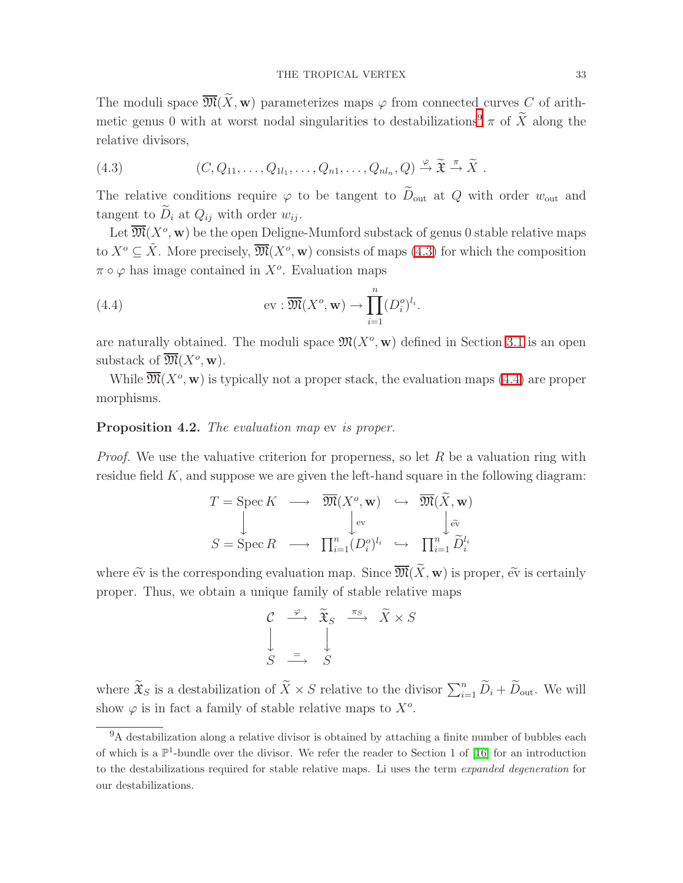The moduli space  $\overline{\mathfrak{M}}(\widetilde{X}, \mathbf{w})$  parameterizes maps  $\varphi$  from connected curves C of arith-metic genus 0 with at worst nodal singularities to destabilizations<sup>[9](#page-32-0)</sup>  $\pi$  of  $\widetilde{X}$  along the relative divisors,

<span id="page-32-1"></span>(4.3) 
$$
(C, Q_{11}, \ldots, Q_{1l_1}, \ldots, Q_{n1}, \ldots, Q_{nl_n}, Q) \stackrel{\varphi}{\to} \widetilde{\mathfrak{X}} \stackrel{\pi}{\to} \widetilde{X}.
$$

The relative conditions require  $\varphi$  to be tangent to  $\widetilde{D}_{\text{out}}$  at Q with order  $w_{\text{out}}$  and tangent to  $\widetilde{D}_i$  at  $Q_{ij}$  with order  $w_{ij}$ .

Let  $\overline{\mathfrak{M}}(X^o, \mathbf{w})$  be the open Deligne-Mumford substack of genus 0 stable relative maps to  $X^o \subseteq \tilde{X}$ . More precisely,  $\overline{\mathfrak{M}}(X^o, \mathbf{w})$  consists of maps [\(4.3\)](#page-32-1) for which the composition  $\pi \circ \varphi$  has image contained in  $X^o$ . Evaluation maps

<span id="page-32-2"></span>(4.4) 
$$
\text{ev}: \overline{\mathfrak{M}}(X^o, \mathbf{w}) \to \prod_{i=1}^n (D_i^o)^{l_i}.
$$

are naturally obtained. The moduli space  $\mathfrak{M}(X^o, \mathbf{w})$  defined in Section [3.1](#page-25-1) is an open substack of  $\overline{\mathfrak{M}}(X^o,\mathbf{w}).$ 

<span id="page-32-3"></span>While  $\overline{\mathfrak{M}}(X^o, \mathbf{w})$  is typically not a proper stack, the evaluation maps  $(4.4)$  are proper morphisms.

## Proposition 4.2. The evaluation map ev is proper.

*Proof.* We use the valuative criterion for properness, so let  $R$  be a valuation ring with residue field  $K$ , and suppose we are given the left-hand square in the following diagram:

$$
T = \operatorname{Spec} K \longrightarrow \overline{\mathfrak{M}}(X^o, \mathbf{w}) \hookrightarrow \overline{\mathfrak{M}}(\widetilde{X}, \mathbf{w})
$$
  

$$
\downarrow \qquad \qquad \downarrow \qquad \qquad \downarrow \qquad \qquad \downarrow \qquad \qquad \downarrow \qquad \qquad \downarrow \qquad \qquad \downarrow \qquad \qquad \downarrow \qquad \qquad \downarrow \qquad \qquad \downarrow \qquad \qquad \downarrow \qquad \downarrow \qquad \downarrow \qquad \downarrow \qquad \downarrow \qquad \downarrow \qquad \downarrow \qquad \downarrow \qquad \downarrow \qquad \downarrow \qquad \downarrow \qquad \downarrow \qquad \downarrow \qquad \downarrow \qquad \downarrow \qquad \downarrow \qquad \downarrow \qquad \downarrow \qquad \downarrow \qquad \downarrow \qquad \downarrow \qquad \downarrow \qquad \downarrow \qquad \downarrow \qquad \downarrow \qquad \downarrow \qquad \downarrow \qquad \downarrow \qquad \downarrow \qquad \downarrow \qquad \downarrow \qquad \downarrow \qquad \downarrow \qquad \downarrow \qquad \downarrow \qquad \downarrow \qquad \downarrow \qquad \downarrow \qquad \downarrow \qquad \downarrow \qquad \downarrow \qquad \downarrow \qquad \downarrow \qquad \downarrow \qquad \downarrow \qquad \downarrow \qquad \downarrow \qquad \downarrow \qquad \downarrow \qquad \downarrow \qquad \downarrow \qquad \downarrow \qquad \downarrow \qquad \downarrow \qquad \downarrow \qquad \downarrow \qquad \downarrow \qquad \downarrow \qquad \downarrow \qquad \downarrow \qquad \downarrow \qquad \downarrow \qquad \downarrow \qquad \downarrow \qquad \downarrow \qquad \downarrow \qquad \downarrow \qquad \downarrow \qquad \downarrow \qquad \downarrow \qquad \downarrow \qquad \downarrow \qquad \downarrow \qquad \downarrow \qquad \downarrow \qquad \downarrow \qquad \downarrow \qquad \downarrow \qquad \downarrow \qquad \downarrow \qquad \downarrow \qquad \downarrow \qquad \downarrow \qquad \downarrow \qquad \downarrow \qquad \downarrow \qquad \downarrow \qquad \downarrow \qquad \downarrow \qquad \downarrow \qquad \downarrow \qquad \downarrow \qquad \downarrow \qquad \downarrow \qquad \downarrow \qquad \downarrow \qquad \downarrow \qquad \downarrow \qquad \downarrow \qquad \downarrow \qquad \down
$$

where  $\widetilde{\text{ew}}$  is the corresponding evaluation map. Since  $\overline{\mathfrak{M}}(\widetilde{X}, \mathbf{w})$  is proper,  $\widetilde{\text{ew}}$  is certainly proper. Thus, we obtain a unique family of stable relative maps

$$
\begin{array}{ccc}\nC & \xrightarrow{\varphi} & \widetilde{\mathfrak{X}}_S & \xrightarrow{\pi_S} & \widetilde{X} \times S \\
\downarrow & & \downarrow & & \\
S & \xrightarrow{=} & S\n\end{array}
$$

where  $\widetilde{\mathfrak{X}}_S$  is a destabilization of  $\widetilde{X} \times S$  relative to the divisor  $\sum_{i=1}^n \widetilde{D}_i + \widetilde{D}_{\text{out}}$ . We will show  $\varphi$  is in fact a family of stable relative maps to  $X^o$ .

<span id="page-32-0"></span><sup>&</sup>lt;sup>9</sup>A destabilization along a relative divisor is obtained by attaching a finite number of bubbles each of which is a  $\mathbb{P}^1$ -bundle over the divisor. We refer the reader to Section 1 of [\[16\]](#page-57-11) for an introduction to the destabilizations required for stable relative maps. Li uses the term expanded degeneration for our destabilizations.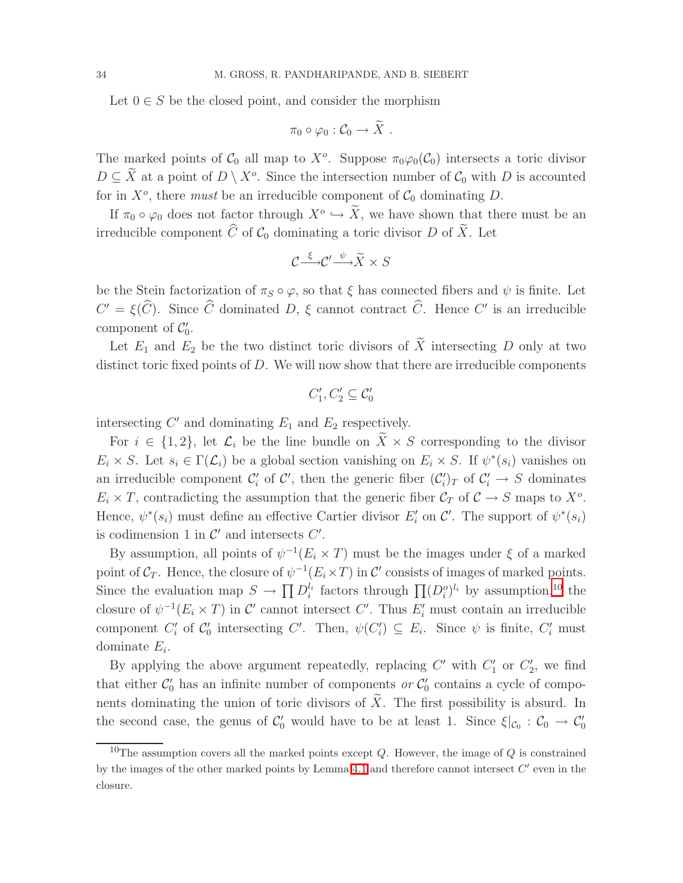Let  $0 \in S$  be the closed point, and consider the morphism

$$
\pi_0\circ\varphi_0:\mathcal{C}_0\to\widetilde{X}.
$$

The marked points of  $C_0$  all map to  $X^o$ . Suppose  $\pi_0\varphi_0(C_0)$  intersects a toric divisor  $D \subseteq \overline{X}$  at a point of  $D \setminus X^o$ . Since the intersection number of  $C_0$  with D is accounted for in  $X^o$ , there *must* be an irreducible component of  $\mathcal{C}_0$  dominating D.

If  $\pi_0 \circ \varphi_0$  does not factor through  $X^o \hookrightarrow \overline{X}$ , we have shown that there must be an irreducible component  $\widehat{C}$  of  $\mathcal{C}_0$  dominating a toric divisor D of  $\widetilde{X}$ . Let

$$
C \stackrel{\xi}{\longrightarrow} C' \stackrel{\psi}{\longrightarrow} \widetilde{X} \times S
$$

be the Stein factorization of  $\pi_S \circ \varphi$ , so that  $\xi$  has connected fibers and  $\psi$  is finite. Let  $C' = \xi(\hat{C})$ . Since  $\hat{C}$  dominated  $D, \xi$  cannot contract  $\hat{C}$ . Hence  $C'$  is an irreducible component of  $\mathcal{C}'_0$ .

Let  $E_1$  and  $E_2$  be the two distinct toric divisors of  $\widetilde{X}$  intersecting D only at two distinct toric fixed points of D. We will now show that there are irreducible components

$$
C_1', C_2' \subseteq \mathcal{C}_0'
$$

intersecting  $C'$  and dominating  $E_1$  and  $E_2$  respectively.

For  $i \in \{1,2\}$ , let  $\mathcal{L}_i$  be the line bundle on  $\overline{X} \times S$  corresponding to the divisor  $E_i \times S$ . Let  $s_i \in \Gamma(\mathcal{L}_i)$  be a global section vanishing on  $E_i \times S$ . If  $\psi^*(s_i)$  vanishes on an irreducible component  $C_i'$  of  $C'$ , then the generic fiber  $(C_i')_T$  of  $C_i' \to S$  dominates  $E_i \times T$ , contradicting the assumption that the generic fiber  $\mathcal{C}_T$  of  $\mathcal{C} \to S$  maps to  $X^o$ . Hence,  $\psi^*(s_i)$  must define an effective Cartier divisor  $E'_i$  on  $\mathcal{C}'$ . The support of  $\psi^*(s_i)$ is codimension 1 in  $\mathcal{C}'$  and intersects  $C'$ .

By assumption, all points of  $\psi^{-1}(E_i \times T)$  must be the images under  $\xi$  of a marked point of  $C_T$ . Hence, the closure of  $\psi^{-1}(E_i \times T)$  in C' consists of images of marked points. Since the evaluation map  $S \to \prod D_i^{l_i}$  factors through  $\prod (D_i^o)^{l_i}$  by assumption,<sup>[10](#page-33-0)</sup> the closure of  $\psi^{-1}(E_i \times T)$  in C' cannot intersect C'. Thus  $E'_i$  must contain an irreducible component  $C'_i$  of  $C'_0$  intersecting  $C'$ . Then,  $\psi(C'_i) \subseteq E_i$ . Since  $\psi$  is finite,  $C'_i$  must dominate  $E_i$ .

By applying the above argument repeatedly, replacing  $C'$  with  $C'_1$  or  $C'_2$ , we find that either  $\mathcal{C}'_0$  has an infinite number of components or  $\mathcal{C}'_0$  contains a cycle of components dominating the union of toric divisors of  $X$ . The first possibility is absurd. In the second case, the genus of  $\mathcal{C}'_0$  would have to be at least 1. Since  $\xi|_{\mathcal{C}_0} : \mathcal{C}_0 \to \mathcal{C}'_0$ 

<span id="page-33-0"></span><sup>&</sup>lt;sup>10</sup>The assumption covers all the marked points except  $Q$ . However, the image of  $Q$  is constrained by the images of the other marked points by Lemma [4.1](#page-30-1) and therefore cannot intersect  $C'$  even in the closure.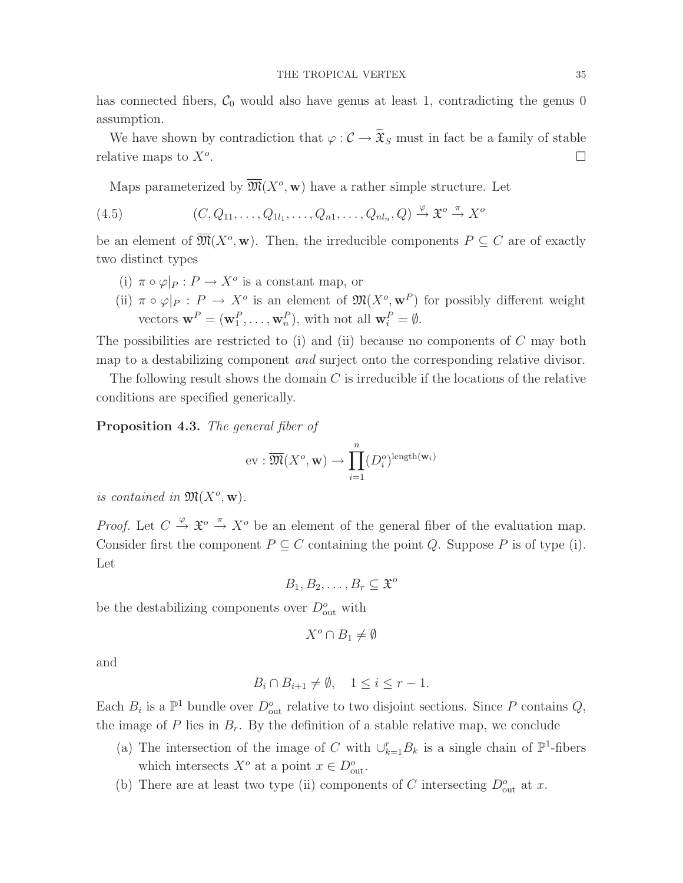has connected fibers,  $C_0$  would also have genus at least 1, contradicting the genus 0 assumption.

We have shown by contradiction that  $\varphi : \mathcal{C} \to \widetilde{\mathfrak{X}}_S$  must in fact be a family of stable relative maps to  $X^o$ . . В последните поставите на селото на селото на селото на селото на селото на селото на селото на селото на се<br>В селото на селото на селото на селото на селото на селото на селото на селото на селото на селото на селото н

Maps parameterized by  $\overline{\mathfrak{M}}(X^o, \mathbf{w})$  have a rather simple structure. Let

(4.5) 
$$
(C, Q_{11}, \ldots, Q_{1l_1}, \ldots, Q_{n1}, \ldots, Q_{nl_n}, Q) \stackrel{\varphi}{\rightarrow} \mathfrak{X}^o \stackrel{\pi}{\rightarrow} X^o
$$

be an element of  $\overline{\mathfrak{M}}(X^o, \mathbf{w})$ . Then, the irreducible components  $P \subseteq C$  are of exactly two distinct types

- (i)  $\pi \circ \varphi|_P : P \to X^o$  is a constant map, or
- (ii)  $\pi \circ \varphi|_P : P \to X^o$  is an element of  $\mathfrak{M}(X^o, \mathbf{w}^P)$  for possibly different weight vectors  $\mathbf{w}^P = (\mathbf{w}_1^P, \dots, \mathbf{w}_n^P)$ , with not all  $\mathbf{w}_i^P = \emptyset$ .

The possibilities are restricted to  $(i)$  and  $(ii)$  because no components of  $C$  may both map to a destabilizing component *and* surject onto the corresponding relative divisor.

<span id="page-34-0"></span>The following result shows the domain  $C$  is irreducible if the locations of the relative conditions are specified generically.

Proposition 4.3. The general fiber of

$$
\text{ev}: \overline{\mathfrak{M}}(X^o, \mathbf{w}) \to \prod_{i=1}^n (D_i^o)^{\text{length}(\mathbf{w}_i)}
$$

is contained in  $\mathfrak{M}(X^o, \mathbf{w})$ .

*Proof.* Let  $C \stackrel{\varphi}{\to} \mathfrak{X}^o \stackrel{\pi}{\to} X^o$  be an element of the general fiber of the evaluation map. Consider first the component  $P \subseteq C$  containing the point Q. Suppose P is of type (i). Let

 $B_1, B_2, \ldots, B_r \subseteq \mathfrak{X}^o$ 

be the destabilizing components over  $D_{\text{out}}^o$  with

$$
X^o \cap B_1 \neq \emptyset
$$

and

$$
B_i \cap B_{i+1} \neq \emptyset, \quad 1 \le i \le r-1.
$$

Each  $B_i$  is a  $\mathbb{P}^1$  bundle over  $D_{\text{out}}^o$  relative to two disjoint sections. Since P contains Q, the image of P lies in  $B_r$ . By the definition of a stable relative map, we conclude

- (a) The intersection of the image of C with  $\cup_{k=1}^r B_k$  is a single chain of  $\mathbb{P}^1$ -fibers which intersects  $X^o$  at a point  $x \in D^o_{\text{out}}$ .
- (b) There are at least two type (ii) components of C intersecting  $D_{\text{out}}^o$  at x.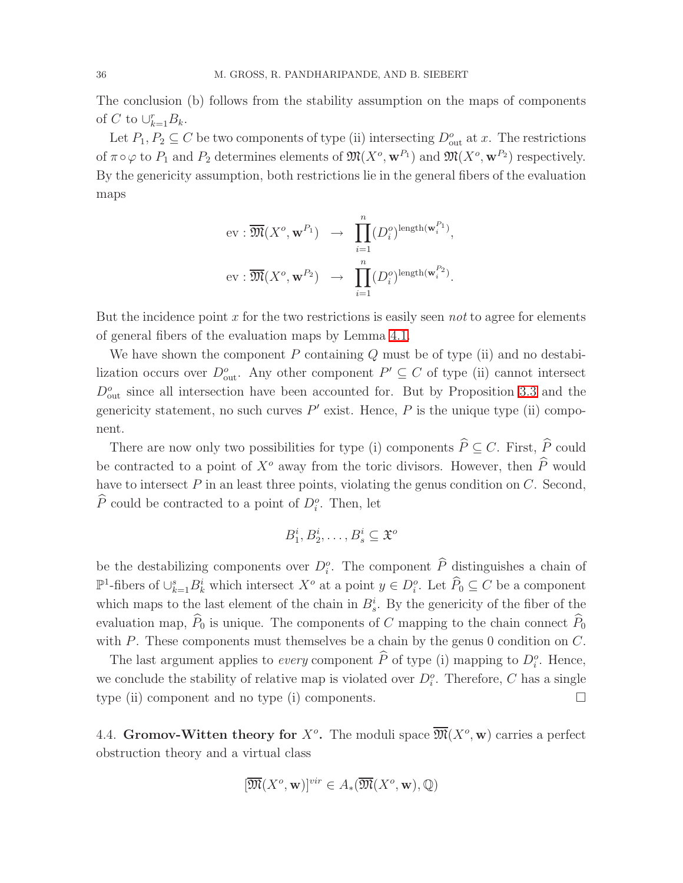The conclusion (b) follows from the stability assumption on the maps of components of C to  $\cup_{k=1}^r B_k$ .

Let  $P_1, P_2 \subseteq C$  be two components of type (ii) intersecting  $D_{\text{out}}^o$  at x. The restrictions of  $\pi \circ \varphi$  to  $P_1$  and  $P_2$  determines elements of  $\mathfrak{M}(X^o, \mathbf{w}^{P_1})$  and  $\mathfrak{M}(X^o, \mathbf{w}^{P_2})$  respectively. By the genericity assumption, both restrictions lie in the general fibers of the evaluation maps

$$
\text{ev}: \overline{\mathfrak{M}}(X^o, \mathbf{w}^{P_1}) \rightarrow \prod_{i=1}^n (D_i^o)^{\text{length}(\mathbf{w}_i^{P_1})},
$$
  

$$
\text{ev}: \overline{\mathfrak{M}}(X^o, \mathbf{w}^{P_2}) \rightarrow \prod_{i=1}^n (D_i^o)^{\text{length}(\mathbf{w}_i^{P_2})}.
$$

But the incidence point x for the two restrictions is easily seen not to agree for elements of general fibers of the evaluation maps by Lemma [4.1.](#page-30-1)

We have shown the component  $P$  containing  $Q$  must be of type (ii) and no destabilization occurs over  $D_{\text{out}}^o$ . Any other component  $P' \subseteq C$  of type (ii) cannot intersect  $D_{\text{out}}^{\circ}$  since all intersection have been accounted for. But by Proposition [3.3](#page-28-2) and the genericity statement, no such curves  $P'$  exist. Hence,  $P$  is the unique type (ii) component.

There are now only two possibilities for type (i) components  $\widehat{P}\subseteq C$ . First,  $\widehat{P}$  could be contracted to a point of  $X^o$  away from the toric divisors. However, then  $\widehat{P}$  would have to intersect  $P$  in an least three points, violating the genus condition on  $C$ . Second,  $\widehat{P}$  could be contracted to a point of  $D_i^o$ . Then, let

$$
B_1^i, B_2^i, \ldots, B_s^i \subseteq \mathfrak{X}^o
$$

be the destabilizing components over  $D_i^o$ . The component  $\tilde{P}$  distinguishes a chain of  $\mathbb{P}^1$ -fibers of  $\cup_{k=1}^s B_k^i$  which intersect  $X^o$  at a point  $y \in D_i^o$ . Let  $\hat{P}_0 \subseteq C$  be a component which maps to the last element of the chain in  $B_s^i$ . By the genericity of the fiber of the evaluation map,  $\widehat{P}_0$  is unique. The components of C mapping to the chain connect  $\widehat{P}_0$ with  $P$ . These components must themselves be a chain by the genus 0 condition on  $C$ .

The last argument applies to *every* component  $\hat{P}$  of type (i) mapping to  $D_i^o$ . Hence, we conclude the stability of relative map is violated over  $D_i^o$ . Therefore, C has a single type (ii) component and no type (i) components.  $\Box$ 

<span id="page-35-0"></span>4.4. Gromov-Witten theory for  $X^o$ . The moduli space  $\overline{\mathfrak{M}}(X^o, w)$  carries a perfect obstruction theory and a virtual class

$$
[\overline{\mathfrak{M}}(X^o,\mathbf{w})]^{vir} \in A_*(\overline{\mathfrak{M}}(X^o,\mathbf{w}),\mathbb{Q})
$$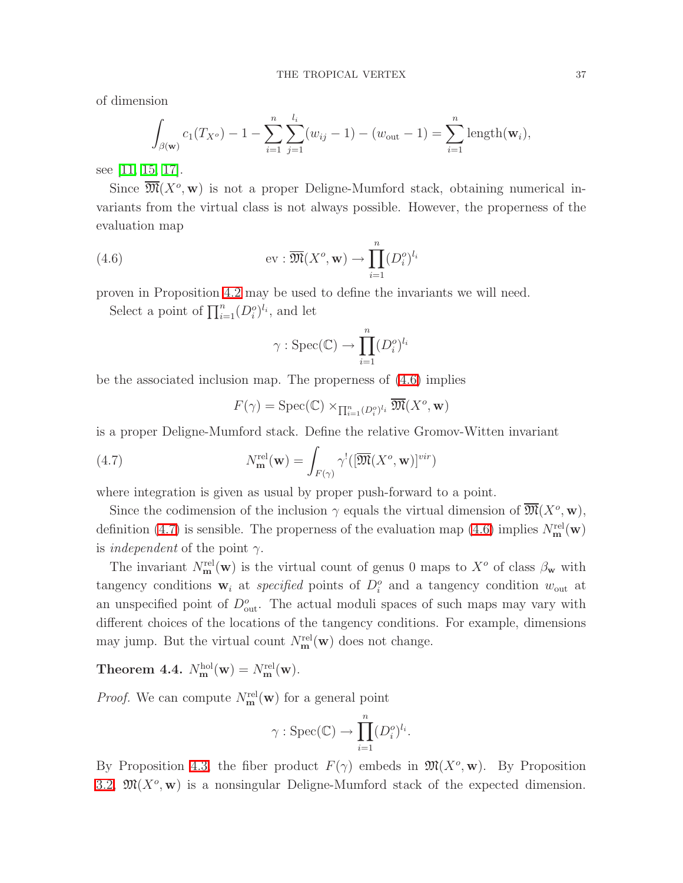of dimension

$$
\int_{\beta(\mathbf{w})} c_1(T_{X^o}) - 1 - \sum_{i=1}^n \sum_{j=1}^{l_i} (w_{ij} - 1) - (w_{\text{out}} - 1) = \sum_{i=1}^n \text{length}(\mathbf{w}_i),
$$

see [\[11,](#page-57-8) [15,](#page-57-9) [17\]](#page-57-10).

Since  $\overline{\mathfrak{M}}(X^o, \mathbf{w})$  is not a proper Deligne-Mumford stack, obtaining numerical invariants from the virtual class is not always possible. However, the properness of the evaluation map

<span id="page-36-0"></span>(4.6) 
$$
\text{ev}: \overline{\mathfrak{M}}(X^o, \mathbf{w}) \to \prod_{i=1}^n (D_i^o)^{l_i}
$$

proven in Proposition [4.2](#page-32-3) may be used to define the invariants we will need.

Select a point of  $\prod_{i=1}^n (D_i^o)^{l_i}$ , and let

$$
\gamma: \mathrm{Spec}(\mathbb{C}) \to \prod_{i=1}^n (D_i^o)^{l_i}
$$

be the associated inclusion map. The properness of [\(4.6\)](#page-36-0) implies

$$
F(\gamma) = \operatorname{Spec}(\mathbb{C}) \times_{\prod_{i=1}^n (D_i^o)^{l_i}} \overline{\mathfrak{M}}(X^o, \mathbf{w})
$$

<span id="page-36-1"></span>is a proper Deligne-Mumford stack. Define the relative Gromov-Witten invariant

(4.7) 
$$
N_{\mathbf{m}}^{\text{rel}}(\mathbf{w}) = \int_{F(\gamma)} \gamma^{!}([\overline{\mathfrak{M}}(X^o, \mathbf{w})]^{vir})
$$

where integration is given as usual by proper push-forward to a point.

Since the codimension of the inclusion  $\gamma$  equals the virtual dimension of  $\overline{\mathfrak{M}}(X^o, w)$ , definition [\(4.7\)](#page-36-1) is sensible. The properness of the evaluation map [\(4.6\)](#page-36-0) implies  $N_{\rm m}^{\rm rel}({\bf w})$ is *independent* of the point  $\gamma$ .

The invariant  $N_{\mathbf{m}}^{\text{rel}}(\mathbf{w})$  is the virtual count of genus 0 maps to  $X^{\text{o}}$  of class  $\beta_{\mathbf{w}}$  with tangency conditions  $\mathbf{w}_i$  at *specified* points of  $D_i^o$  and a tangency condition  $w_{\text{out}}$  at an unspecified point of  $D_{\text{out}}^o$ . The actual moduli spaces of such maps may vary with different choices of the locations of the tangency conditions. For example, dimensions may jump. But the virtual count  $N_{\mathbf{m}}^{\text{rel}}(\mathbf{w})$  does not change.

<span id="page-36-2"></span>Theorem 4.4.  $N_{\mathbf{m}}^{\text{hol}}(\mathbf{w}) = N_{\mathbf{m}}^{\text{rel}}(\mathbf{w}).$ 

*Proof.* We can compute  $N_{\mathbf{m}}^{\text{rel}}(\mathbf{w})$  for a general point

$$
\gamma: \operatorname{Spec}(\mathbb{C}) \to \prod_{i=1}^n (D_i^o)^{l_i}.
$$

By Proposition [4.3,](#page-34-0) the fiber product  $F(\gamma)$  embeds in  $\mathfrak{M}(X^o, \mathbf{w})$ . By Proposition [3.2,](#page-27-0)  $\mathfrak{M}(X^o, \mathbf{w})$  is a nonsingular Deligne-Mumford stack of the expected dimension.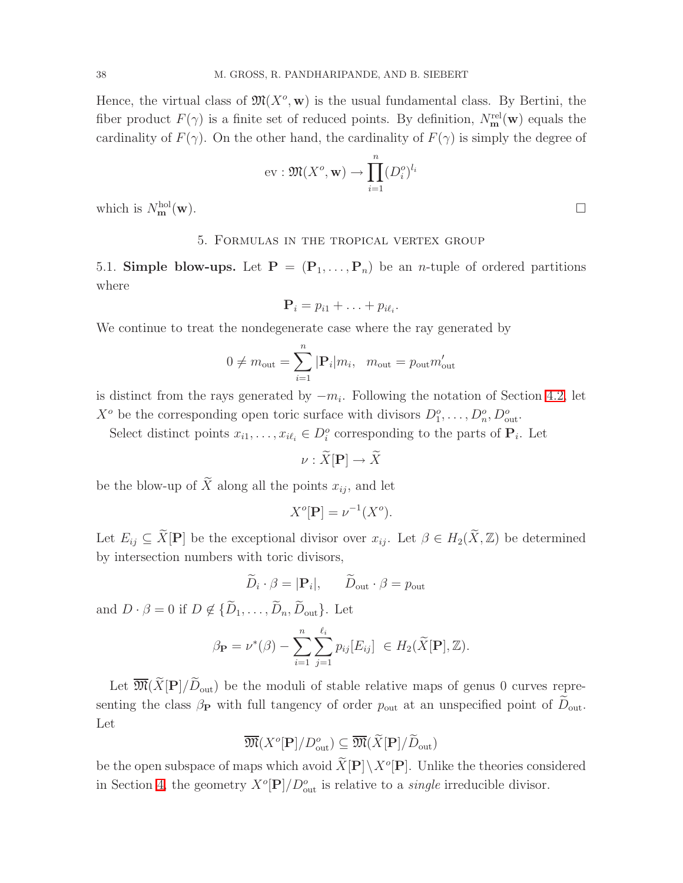Hence, the virtual class of  $\mathfrak{M}(X^o, \mathbf{w})$  is the usual fundamental class. By Bertini, the fiber product  $F(\gamma)$  is a finite set of reduced points. By definition,  $N_{\mathbf{m}}^{\text{rel}}(\mathbf{w})$  equals the cardinality of  $F(\gamma)$ . On the other hand, the cardinality of  $F(\gamma)$  is simply the degree of

$$
\text{ev}: \mathfrak{M}(X^o, \mathbf{w}) \to \prod_{i=1}^n (D_i^o)^{l_i}
$$

<span id="page-37-0"></span>which is  $N_{\mathbf{m}}^{\text{hol}}(\mathbf{w})$ .  $\mathbf{m}^{\text{hol}}(\mathbf{w}).$ 

# 5. Formulas in the tropical vertex group

<span id="page-37-1"></span>5.1. Simple blow-ups. Let  $P = (P_1, \ldots, P_n)$  be an *n*-tuple of ordered partitions where

$$
\mathbf{P}_i = p_{i1} + \ldots + p_{i\ell_i}
$$

.

We continue to treat the nondegenerate case where the ray generated by

$$
0 \neq m_{\text{out}} = \sum_{i=1}^{n} |\mathbf{P}_i| m_i, \quad m_{\text{out}} = p_{\text{out}} m'_{\text{out}}
$$

is distinct from the rays generated by  $-m_i$ . Following the notation of Section [4.2,](#page-30-0) let  $X^o$  be the corresponding open toric surface with divisors  $D_1^o, \ldots, D_n^o, D_{\text{out}}^o$ .

Select distinct points  $x_{i1}, \ldots, x_{i\ell_i} \in D_i^o$  corresponding to the parts of  $\mathbf{P}_i$ . Let

$$
\nu : \widetilde{X}[\mathbf{P}] \to \widetilde{X}
$$

be the blow-up of  $\widetilde{X}$  along all the points  $x_{ij}$ , and let

$$
X^o[\mathbf{P}] = \nu^{-1}(X^o).
$$

Let  $E_{ij} \subseteq \widetilde{X}[\mathbf{P}]$  be the exceptional divisor over  $x_{ij}$ . Let  $\beta \in H_2(\widetilde{X}, \mathbb{Z})$  be determined by intersection numbers with toric divisors,

$$
\widetilde{D}_i \cdot \beta = |\mathbf{P}_i|, \qquad \widetilde{D}_{\text{out}} \cdot \beta = p_{\text{out}}
$$

and  $D \cdot \beta = 0$  if  $D \notin {\tilde{D}_1, \ldots, \tilde{D}_n, \tilde{D}_{\text{out}}}$ . Let

$$
\beta_{\mathbf{P}} = \nu^*(\beta) - \sum_{i=1}^n \sum_{j=1}^{\ell_i} p_{ij}[E_{ij}] \in H_2(\widetilde{X}[\mathbf{P}], \mathbb{Z}).
$$

Let  $\overline{\mathfrak{M}}(\widetilde{X}[\mathbf{P}]/\widetilde{D}_{\text{out}})$  be the moduli of stable relative maps of genus 0 curves representing the class  $\beta_P$  with full tangency of order  $p_{\text{out}}$  at an unspecified point of  $D_{\text{out}}$ . Let

$$
\overline{\mathfrak{M}}(X^o[\mathbf{P}]/D_{\text{out}}^o) \subseteq \overline{\mathfrak{M}}(\widetilde{X}[\mathbf{P}]/\widetilde{D}_{\text{out}})
$$

be the open subspace of maps which avoid  $\widetilde{X}[\mathbf{P}]\setminus X^o[\mathbf{P}]$ . Unlike the theories considered in Section [4,](#page-29-1) the geometry  $X^o[\mathbf{P}]/D_{\text{out}}^o$  is relative to a *single* irreducible divisor.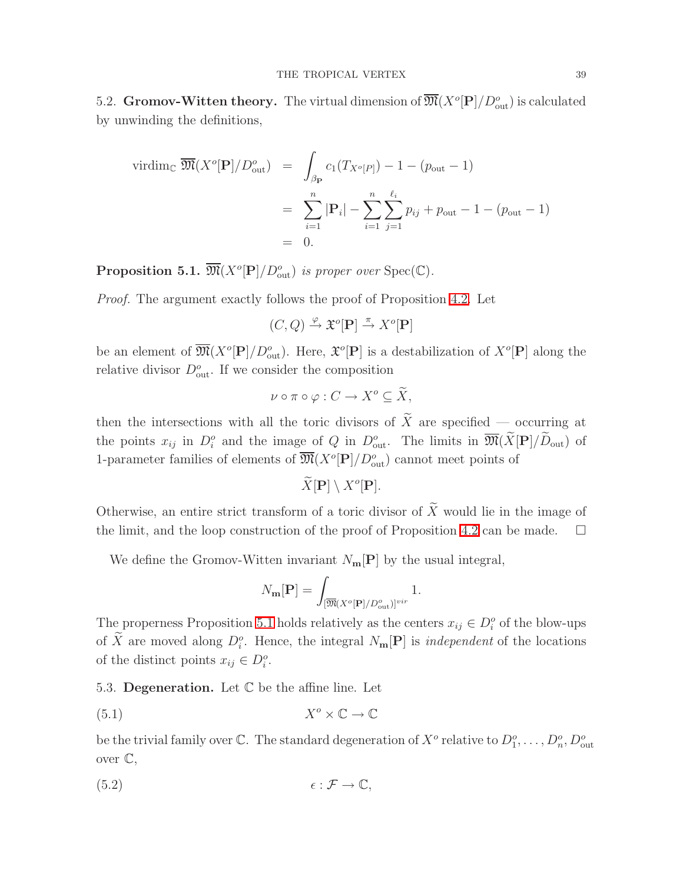<span id="page-38-0"></span>5.2. Gromov-Witten theory. The virtual dimension of  $\overline{\mathfrak{M}}(X^o[\mathbf{P}]/D_{\text{out}}^o)$  is calculated by unwinding the definitions,

$$
\begin{aligned} \text{virdim}_{\mathbb{C}} \, \overline{\mathfrak{M}}(X^o[\mathbf{P}]/D_{\text{out}}^o) &= \int_{\beta_{\mathbf{P}}} c_1(T_{X^o[P]}) - 1 - (p_{\text{out}} - 1) \\ &= \sum_{i=1}^n |\mathbf{P}_i| - \sum_{i=1}^n \sum_{j=1}^{\ell_i} p_{ij} + p_{\text{out}} - 1 - (p_{\text{out}} - 1) \\ &= 0. \end{aligned}
$$

<span id="page-38-2"></span>**Proposition 5.1.**  $\overline{\mathfrak{M}}(X^o[\mathbf{P}]/D_{\text{out}}^o)$  is proper over  $\text{Spec}(\mathbb{C})$ .

Proof. The argument exactly follows the proof of Proposition [4.2.](#page-32-3) Let

$$
(C,Q)\xrightarrow{\varphi}\mathfrak{X}^o[\mathbf{P}]\xrightarrow{\pi} X^o[\mathbf{P}]
$$

be an element of  $\overline{\mathfrak{M}}(X^o[\mathbf{P}]/D_{\text{out}}^o)$ . Here,  $\mathfrak{X}^o[\mathbf{P}]$  is a destabilization of  $X^o[\mathbf{P}]$  along the relative divisor  $D_{\text{out}}^o$ . If we consider the composition

$$
\nu \circ \pi \circ \varphi : C \to X^o \subseteq \widetilde{X},
$$

then the intersections with all the toric divisors of  $\widetilde{X}$  are specified — occurring at the points  $x_{ij}$  in  $D_i^o$  and the image of Q in  $D_{\text{out}}^o$ . The limits in  $\overline{\mathfrak{M}}(\overline{X}[\mathbf{P}]/D_{\text{out}})$  of 1-parameter families of elements of  $\overline{\mathfrak{M}}(X^o[\mathbf{P}]/D_{\text{out}}^o)$  cannot meet points of

$$
\widetilde{X}[\mathbf{P}] \setminus X^o[\mathbf{P}].
$$

Otherwise, an entire strict transform of a toric divisor of  $\widetilde{X}$  would lie in the image of the limit, and the loop construction of the proof of Proposition [4.2](#page-32-3) can be made.  $\Box$ 

We define the Gromov-Witten invariant  $N_{\mathbf{m}}[\mathbf{P}]$  by the usual integral,

<span id="page-38-3"></span>
$$
N_{\mathbf{m}}[\mathbf{P}] = \int_{\left[\overline{\mathfrak{M}}(X^o[\mathbf{P}]/D_{\text{out}}^o)\right]^{vir}} 1.
$$

The properness Proposition [5.1](#page-38-2) holds relatively as the centers  $x_{ij} \in D_i^o$  of the blow-ups of X are moved along  $D_i^o$ . Hence, the integral  $N_{\mathbf{m}}[\mathbf{P}]$  is *independent* of the locations of the distinct points  $x_{ij} \in D_i^o$ .

<span id="page-38-1"></span>5.3. Degeneration. Let  $\mathbb C$  be the affine line. Let

$$
(5.1) \t\t X^o \times \mathbb{C} \to \mathbb{C}
$$

<span id="page-38-4"></span>be the trivial family over  $\mathbb{C}$ . The standard degeneration of  $X^o$  relative to  $D_1^o, \ldots, D_n^o, D_{\text{out}}^o$ over  $\mathbb{C},$ 

$$
(5.2) \qquad \epsilon : \mathcal{F} \to \mathbb{C},
$$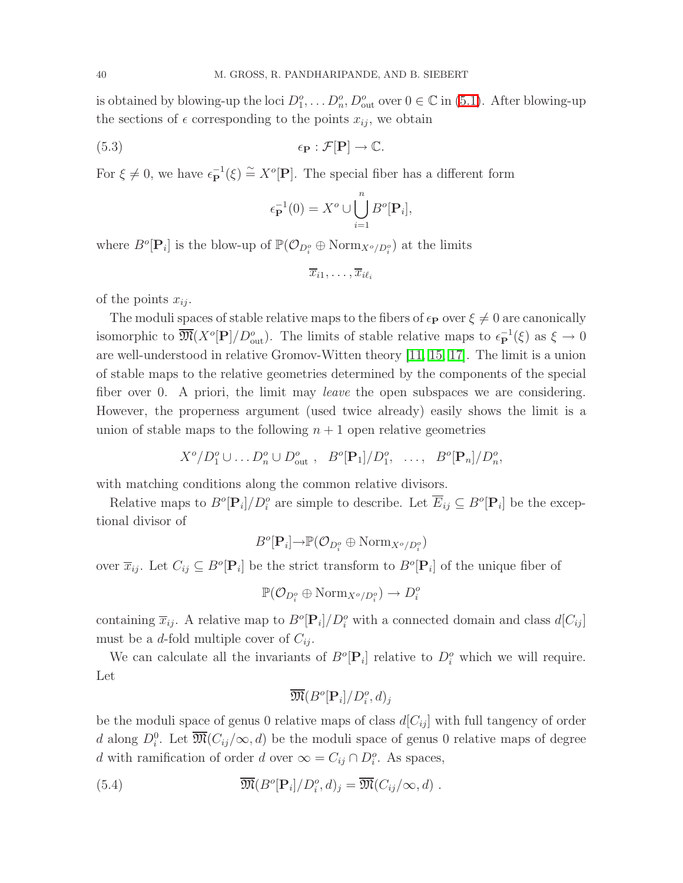is obtained by blowing-up the loci  $D_1^o, \ldots, D_n^o, D_{\text{out}}^o$  over  $0 \in \mathbb{C}$  in [\(5.1\)](#page-38-3). After blowing-up the sections of  $\epsilon$  corresponding to the points  $x_{ij}$ , we obtain

(5.3) 
$$
\epsilon_{\mathbf{P}} : \mathcal{F}[\mathbf{P}] \to \mathbb{C}.
$$

For  $\xi \neq 0$ , we have  $\epsilon_{\mathbf{P}}^{-1}(\xi) \stackrel{\sim}{=} X^o[\mathbf{P}]$ . The special fiber has a different form

<span id="page-39-1"></span>
$$
\epsilon_{\mathbf{P}}^{-1}(0) = X^o \cup \bigcup_{i=1}^n B^o[\mathbf{P}_i],
$$

where  $B^o[\mathbf{P}_i]$  is the blow-up of  $\mathbb{P}(\mathcal{O}_{D_i^o} \oplus \text{Norm}_{X^o/D_i^o})$  at the limits

$$
\overline{x}_{i1},\ldots,\overline{x}_{i\ell_i}
$$

of the points  $x_{ij}$ .

The moduli spaces of stable relative maps to the fibers of  $\epsilon_{\mathbf{P}}$  over  $\xi \neq 0$  are canonically isomorphic to  $\overline{\mathfrak{M}}(X^o[\mathbf{P}]/D_{\text{out}}^o)$ . The limits of stable relative maps to  $\epsilon_{\mathbf{P}}^{-1}(\xi)$  as  $\xi \to 0$ are well-understood in relative Gromov-Witten theory [\[11,](#page-57-8) [15,](#page-57-9) [17\]](#page-57-10). The limit is a union of stable maps to the relative geometries determined by the components of the special fiber over 0. A priori, the limit may leave the open subspaces we are considering. However, the properness argument (used twice already) easily shows the limit is a union of stable maps to the following  $n + 1$  open relative geometries

$$
X^o/D_1^o \cup \ldots D_n^o \cup D_{\text{out}}^o , \quad B^o[\mathbf{P}_1]/D_1^o, \quad \ldots, \quad B^o[\mathbf{P}_n]/D_n^o,
$$

with matching conditions along the common relative divisors.

Relative maps to  $B^o[\mathbf{P}_i]/D_i^o$  are simple to describe. Let  $\overline{E}_{ij} \subseteq B^o[\mathbf{P}_i]$  be the exceptional divisor of

$$
B^o[\mathbf{P}_i] \to \mathbb{P}(\mathcal{O}_{D_i^o} \oplus \text{Norm}_{X^o/D_i^o})
$$

over  $\overline{x}_{ij}$ . Let  $C_{ij} \subseteq B^o[\mathbf{P}_i]$  be the strict transform to  $B^o[\mathbf{P}_i]$  of the unique fiber of

$$
\mathbb{P}(\mathcal{O}_{D_i^o} \oplus \text{Norm}_{X^o/D_i^o}) \to D_i^o
$$

containing  $\overline{x}_{ij}$ . A relative map to  $B^o[\mathbf{P}_i]/D_i^o$  with a connected domain and class  $d[C_{ij}]$ must be a d-fold multiple cover of  $C_{ij}$ .

We can calculate all the invariants of  $B^o[\mathbf{P}_i]$  relative to  $D_i^o$  which we will require. Let

$$
\overline{\mathfrak{M}}(B^o[\mathbf{P}_i]/D_i^o,d)_j
$$

be the moduli space of genus 0 relative maps of class  $d[C_{ij}]$  with full tangency of order d along  $D_i^0$ . Let  $\overline{\mathfrak{M}}(C_{ij}/\infty,d)$  be the moduli space of genus 0 relative maps of degree d with ramification of order d over  $\infty = C_{ij} \cap D_i^o$ . As spaces,

<span id="page-39-0"></span>(5.4) 
$$
\overline{\mathfrak{M}}(B^o[\mathbf{P}_i]/D_i^o,d)_j = \overline{\mathfrak{M}}(C_{ij}/\infty,d) .
$$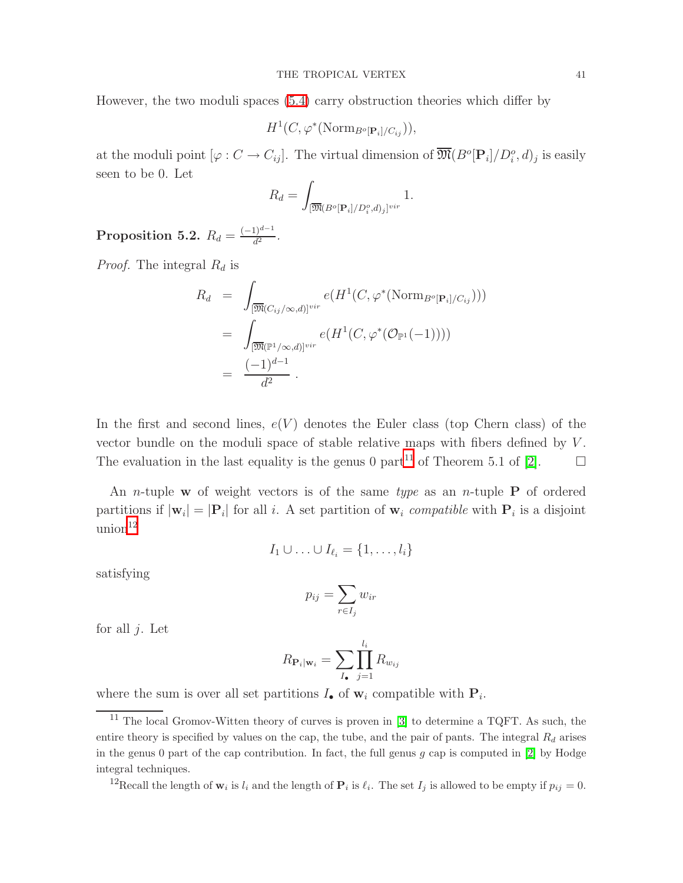However, the two moduli spaces [\(5.4\)](#page-39-0) carry obstruction theories which differ by

$$
H^1(C, \varphi^*(\mathrm{Norm}_{B^o[\mathbf{P}_i]/C_{ij}})),
$$

at the moduli point  $[\varphi : C \to C_{ij}]$ . The virtual dimension of  $\overline{\mathfrak{M}}(B^o[\mathbf{P}_i]/D_i^o, d)_j$  is easily seen to be 0. Let

$$
R_d = \int_{\left[\overline{\mathfrak{M}}(B^o[\mathbf{P}_i]/D_i^o,d)_j\right]^{\text{vir}}} 1.
$$

<span id="page-40-2"></span>Proposition 5.2.  $R_d = \frac{(-1)^{d-1}}{d^2}$  $\frac{1}{d^2}$ .

*Proof.* The integral  $R_d$  is

$$
R_d = \int_{\left[\overline{\mathfrak{M}}(C_{ij}/\infty,d)\right]^{\text{vir}}} e\left(H^1(C,\varphi^*(\text{Norm}_{B^o[\mathbf{P}_i]/C_{ij}}))\right)
$$
  
= 
$$
\int_{\left[\overline{\mathfrak{M}}(\mathbb{P}^1/\infty,d)\right]^{\text{vir}}} e\left(H^1(C,\varphi^*(\mathcal{O}_{\mathbb{P}^1}(-1))))\right)
$$
  
= 
$$
\frac{(-1)^{d-1}}{d^2}.
$$

In the first and second lines,  $e(V)$  denotes the Euler class (top Chern class) of the vector bundle on the moduli space of stable relative maps with fibers defined by V. The evaluation in the last equality is the genus 0 part<sup>[11](#page-40-0)</sup> of Theorem 5.1 of [\[2\]](#page-57-12).  $\Box$ 

An *n*-tuple w of weight vectors is of the same type as an *n*-tuple **P** of ordered partitions if  $|\mathbf{w}_i| = |\mathbf{P}_i|$  for all i. A set partition of  $\mathbf{w}_i$  compatible with  $\mathbf{P}_i$  is a disjoint  $\text{union}^{12}$  $\text{union}^{12}$  $\text{union}^{12}$ 

$$
I_1 \cup \ldots \cup I_{\ell_i} = \{1, \ldots, l_i\}
$$

satisfying

$$
p_{ij} = \sum_{r \in I_j} w_{ir}
$$

for all  $i$ . Let

$$
R_{\mathbf{P}_i|\mathbf{w}_i} = \sum_{I_\bullet} \prod_{j=1}^{l_i} R_{w_{ij}}
$$

where the sum is over all set partitions  $I_{\bullet}$  of  $w_i$  compatible with  $P_i$ .

<span id="page-40-0"></span> $11$  The local Gromov-Witten theory of curves is proven in [\[3\]](#page-57-13) to determine a TQFT. As such, the entire theory is specified by values on the cap, the tube, and the pair of pants. The integral  $R_d$  arises in the genus 0 part of the cap contribution. In fact, the full genus  $g$  cap is computed in [\[2\]](#page-57-12) by Hodge integral techniques.

<span id="page-40-1"></span><sup>&</sup>lt;sup>12</sup>Recall the length of  $\mathbf{w}_i$  is  $l_i$  and the length of  $\mathbf{P}_i$  is  $l_i$ . The set  $I_j$  is allowed to be empty if  $p_{ij} = 0$ .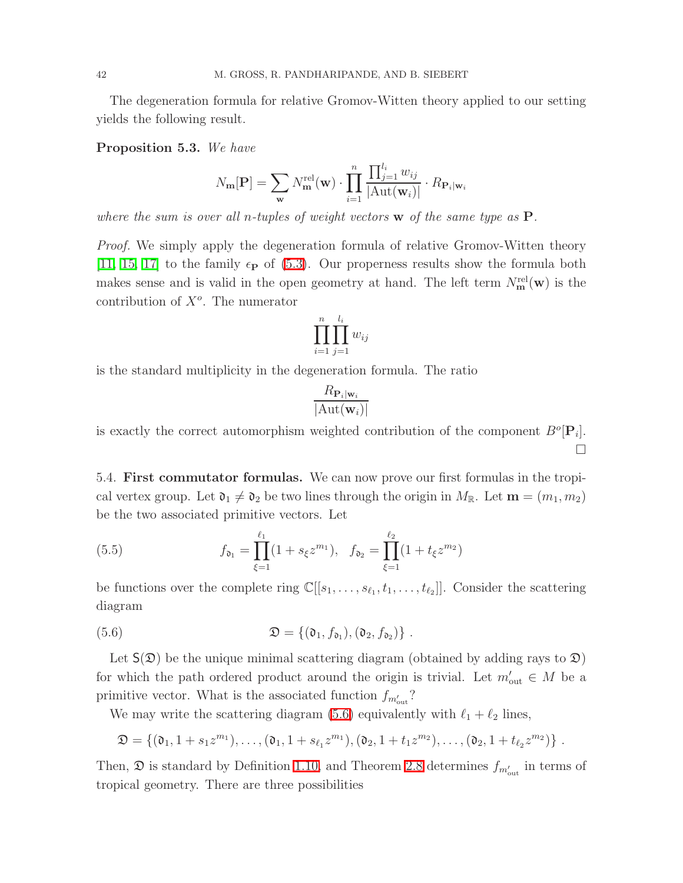<span id="page-41-2"></span>The degeneration formula for relative Gromov-Witten theory applied to our setting yields the following result.

## Proposition 5.3. We have

$$
N_{\mathbf{m}}[\mathbf{P}] = \sum_{\mathbf{w}} N_{\mathbf{m}}^{\text{rel}}(\mathbf{w}) \cdot \prod_{i=1}^{n} \frac{\prod_{j=1}^{l_i} w_{ij}}{|\text{Aut}(\mathbf{w}_i)|} \cdot R_{\mathbf{P}_i|\mathbf{w}_i}
$$

where the sum is over all n-tuples of weight vectors  $\bf{w}$  of the same type as  $\bf{P}$ .

Proof. We simply apply the degeneration formula of relative Gromov-Witten theory [\[11,](#page-57-8) [15,](#page-57-9) [17\]](#page-57-10) to the family  $\epsilon_{\mathbf{P}}$  of [\(5.3\)](#page-39-1). Our properness results show the formula both makes sense and is valid in the open geometry at hand. The left term  $N_{\mathbf{m}}^{\text{rel}}(\mathbf{w})$  is the contribution of  $X^o$ . The numerator

$$
\prod_{i=1}^n \prod_{j=1}^{l_i} w_{ij}
$$

is the standard multiplicity in the degeneration formula. The ratio

$$
\frac{R_{\mathbf{P}_i|\mathbf{w}_i}}{|\mathrm{Aut}(\mathbf{w}_i)|}
$$

is exactly the correct automorphism weighted contribution of the component  $B^o[\mathbf{P}_i]$ .  $\Box$ 

<span id="page-41-0"></span>5.4. First commutator formulas. We can now prove our first formulas in the tropical vertex group. Let  $\mathfrak{d}_1 \neq \mathfrak{d}_2$  be two lines through the origin in  $M_{\mathbb{R}}$ . Let  $\mathbf{m} = (m_1, m_2)$ be the two associated primitive vectors. Let

<span id="page-41-3"></span>(5.5) 
$$
f_{\mathfrak{d}_1} = \prod_{\xi=1}^{\ell_1} (1 + s_{\xi} z^{m_1}), \quad f_{\mathfrak{d}_2} = \prod_{\xi=1}^{\ell_2} (1 + t_{\xi} z^{m_2})
$$

be functions over the complete ring  $\mathbb{C}[[s_1,\ldots,s_{\ell_1},t_1,\ldots,t_{\ell_2}]]$ . Consider the scattering diagram

<span id="page-41-1"></span>(5.6) 
$$
\mathfrak{D} = \{(\mathfrak{d}_1, f_{\mathfrak{d}_1}), (\mathfrak{d}_2, f_{\mathfrak{d}_2})\}.
$$

Let  $S(\mathfrak{D})$  be the unique minimal scattering diagram (obtained by adding rays to  $\mathfrak{D}$ ) for which the path ordered product around the origin is trivial. Let  $m'_{\text{out}} \in M$  be a primitive vector. What is the associated function  $f_{m'_{\text{out}}}$ ?

We may write the scattering diagram [\(5.6\)](#page-41-1) equivalently with  $\ell_1 + \ell_2$  lines,

$$
\mathfrak{D} = \{(\mathfrak{d}_1, 1 + s_1 z^{m_1}), \ldots, (\mathfrak{d}_1, 1 + s_{\ell_1} z^{m_1}), (\mathfrak{d}_2, 1 + t_1 z^{m_2}), \ldots, (\mathfrak{d}_2, 1 + t_{\ell_2} z^{m_2})\}.
$$

Then,  $\mathfrak D$  is standard by Definition [1.10,](#page-14-1) and Theorem [2.8](#page-23-1) determines  $f_{m'_{\text{out}}}$  in terms of tropical geometry. There are three possibilities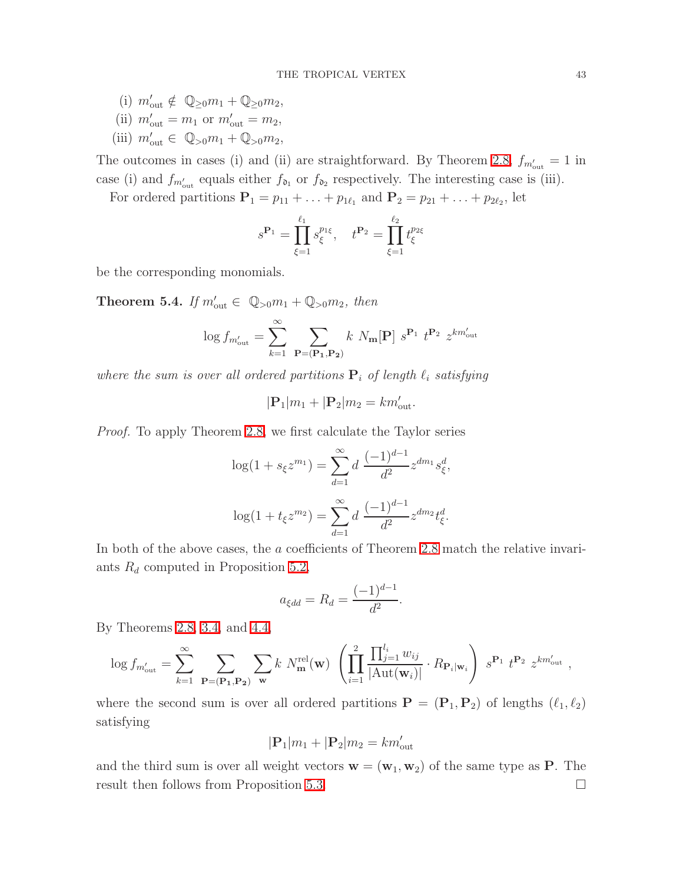- (i)  $m'_{\text{out}} \notin \mathbb{Q}_{\geq 0}m_1 + \mathbb{Q}_{\geq 0}m_2$ ,
- (ii)  $m'_{\text{out}} = m_1 \text{ or } m'_{\text{out}} = m_2,$
- (iii)  $m'_{\text{out}} \in \mathbb{Q}_{>0}m_1 + \mathbb{Q}_{>0}m_2$ ,

The outcomes in cases (i) and (ii) are straightforward. By Theorem [2.8,](#page-23-1)  $f_{m'_{\text{out}}} = 1$  in case (i) and  $f_{m'_{out}}$  equals either  $f_{\mathfrak{d}_1}$  or  $f_{\mathfrak{d}_2}$  respectively. The interesting case is (iii).

For ordered partitions  $P_1 = p_{11} + \ldots + p_{1\ell_1}$  and  $P_2 = p_{21} + \ldots + p_{2\ell_2}$ , let

$$
s^{\mathbf{P}_1} = \prod_{\xi=1}^{\ell_1} s_{\xi}^{p_{1\xi}}, \quad t^{\mathbf{P}_2} = \prod_{\xi=1}^{\ell_2} t_{\xi}^{p_{2\xi}}
$$

<span id="page-42-0"></span>be the corresponding monomials.

**Theorem 5.4.** If  $m'_{\text{out}} \in \mathbb{Q}_{>0}m_1 + \mathbb{Q}_{>0}m_2$ , then

$$
\log f_{m_{\rm out}'} = \sum_{k=1}^{\infty} \sum_{\mathbf{P} = (\mathbf{P_1}, \mathbf{P_2})} k \ N_{\mathbf{m}}[\mathbf{P}] \ s^{\mathbf{P_1}} \ t^{\mathbf{P_2}} \ z^{km_{\rm out}'}
$$

where the sum is over all ordered partitions  $P_i$  of length  $\ell_i$  satisfying

$$
|\mathbf{P}_1|m_1+|\mathbf{P}_2|m_2=km'_{\text{out}}.
$$

Proof. To apply Theorem [2.8,](#page-23-1) we first calculate the Taylor series

$$
\log(1 + s_{\xi} z^{m_1}) = \sum_{d=1}^{\infty} d \frac{(-1)^{d-1}}{d^2} z^{dm_1} s_{\xi}^d,
$$

$$
\log(1 + t_{\xi} z^{m_2}) = \sum_{d=1}^{\infty} d \frac{(-1)^{d-1}}{d^2} z^{dm_2} t_{\xi}^d.
$$

In both of the above cases, the a coefficients of Theorem [2.8](#page-23-1) match the relative invariants  $R_d$  computed in Proposition [5.2,](#page-40-2)

$$
a_{\xi dd} = R_d = \frac{(-1)^{d-1}}{d^2}.
$$

By Theorems [2.8,](#page-23-1) [3.4,](#page-28-1) and [4.4,](#page-36-2)

$$
\log f_{m_{\text{out}}'} = \sum_{k=1}^{\infty} \sum_{\mathbf{P} = (\mathbf{P_1}, \mathbf{P_2})} \sum_{\mathbf{w}} k \ N_{\mathbf{m}}^{\text{rel}}(\mathbf{w}) \ \left( \prod_{i=1}^{2} \frac{\prod_{j=1}^{l_i} w_{ij}}{|\text{Aut}(\mathbf{w}_i)|} \cdot R_{\mathbf{P}_i | \mathbf{w}_i} \right) \ s^{\mathbf{P_1}} \ t^{\mathbf{P_2}} \ z^{km_{\text{out}}'},
$$

where the second sum is over all ordered partitions  $\mathbf{P} = (\mathbf{P}_1, \mathbf{P}_2)$  of lengths  $(\ell_1, \ell_2)$ satisfying

$$
|\mathbf{P}_1|m_1+|\mathbf{P}_2|m_2=km'_{\text{out}}
$$

and the third sum is over all weight vectors  $\mathbf{w} = (\mathbf{w}_1, \mathbf{w}_2)$  of the same type as **P**. The result then follows from Proposition [5.3.](#page-41-2)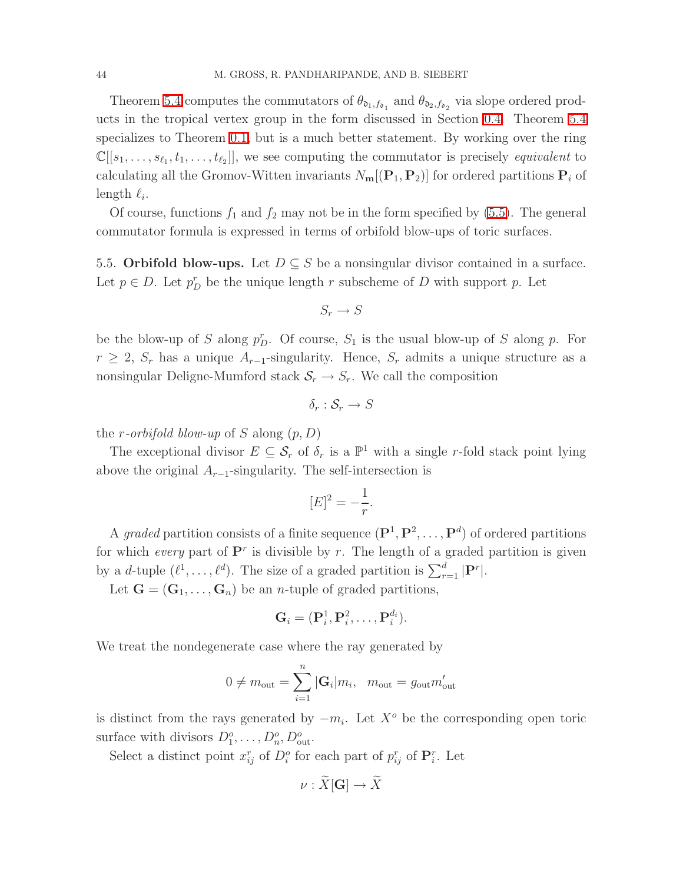Theorem [5.4](#page-42-0) computes the commutators of  $\theta_{\mathfrak{d}_1, f_{\mathfrak{d}_1}}$  and  $\theta_{\mathfrak{d}_2, f_{\mathfrak{d}_2}}$  via slope ordered products in the tropical vertex group in the form discussed in Section [0.4.](#page-3-1) Theorem [5.4](#page-42-0) specializes to Theorem [0.1,](#page-4-2) but is a much better statement. By working over the ring  $\mathbb{C}[[s_1,\ldots,s_{\ell_1},t_1,\ldots,t_{\ell_2}]],$  we see computing the commutator is precisely *equivalent* to calculating all the Gromov-Witten invariants  $N_{\mathbf{m}}[(\mathbf{P}_1, \mathbf{P}_2)]$  for ordered partitions  $\mathbf{P}_i$  of length  $\ell_i$ .

Of course, functions  $f_1$  and  $f_2$  may not be in the form specified by [\(5.5\)](#page-41-3). The general commutator formula is expressed in terms of orbifold blow-ups of toric surfaces.

<span id="page-43-0"></span>5.5. Orbifold blow-ups. Let  $D \subseteq S$  be a nonsingular divisor contained in a surface. Let  $p \in D$ . Let  $p_D^r$  be the unique length r subscheme of D with support p. Let

$$
S_r \to S
$$

be the blow-up of S along  $p_D^r$ . Of course,  $S_1$  is the usual blow-up of S along p. For  $r \geq 2$ ,  $S_r$  has a unique  $A_{r-1}$ -singularity. Hence,  $S_r$  admits a unique structure as a nonsingular Deligne-Mumford stack  $S_r \to S_r$ . We call the composition

$$
\delta_r:\mathcal{S}_r\to S
$$

the *r*-orbifold blow-up of S along  $(p, D)$ 

The exceptional divisor  $E \subseteq S_r$  of  $\delta_r$  is a  $\mathbb{P}^1$  with a single r-fold stack point lying above the original  $A_{r-1}$ -singularity. The self-intersection is

$$
[E]^2 = -\frac{1}{r}.
$$

A graded partition consists of a finite sequence  $(\mathbf{P}^1, \mathbf{P}^2, \dots, \mathbf{P}^d)$  of ordered partitions for which *every* part of  $\mathbf{P}^r$  is divisible by r. The length of a graded partition is given by a *d*-tuple  $(\ell^1, \ldots, \ell^d)$ . The size of a graded partition is  $\sum_{r=1}^d |\mathbf{P}^r|$ .

Let  $G = (G_1, \ldots, G_n)$  be an *n*-tuple of graded partitions,

$$
\mathbf{G}_i = (\mathbf{P}_i^1, \mathbf{P}_i^2, \dots, \mathbf{P}_i^{d_i}).
$$

We treat the nondegenerate case where the ray generated by

$$
0 \neq m_{\text{out}} = \sum_{i=1}^{n} |\mathbf{G}_i| m_i, \quad m_{\text{out}} = g_{\text{out}} m'_{\text{out}}
$$

is distinct from the rays generated by  $-m_i$ . Let  $X^o$  be the corresponding open toric surface with divisors  $D_1^o, \ldots, D_n^o, D_{\text{out}}^o$ .

Select a distinct point  $x_{ij}^r$  of  $D_i^o$  for each part of  $p_{ij}^r$  of  $\mathbf{P}_i^r$ . Let

$$
\nu : \widetilde{X}[\mathbf{G}] \to \widetilde{X}
$$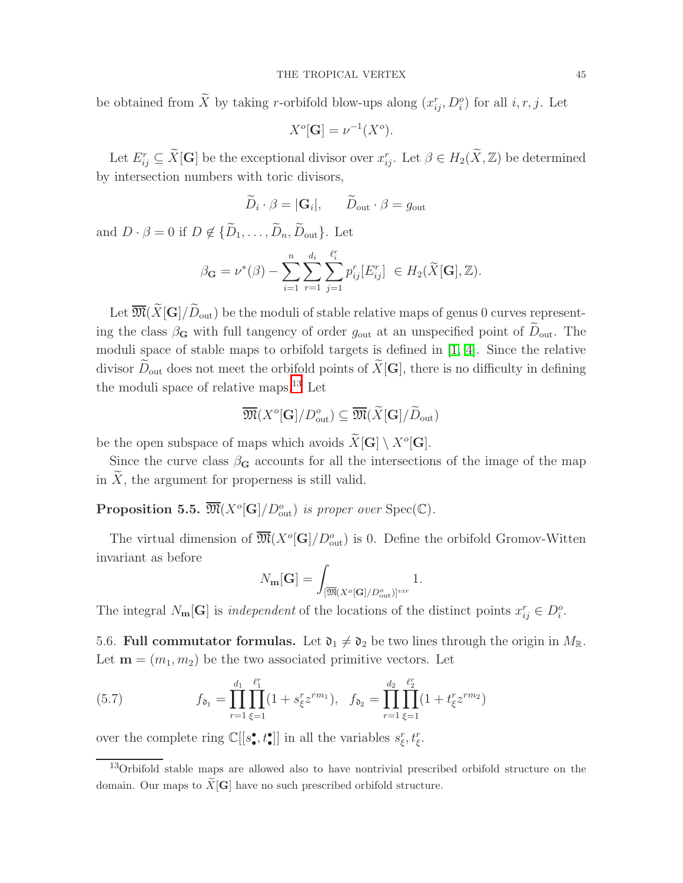be obtained from  $\tilde{X}$  by taking r-orbifold blow-ups along  $(x_{ij}^r, D_i^o)$  for all  $i, r, j$ . Let

$$
X^o[\mathbf{G}] = \nu^{-1}(X^o).
$$

Let  $E_{ij}^r \subseteq \overline{X}[\mathbf{G}]$  be the exceptional divisor over  $x_{ij}^r$ . Let  $\beta \in H_2(\overline{X}, \mathbb{Z})$  be determined by intersection numbers with toric divisors,

$$
\widetilde{D}_i \cdot \beta = |\mathbf{G}_i|, \qquad \widetilde{D}_{\text{out}} \cdot \beta = g_{\text{out}}
$$

and  $D \cdot \beta = 0$  if  $D \notin {\tilde{D}_1, \ldots, \tilde{D}_n, \tilde{D}_{\text{out}}}$ . Let

$$
\beta_{\mathbf{G}} = \nu^*(\beta) - \sum_{i=1}^n \sum_{r=1}^{d_i} \sum_{j=1}^{\ell_i^r} p_{ij}^r [E_{ij}^r] \in H_2(\widetilde{X}[\mathbf{G}], \mathbb{Z}).
$$

Let  $\overline{\mathfrak{M}}(\widetilde{X}[\mathbf{G}]/\widetilde{D}_{\text{out}})$  be the moduli of stable relative maps of genus 0 curves representing the class  $\beta_{\mathbf{G}}$  with full tangency of order  $g_{\text{out}}$  at an unspecified point of  $\widetilde{D}_{\text{out}}$ . The moduli space of stable maps to orbifold targets is defined in [\[1,](#page-57-14) [4\]](#page-57-15). Since the relative divisor  $\widetilde{D}_{\text{out}}$  does not meet the orbifold points of  $\widetilde{X}[\mathbf{G}]$ , there is no difficulty in defining the moduli space of relative maps.<sup>[13](#page-44-1)</sup> Let

$$
\overline{\mathfrak{M}}(X^o[\mathbf{G}]/D_{\text{out}}^o) \subseteq \overline{\mathfrak{M}}(\widetilde{X}[\mathbf{G}]/\widetilde{D}_{\text{out}})
$$

be the open subspace of maps which avoids  $\widetilde{X}[\mathbf{G}] \setminus X^o[\mathbf{G}]$ .

Since the curve class  $\beta_{\mathbf{G}}$  accounts for all the intersections of the image of the map in  $\widetilde{X}$ , the argument for properness is still valid.

**Proposition 5.5.**  $\overline{\mathfrak{M}}(X^o[\mathbf{G}]/D_{\text{out}}^o)$  is proper over  $\text{Spec}(\mathbb{C})$ .

The virtual dimension of  $\overline{\mathfrak{M}}(X^o[\mathbf{G}]/D_{\text{out}}^o)$  is 0. Define the orbifold Gromov-Witten invariant as before

$$
N_{\mathbf{m}}[\mathbf{G}] = \int_{[\overline{\mathfrak{M}}(X^o[\mathbf{G}]/D_{\text{out}}^o)]^{vir}} 1.
$$

<span id="page-44-0"></span>The integral  $N_{\mathbf{m}}[\mathbf{G}]$  is *independent* of the locations of the distinct points  $x_{ij}^r \in D_i^o$ .

5.6. Full commutator formulas. Let  $\mathfrak{d}_1 \neq \mathfrak{d}_2$  be two lines through the origin in  $M_{\mathbb{R}}$ . Let  $\mathbf{m} = (m_1, m_2)$  be the two associated primitive vectors. Let

<span id="page-44-2"></span>(5.7) 
$$
f_{\mathfrak{d}_1} = \prod_{r=1}^{d_1} \prod_{\xi=1}^{\ell_1^r} (1 + s_{\xi}^r z^{r m_1}), \quad f_{\mathfrak{d}_2} = \prod_{r=1}^{d_2} \prod_{\xi=1}^{\ell_2^r} (1 + t_{\xi}^r z^{r m_2})
$$

over the complete ring  $\mathbb{C}[[s^{\bullet}_{\bullet}, t^{\bullet}_{\bullet}]]$  in all the variables  $s^r_{\xi}, t^r_{\xi}$ .

<span id="page-44-1"></span><sup>&</sup>lt;sup>13</sup>Orbifold stable maps are allowed also to have nontrivial prescribed orbifold structure on the domain. Our maps to  $\widetilde{X}[\mathbf{G}]$  have no such prescribed orbifold structure.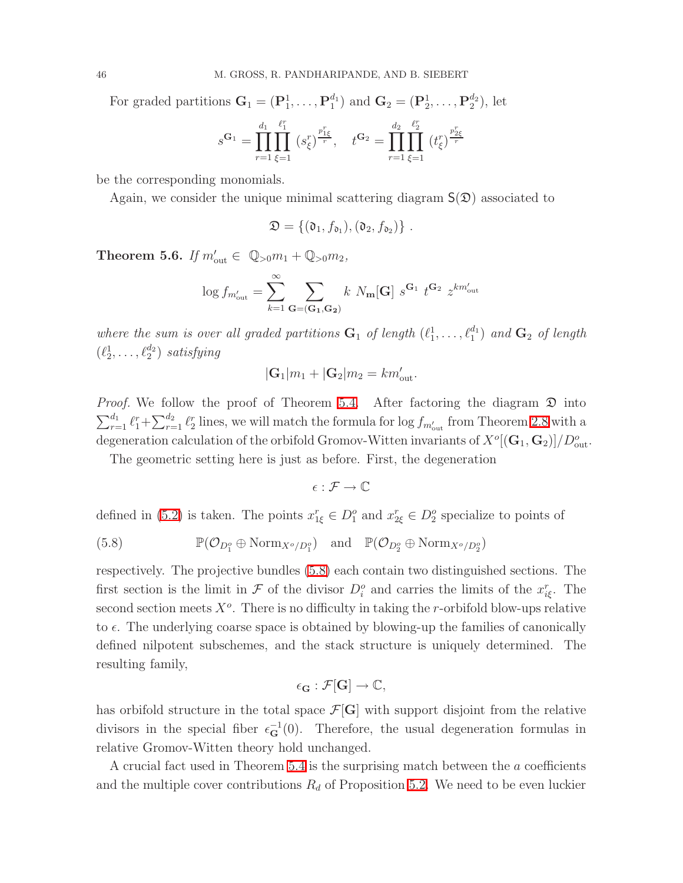For graded partitions  $\mathbf{G}_1 = (\mathbf{P}_1^1, \ldots, \mathbf{P}_1^{d_1})$  and  $\mathbf{G}_2 = (\mathbf{P}_2^1, \ldots, \mathbf{P}_2^{d_2})$ , let

$$
s^{\mathbf{G}_1} = \prod_{r=1}^{d_1} \prod_{\xi=1}^{\ell_1^r} (s_{\xi}^r)^{\frac{p_{1\xi}^r}{r}}, \quad t^{\mathbf{G}_2} = \prod_{r=1}^{d_2} \prod_{\xi=1}^{\ell_2^r} (t_{\xi}^r)^{\frac{p_{2\xi}^r}{r}}
$$

be the corresponding monomials.

Again, we consider the unique minimal scattering diagram  $S(\mathfrak{D})$  associated to

$$
\mathfrak{D} = \{(\mathfrak{d}_1, f_{\mathfrak{d}_1}), (\mathfrak{d}_2, f_{\mathfrak{d}_2})\}.
$$

<span id="page-45-1"></span>**Theorem 5.6.** If  $m'_{\text{out}} \in \mathbb{Q}_{>0}m_1 + \mathbb{Q}_{>0}m_2$ ,

$$
\log f_{m'_{\text{out}}} = \sum_{k=1}^{\infty} \sum_{\mathbf{G} = (\mathbf{G_1}, \mathbf{G_2})} k \ N_{\mathbf{m}}[\mathbf{G}] \ s^{\mathbf{G_1}} \ t^{\mathbf{G_2}} \ z^{km'_{\text{out}}}
$$

where the sum is over all graded partitions  $G_1$  of length  $(\ell_1^1, \ldots, \ell_1^{d_1})$  and  $G_2$  of length  $(\ell_2^1, \ldots, \ell_2^{d_2})$  satisfying

$$
|\mathbf{G}_1|m_1+|\mathbf{G}_2|m_2=km'_{\text{out}}.
$$

*Proof.* We follow the proof of Theorem [5.4.](#page-42-0) After factoring the diagram  $\mathfrak D$  into  $\sum_{r=1}^{d_1} \ell_1^r + \sum_{r=1}^{d_2} \ell_2^r$  lines, we will match the formula for log  $f_{m'_{\text{out}}}$  from Theorem [2.8](#page-23-1) with a degeneration calculation of the orbifold Gromov-Witten invariants of  $X^o[(\mathbf{G}_1, \mathbf{G}_2)]/D_{\text{out}}^o$ .

The geometric setting here is just as before. First, the degeneration

$$
\epsilon:\mathcal{F}\to\mathbb{C}
$$

<span id="page-45-0"></span>defined in [\(5.2\)](#page-38-4) is taken. The points  $x_{1\xi}^r \in D_1^o$  and  $x_{2\xi}^r \in D_2^o$  specialize to points of

(5.8) 
$$
\mathbb{P}(\mathcal{O}_{D_1^o} \oplus \text{Norm}_{X^o/D_1^o}) \text{ and } \mathbb{P}(\mathcal{O}_{D_2^o} \oplus \text{Norm}_{X^o/D_2^o})
$$

respectively. The projective bundles [\(5.8\)](#page-45-0) each contain two distinguished sections. The first section is the limit in  $\mathcal F$  of the divisor  $D_i^o$  and carries the limits of the  $x_{i\xi}^r$ . The second section meets  $X^o$ . There is no difficulty in taking the r-orbifold blow-ups relative to  $\epsilon$ . The underlying coarse space is obtained by blowing-up the families of canonically defined nilpotent subschemes, and the stack structure is uniquely determined. The resulting family,

$$
\epsilon_{\mathbf{G}}:\mathcal{F}[\mathbf{G}]\to\mathbb{C},
$$

has orbifold structure in the total space  $\mathcal{F}[\mathbf{G}]$  with support disjoint from the relative divisors in the special fiber  $\epsilon_{\mathbf{G}}^{-1}(0)$ . Therefore, the usual degeneration formulas in relative Gromov-Witten theory hold unchanged.

A crucial fact used in Theorem [5.4](#page-42-0) is the surprising match between the a coefficients and the multiple cover contributions  $R_d$  of Proposition [5.2.](#page-40-2) We need to be even luckier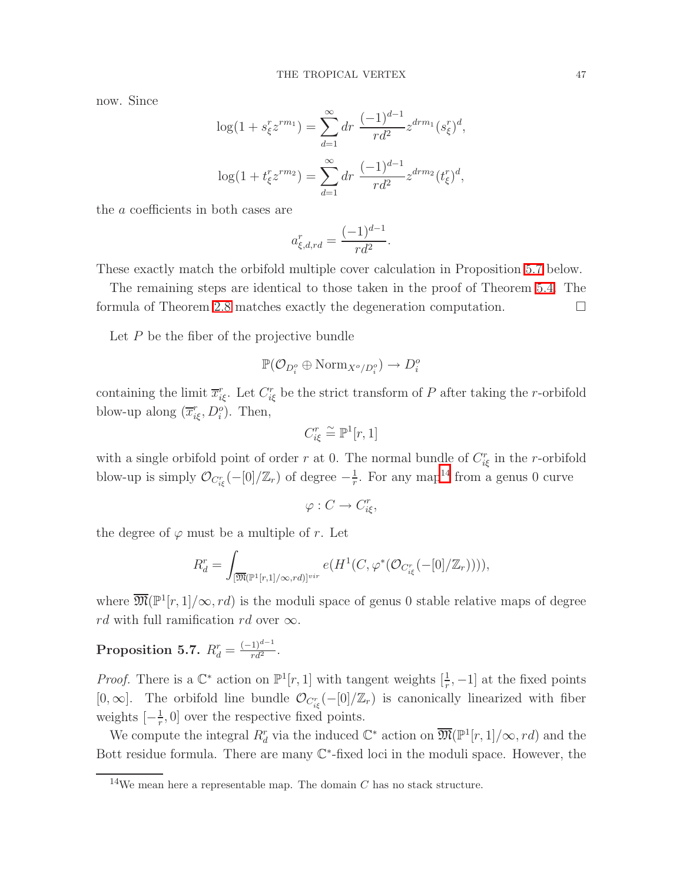now. Since

$$
\log(1 + s_{\xi}^{r} z^{rm_1}) = \sum_{d=1}^{\infty} dr \frac{(-1)^{d-1}}{rd^2} z^{drm_1} (s_{\xi}^{r})^d,
$$
  

$$
\log(1 + t_{\xi}^{r} z^{rm_2}) = \sum_{d=1}^{\infty} dr \frac{(-1)^{d-1}}{rd^2} z^{drm_2} (t_{\xi}^{r})^d,
$$

the a coefficients in both cases are

$$
a_{\xi,d,rd}^r = \frac{(-1)^{d-1}}{rd^2}.
$$

These exactly match the orbifold multiple cover calculation in Proposition [5.7](#page-46-0) below.

The remaining steps are identical to those taken in the proof of Theorem [5.4.](#page-42-0) The formula of Theorem [2.8](#page-23-1) matches exactly the degeneration computation.  $\Box$ 

Let  $P$  be the fiber of the projective bundle

$$
\mathbb{P}(\mathcal{O}_{D_i^o} \oplus \text{Norm}_{X^o/D_i^o}) \to D_i^o
$$

containing the limit  $\overline{x}_{i\xi}^r$ . Let  $C_{i\xi}^r$  be the strict transform of P after taking the r-orbifold blow-up along  $(\overline{x}_{i\xi}^r, D_i^o)$ . Then,

$$
C_{i\xi}^r \stackrel{\sim}{=} \mathbb{P}^1[r,1]
$$

with a single orbifold point of order r at 0. The normal bundle of  $C_{i\xi}^r$  in the r-orbifold blow-up is simply  $\mathcal{O}_{C_{i\xi}^r}(-[0]/\mathbb{Z}_r)$  of degree  $-\frac{1}{r}$  $\frac{1}{r}$ . For any map<sup>[14](#page-46-1)</sup> from a genus 0 curve

$$
\varphi : C \to C_{i\xi}^r,
$$

the degree of  $\varphi$  must be a multiple of r. Let

$$
R_d^r = \int_{[{\overline{\mathfrak M}}({\mathbb P}^1[r,1]/\infty,rd)]^{vir}} e\big(H^1(C,\varphi^*(\mathcal{O}_{C^r_{i\xi}}(-[0]/\mathbb{Z}_r)))\big),
$$

<span id="page-46-0"></span>where  $\overline{\mathfrak{M}}(\mathbb{P}^1[r,1]/\infty, rd)$  is the moduli space of genus 0 stable relative maps of degree rd with full ramification rd over  $\infty$ .

Proposition 5.7.  $R_d^r = \frac{(-1)^{d-1}}{rd^2}$ .

*Proof.* There is a  $\mathbb{C}^*$  action on  $\mathbb{P}^1[r,1]$  with tangent weights  $\left[\frac{1}{r},-1\right]$  at the fixed points [0,  $\infty$ ]. The orbifold line bundle  $\mathcal{O}_{C_{i\xi}^r}(-[0]/\mathbb{Z}_r)$  is canonically linearized with fiber weights  $\left[-\frac{1}{r}\right]$  $\frac{1}{r}$ , 0] over the respective fixed points.

We compute the integral  $R_d^r$  via the induced  $\mathbb{C}^*$  action on  $\overline{\mathfrak{M}}(\mathbb{P}^1[r,1]/\infty, rd)$  and the Bott residue formula. There are many C ∗ -fixed loci in the moduli space. However, the

<span id="page-46-1"></span><sup>&</sup>lt;sup>14</sup>We mean here a representable map. The domain  $C$  has no stack structure.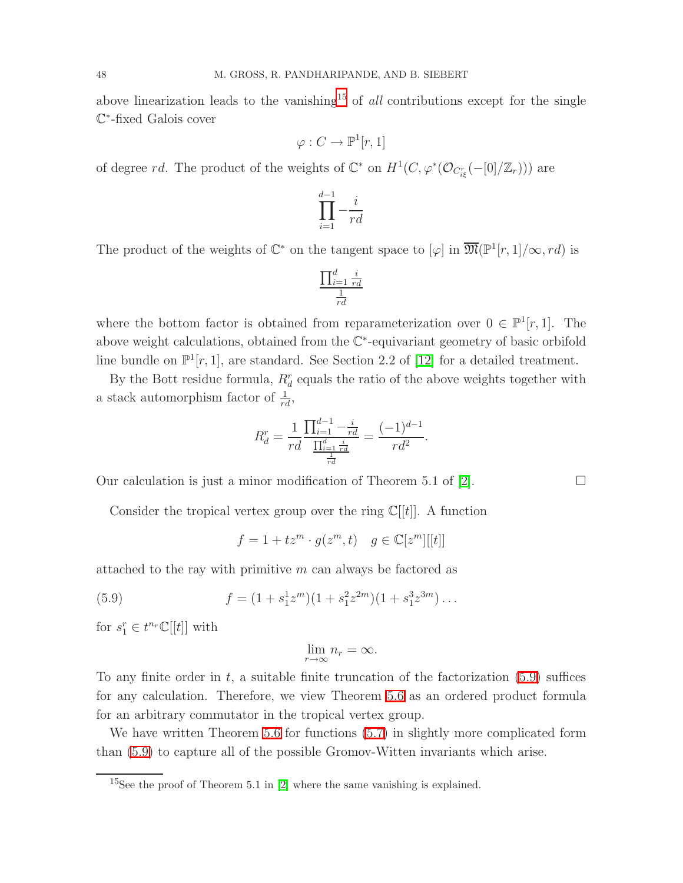above linearization leads to the vanishing<sup>[15](#page-47-0)</sup> of *all* contributions except for the single C ∗ -fixed Galois cover

$$
\varphi: C \to \mathbb{P}^1[r, 1]
$$

of degree rd. The product of the weights of  $\mathbb{C}^*$  on  $H^1(C, \varphi^*(\mathcal{O}_{C_{i\xi}^r}(-[0]/\mathbb{Z}_r)))$  are

$$
\prod_{i=1}^{d-1} -\frac{i}{rd}
$$

The product of the weights of  $\mathbb{C}^*$  on the tangent space to  $[\varphi]$  in  $\overline{\mathfrak{M}}(\mathbb{P}^1[r,1]/\infty,rd)$  is

$$
\frac{\prod_{i=1}^d\frac{i}{rd}}{\frac{1}{rd}}
$$

where the bottom factor is obtained from reparameterization over  $0 \in \mathbb{P}^1[r,1]$ . The above weight calculations, obtained from the  $\mathbb{C}^*$ -equivariant geometry of basic orbifold line bundle on  $\mathbb{P}^1[r,1]$ , are standard. See Section 2.2 of [\[12\]](#page-57-16) for a detailed treatment.

By the Bott residue formula,  $R_d^r$  equals the ratio of the above weights together with a stack automorphism factor of  $\frac{1}{rd}$ ,

$$
R_d^r = \frac{1}{rd} \frac{\prod_{i=1}^{d-1} -\frac{i}{rd}}{\frac{\prod_{i=1}^d \frac{i}{rd}}{\frac{1}{rd}}} = \frac{(-1)^{d-1}}{rd^2}.
$$

Our calculation is just a minor modification of Theorem 5.1 of  $[2]$ .

Consider the tropical vertex group over the ring  $\mathbb{C}[[t]]$ . A function

$$
f = 1 + tz^m \cdot g(z^m, t) \quad g \in \mathbb{C}[z^m][[t]]
$$

<span id="page-47-1"></span>attached to the ray with primitive  $m$  can always be factored as

(5.9) 
$$
f = (1 + s_1^1 z^m)(1 + s_1^2 z^{2m})(1 + s_1^3 z^{3m}) \dots
$$

for  $s_1^r \in t^{n_r} \mathbb{C}[[t]]$  with

$$
\lim_{r \to \infty} n_r = \infty.
$$

To any finite order in  $t$ , a suitable finite truncation of the factorization  $(5.9)$  suffices for any calculation. Therefore, we view Theorem [5.6](#page-45-1) as an ordered product formula for an arbitrary commutator in the tropical vertex group.

We have written Theorem [5.6](#page-45-1) for functions [\(5.7\)](#page-44-2) in slightly more complicated form than [\(5.9\)](#page-47-1) to capture all of the possible Gromov-Witten invariants which arise.

<span id="page-47-0"></span><sup>&</sup>lt;sup>15</sup>See the proof of Theorem 5.1 in  $[2]$  where the same vanishing is explained.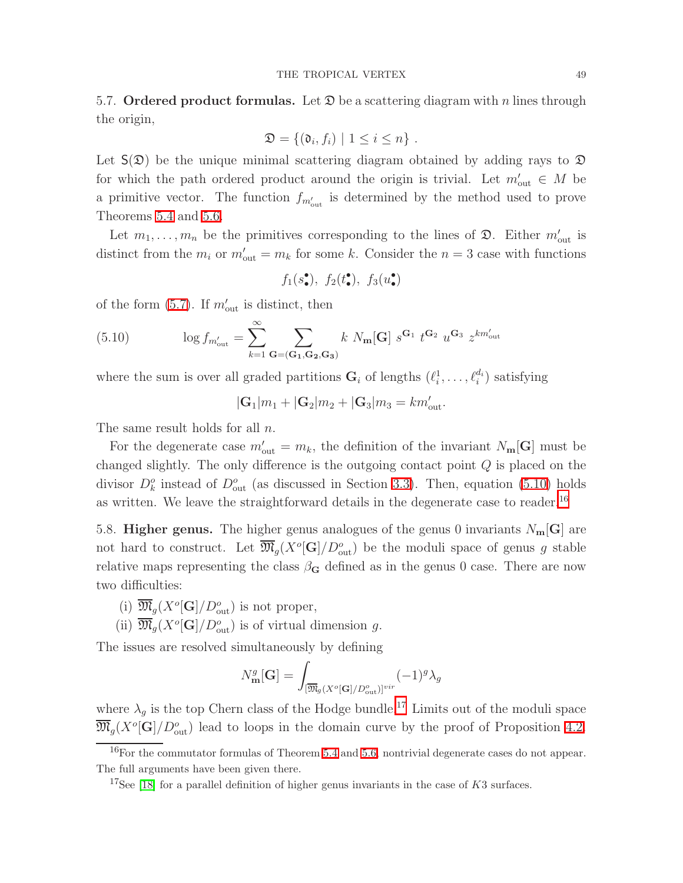<span id="page-48-0"></span>5.7. Ordered product formulas. Let  $\mathfrak D$  be a scattering diagram with n lines through the origin,

$$
\mathfrak{D} = \{(\mathfrak{d}_i, f_i) \mid 1 \leq i \leq n\}.
$$

Let  $S(\mathfrak{D})$  be the unique minimal scattering diagram obtained by adding rays to  $\mathfrak D$ for which the path ordered product around the origin is trivial. Let  $m'_{\text{out}} \in M$  be a primitive vector. The function  $f_{m'_{\text{out}}}$  is determined by the method used to prove Theorems [5.4](#page-42-0) and [5.6.](#page-45-1)

Let  $m_1, \ldots, m_n$  be the primitives corresponding to the lines of  $\mathfrak{D}$ . Either  $m'_{\text{out}}$  is distinct from the  $m_i$  or  $m'_{\text{out}} = m_k$  for some k. Consider the  $n = 3$  case with functions

$$
f_1(s_{\bullet}^{\bullet}), f_2(t_{\bullet}^{\bullet}), f_3(u_{\bullet}^{\bullet})
$$

<span id="page-48-2"></span>of the form  $(5.7)$ . If  $m'_{\text{out}}$  is distinct, then

(5.10) 
$$
\log f_{m'_{\text{out}}} = \sum_{k=1}^{\infty} \sum_{\mathbf{G} = (\mathbf{G_1}, \mathbf{G_2}, \mathbf{G_3})} k \, N_{\mathbf{m}}[\mathbf{G}] \, s^{\mathbf{G_1}} \, t^{\mathbf{G_2}} \, u^{\mathbf{G_3}} \, z^{km'_{\text{out}}}
$$

where the sum is over all graded partitions  $\mathbf{G}_i$  of lengths  $(\ell_i^1, \ldots, \ell_i^{d_i})$  satisfying

 $|\mathbf{G}_1|m_1 + |\mathbf{G}_2|m_2 + |\mathbf{G}_3|m_3 = km'_{\text{out}}.$ 

The same result holds for all n.

For the degenerate case  $m'_{\text{out}} = m_k$ , the definition of the invariant  $N_{\text{m}}[G]$  must be changed slightly. The only difference is the outgoing contact point  $Q$  is placed on the divisor  $D_k^o$  instead of  $D_{\text{out}}^o$  (as discussed in Section [3.3\)](#page-29-0). Then, equation [\(5.10\)](#page-48-2) holds as written. We leave the straightforward details in the degenerate case to reader.<sup>[16](#page-48-3)</sup>

<span id="page-48-1"></span>5.8. Higher genus. The higher genus analogues of the genus 0 invariants  $N_{\rm m}[G]$  are not hard to construct. Let  $\overline{\mathfrak{M}}_g(X^o[\mathbf{G}]/D_{\text{out}}^o)$  be the moduli space of genus g stable relative maps representing the class  $\beta_{\mathbf{G}}$  defined as in the genus 0 case. There are now two difficulties:

- (i)  $\overline{\mathfrak{M}}_g(X^o[\mathbf{G}]/D_{\text{out}}^o)$  is not proper,
- (ii)  $\overline{\mathfrak{M}}_g(X^o[\mathbf{G}]/D_{\text{out}}^o)$  is of virtual dimension g.

The issues are resolved simultaneously by defining

$$
N_{\mathbf{m}}^g[\mathbf{G}]=\int_{[\overline{\mathfrak{M}}_g(X^o[\mathbf{G}]/D_{\text{out}}^o)]^{vir}}(-1)^g\lambda_g
$$

where  $\lambda_q$  is the top Chern class of the Hodge bundle.<sup>[17](#page-48-4)</sup> Limits out of the moduli space  $\overline{\mathfrak{M}}_g(X^o[\mathbf{G}]/D_{\text{out}}^o)$  lead to loops in the domain curve by the proof of Proposition [4.2.](#page-32-3)

<span id="page-48-4"></span><span id="page-48-3"></span><sup>16</sup>For the commutator formulas of Theorem [5.4](#page-42-0) and [5.6,](#page-45-1) nontrivial degenerate cases do not appear. The full arguments have been given there.

<sup>&</sup>lt;sup>17</sup>See [\[18\]](#page-57-17) for a parallel definition of higher genus invariants in the case of K3 surfaces.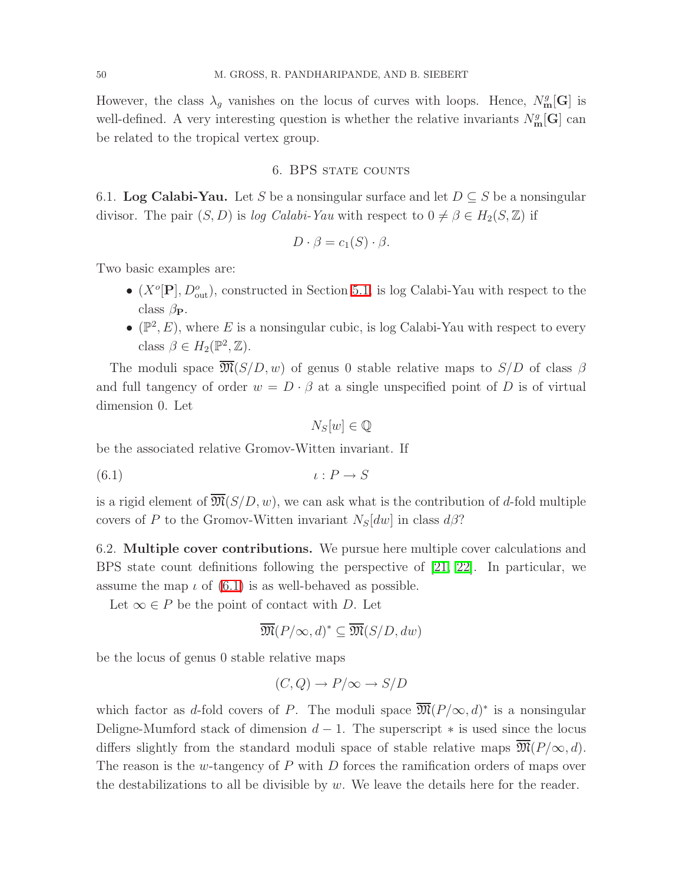<span id="page-49-0"></span>However, the class  $\lambda_g$  vanishes on the locus of curves with loops. Hence,  $N_{\rm m}^g[G]$  is well-defined. A very interesting question is whether the relative invariants  $N_{\rm m}^g[\mathbf{G}]$  can be related to the tropical vertex group.

#### 6. BPS STATE COUNTS

<span id="page-49-1"></span>6.1. Log Calabi-Yau. Let S be a nonsingular surface and let  $D \subseteq S$  be a nonsingular divisor. The pair  $(S, D)$  is log Calabi-Yau with respect to  $0 \neq \beta \in H_2(S, \mathbb{Z})$  if

$$
D \cdot \beta = c_1(S) \cdot \beta.
$$

Two basic examples are:

- $(X^o[\mathbf{P}], D_{\text{out}}^o)$ , constructed in Section [5.1,](#page-37-1) is log Calabi-Yau with respect to the class  $\beta_{\rm P}$ .
- $(\mathbb{P}^2, E)$ , where E is a nonsingular cubic, is log Calabi-Yau with respect to every class  $\beta \in H_2(\mathbb{P}^2, \mathbb{Z})$ .

The moduli space  $\overline{\mathfrak{M}}(S/D, w)$  of genus 0 stable relative maps to  $S/D$  of class  $\beta$ and full tangency of order  $w = D \cdot \beta$  at a single unspecified point of D is of virtual dimension 0. Let

<span id="page-49-3"></span>
$$
N_S[w] \in \mathbb{Q}
$$

be the associated relative Gromov-Witten invariant. If

$$
(6.1) \t\t\t t: P \to S
$$

is a rigid element of  $\overline{\mathfrak{M}}(S/D, w)$ , we can ask what is the contribution of d-fold multiple covers of P to the Gromov-Witten invariant  $N_S[dw]$  in class  $d\beta$ ?

<span id="page-49-2"></span>6.2. Multiple cover contributions. We pursue here multiple cover calculations and BPS state count definitions following the perspective of [\[21,](#page-57-18) [22\]](#page-57-19). In particular, we assume the map  $\iota$  of [\(6.1\)](#page-49-3) is as well-behaved as possible.

Let  $\infty \in P$  be the point of contact with D. Let

$$
\overline{\mathfrak{M}}(P/\infty, d)^* \subseteq \overline{\mathfrak{M}}(S/D, dw)
$$

be the locus of genus 0 stable relative maps

$$
(C,Q) \to P/\infty \to S/D
$$

which factor as d-fold covers of P. The moduli space  $\overline{\mathfrak{M}}(P/\infty,d)^*$  is a nonsingular Deligne-Mumford stack of dimension  $d-1$ . The superscript  $*$  is used since the locus differs slightly from the standard moduli space of stable relative maps  $\mathfrak{M}(P/\infty, d)$ . The reason is the w-tangency of  $P$  with  $D$  forces the ramification orders of maps over the destabilizations to all be divisible by  $w$ . We leave the details here for the reader.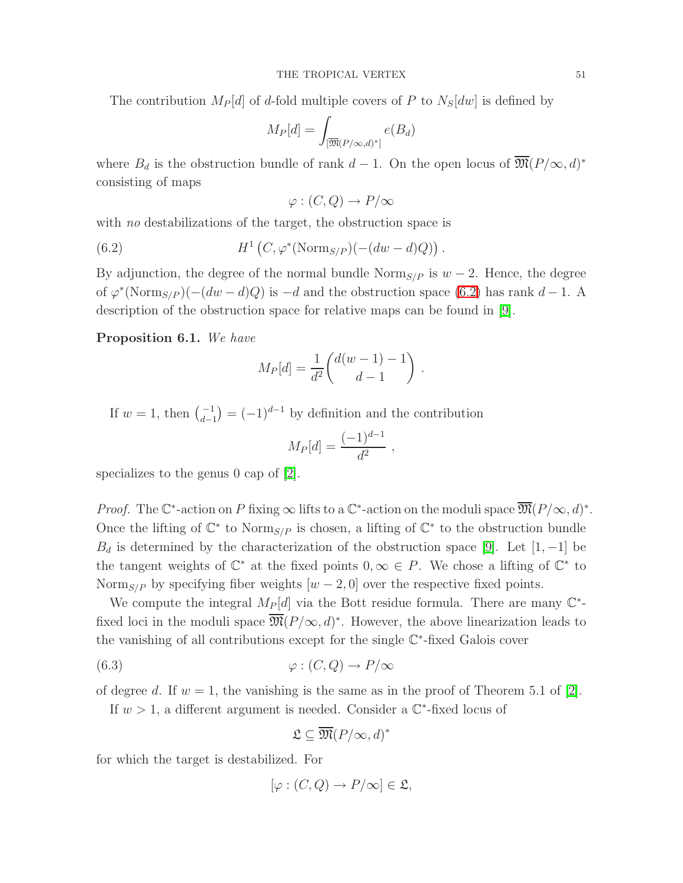The contribution  $M_P[d]$  of d-fold multiple covers of P to  $N_S[dw]$  is defined by

$$
M_P[d] = \int_{\left[\overline{\mathfrak{M}}(P/\infty, d)^*\right]} e(B_d)
$$

where  $B_d$  is the obstruction bundle of rank  $d-1$ . On the open locus of  $\overline{\mathfrak{M}}(P/\infty,d)^*$ consisting of maps

$$
\varphi:(C,Q)\to P/\infty
$$

<span id="page-50-0"></span>with no destabilizations of the target, the obstruction space is

(6.2) 
$$
H^1(C, \varphi^*(\text{Norm}_{S/P})(-(dw-d)Q)).
$$

By adjunction, the degree of the normal bundle  $\text{Norm}_{S/P}$  is  $w-2$ . Hence, the degree of  $\varphi^*(\text{Norm}_{S/P})(-(dw-d)Q)$  is  $-d$  and the obstruction space [\(6.2\)](#page-50-0) has rank  $d-1$ . A description of the obstruction space for relative maps can be found in [\[9\]](#page-57-20).

Proposition 6.1. We have

$$
M_P[d] = \frac{1}{d^2} \binom{d(w-1)-1}{d-1} .
$$

If  $w = 1$ , then  $\binom{-1}{d-1} = (-1)^{d-1}$  by definition and the contribution

$$
M_P[d] = \frac{(-1)^{d-1}}{d^2} ,
$$

specializes to the genus 0 cap of [\[2\]](#page-57-12).

*Proof.* The  $\mathbb{C}^*$ -action on P fixing  $\infty$  lifts to a  $\mathbb{C}^*$ -action on the moduli space  $\overline{\mathfrak{M}}(P/\infty,d)^*$ . Once the lifting of  $\mathbb{C}^*$  to Norm<sub>S/P</sub> is chosen, a lifting of  $\mathbb{C}^*$  to the obstruction bundle  $B_d$  is determined by the characterization of the obstruction space [\[9\]](#page-57-20). Let [1, -1] be the tangent weights of  $\mathbb{C}^*$  at the fixed points  $0, \infty \in P$ . We chose a lifting of  $\mathbb{C}^*$  to Norm<sub>S/P</sub> by specifying fiber weights  $[w - 2, 0]$  over the respective fixed points.

We compute the integral  $M_P[d]$  via the Bott residue formula. There are many  $\mathbb{C}^*$ fixed loci in the moduli space  $\overline{\mathfrak{M}}(P/\infty, d)^*$ . However, the above linearization leads to the vanishing of all contributions except for the single C ∗ -fixed Galois cover

<span id="page-50-1"></span>(6.3) 
$$
\varphi : (C, Q) \to P/\infty
$$

of degree d. If  $w = 1$ , the vanishing is the same as in the proof of Theorem 5.1 of [\[2\]](#page-57-12).

If  $w > 1$ , a different argument is needed. Consider a  $\mathbb{C}^*$ -fixed locus of

$$
\mathfrak{L} \subseteq \overline{\mathfrak{M}}(P/\infty, d)^*
$$

for which the target is destabilized. For

$$
[\varphi : (C, Q) \to P/\infty] \in \mathfrak{L},
$$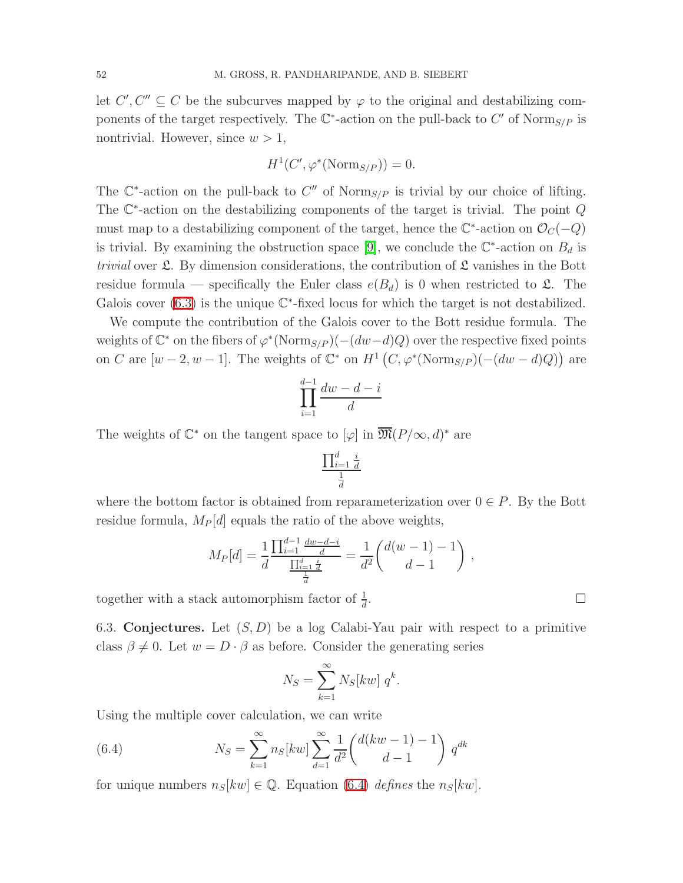let  $C', C'' \subseteq C$  be the subcurves mapped by  $\varphi$  to the original and destabilizing components of the target respectively. The  $\mathbb{C}^*$ -action on the pull-back to  $C'$  of Norm<sub>S/P</sub> is nontrivial. However, since  $w > 1$ ,

$$
H^1(C', \varphi^*(\text{Norm}_{S/P})) = 0.
$$

The  $\mathbb{C}^*$ -action on the pull-back to  $C''$  of Norm<sub>S/P</sub> is trivial by our choice of lifting. The  $\mathbb{C}^*$ -action on the destabilizing components of the target is trivial. The point  $Q$ must map to a destabilizing component of the target, hence the  $\mathbb{C}^*$ -action on  $\mathcal{O}_C(-Q)$ is trivial. By examining the obstruction space [\[9\]](#page-57-20), we conclude the  $\mathbb{C}^*$ -action on  $B_d$  is *trivial* over  $\mathfrak{L}$ . By dimension considerations, the contribution of  $\mathfrak{L}$  vanishes in the Bott residue formula — specifically the Euler class  $e(B_d)$  is 0 when restricted to  $\mathfrak{L}$ . The Galois cover  $(6.3)$  is the unique  $\mathbb{C}^*$ -fixed locus for which the target is not destabilized.

We compute the contribution of the Galois cover to the Bott residue formula. The weights of  $\mathbb{C}^*$  on the fibers of  $\varphi^*(\text{Norm}_{S/P})(-(dw-d)Q)$  over the respective fixed points on C are  $[w-2, w-1]$ . The weights of  $\mathbb{C}^*$  on  $H^1(C, \varphi^*(\text{Norm}_{S/P})(-(dw-d)Q))$  are

$$
\prod_{i=1}^{d-1} \frac{dw - d - i}{d}
$$

The weights of  $\mathbb{C}^*$  on the tangent space to  $[\varphi]$  in  $\overline{\mathfrak{M}}(P/\infty,d)^*$  are

$$
\frac{\prod_{i=1}^d \frac{i}{d}}{\frac{1}{d}}
$$

where the bottom factor is obtained from reparameterization over  $0 \in P$ . By the Bott residue formula,  $M_P[d]$  equals the ratio of the above weights,

$$
M_P[d] = \frac{1}{d} \frac{\prod_{i=1}^{d-1} \frac{dw - d - i}{d}}{\frac{\prod_{i=1}^d \frac{i}{d}}{\frac{1}{d}}} = \frac{1}{d^2} \binom{d(w-1) - 1}{d - 1},
$$

<span id="page-51-0"></span>together with a stack automorphism factor of  $\frac{1}{d}$ 

6.3. Conjectures. Let  $(S, D)$  be a log Calabi-Yau pair with respect to a primitive class  $\beta \neq 0$ . Let  $w = D \cdot \beta$  as before. Consider the generating series

$$
N_S = \sum_{k=1}^{\infty} N_S[kw] \; q^k.
$$

<span id="page-51-1"></span>Using the multiple cover calculation, we can write

(6.4) 
$$
N_S = \sum_{k=1}^{\infty} n_S [kw] \sum_{d=1}^{\infty} \frac{1}{d^2} {d(kw - 1) - 1 \choose d - 1} q^{dk}
$$

<span id="page-51-2"></span>for unique numbers  $n_S[kw] \in \mathbb{Q}$ . Equation [\(6.4\)](#page-51-1) defines the  $n_S[kw]$ .

.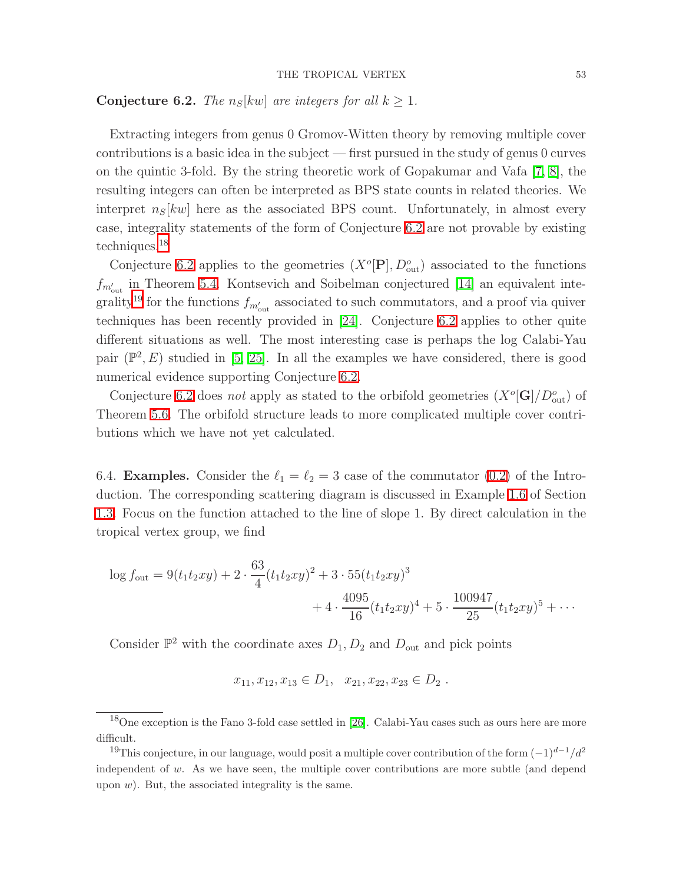**Conjecture 6.2.** The  $n_S[kw]$  are integers for all  $k \geq 1$ .

Extracting integers from genus 0 Gromov-Witten theory by removing multiple cover contributions is a basic idea in the subject — first pursued in the study of genus 0 curves on the quintic 3-fold. By the string theoretic work of Gopakumar and Vafa [\[7,](#page-57-21) [8\]](#page-57-22), the resulting integers can often be interpreted as BPS state counts in related theories. We interpret  $n_S[kw]$  here as the associated BPS count. Unfortunately, in almost every case, integrality statements of the form of Conjecture [6.2](#page-51-2) are not provable by existing techniques.[18](#page-52-1)

Conjecture [6.2](#page-51-2) applies to the geometries  $(X^o[\mathbf{P}], D_{\text{out}}^o)$  associated to the functions  $f_{m'_{\text{out}}}$  in Theorem [5.4.](#page-42-0) Kontsevich and Soibelman conjectured [\[14\]](#page-57-3) an equivalent inte-grality<sup>[19](#page-52-2)</sup> for the functions  $f_{m'_{\text{out}}}$  associated to such commutators, and a proof via quiver techniques has been recently provided in [\[24\]](#page-58-2). Conjecture [6.2](#page-51-2) applies to other quite different situations as well. The most interesting case is perhaps the log Calabi-Yau pair  $(\mathbb{P}^2, E)$  studied in [\[5,](#page-57-6) [25\]](#page-58-1). In all the examples we have considered, there is good numerical evidence supporting Conjecture [6.2.](#page-51-2)

Conjecture [6.2](#page-51-2) does *not* apply as stated to the orbifold geometries  $(X^o[\mathbf{G}]/D_{\text{out}}^o)$  of Theorem [5.6.](#page-45-1) The orbifold structure leads to more complicated multiple cover contributions which we have not yet calculated.

<span id="page-52-0"></span>6.4. **Examples.** Consider the  $\ell_1 = \ell_2 = 3$  case of the commutator [\(0.2\)](#page-3-4) of the Introduction. The corresponding scattering diagram is discussed in Example [1.6](#page-10-0) of Section [1.3.](#page-8-0) Focus on the function attached to the line of slope 1. By direct calculation in the tropical vertex group, we find

$$
\log f_{\text{out}} = 9(t_1 t_2 x y) + 2 \cdot \frac{63}{4} (t_1 t_2 x y)^2 + 3 \cdot 55 (t_1 t_2 x y)^3
$$

$$
+ 4 \cdot \frac{4095}{16} (t_1 t_2 x y)^4 + 5 \cdot \frac{100947}{25} (t_1 t_2 x y)^5 + \cdots
$$

Consider  $\mathbb{P}^2$  with the coordinate axes  $D_1, D_2$  and  $D_{\text{out}}$  and pick points

 $x_{11}, x_{12}, x_{13} \in D_1$ ,  $x_{21}, x_{22}, x_{23} \in D_2$ .

<span id="page-52-1"></span><sup>18</sup>One exception is the Fano 3-fold case settled in [\[26\]](#page-58-3). Calabi-Yau cases such as ours here are more difficult.

<span id="page-52-2"></span><sup>&</sup>lt;sup>19</sup>This conjecture, in our language, would posit a multiple cover contribution of the form  $(-1)^{d-1}/d^2$ independent of w. As we have seen, the multiple cover contributions are more subtle (and depend upon  $w$ ). But, the associated integrality is the same.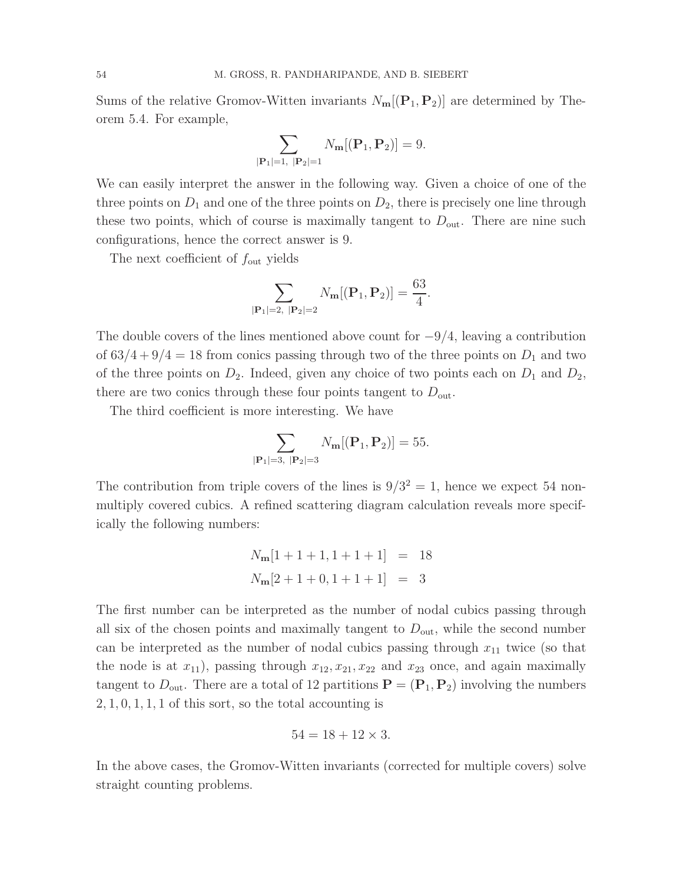Sums of the relative Gromov-Witten invariants  $N_{\mathbf{m}}[(\mathbf{P}_1, \mathbf{P}_2)]$  are determined by Theorem 5.4. For example,

$$
\sum_{|\mathbf{P}_1|=1, |\mathbf{P}_2|=1} N_{\mathbf{m}}[(\mathbf{P}_1, \mathbf{P}_2)] = 9.
$$

We can easily interpret the answer in the following way. Given a choice of one of the three points on  $D_1$  and one of the three points on  $D_2$ , there is precisely one line through these two points, which of course is maximally tangent to  $D_{\text{out}}$ . There are nine such configurations, hence the correct answer is 9.

The next coefficient of  $f_{\text{out}}$  yields

$$
\sum_{|\mathbf{P}_1|=2, |\mathbf{P}_2|=2} N_{\mathbf{m}}[(\mathbf{P}_1, \mathbf{P}_2)] = \frac{63}{4}.
$$

The double covers of the lines mentioned above count for  $-9/4$ , leaving a contribution of  $63/4 + 9/4 = 18$  from conics passing through two of the three points on  $D_1$  and two of the three points on  $D_2$ . Indeed, given any choice of two points each on  $D_1$  and  $D_2$ , there are two conics through these four points tangent to  $D_{\text{out}}$ .

The third coefficient is more interesting. We have

$$
\sum_{|\mathbf{P}_1|=3, |\mathbf{P}_2|=3} N_{\mathbf{m}}[(\mathbf{P}_1, \mathbf{P}_2)] = 55.
$$

The contribution from triple covers of the lines is  $9/3^2 = 1$ , hence we expect 54 nonmultiply covered cubics. A refined scattering diagram calculation reveals more specifically the following numbers:

$$
N_{\mathbf{m}}[1+1+1, 1+1+1] = 18
$$
  

$$
N_{\mathbf{m}}[2+1+0, 1+1+1] = 3
$$

The first number can be interpreted as the number of nodal cubics passing through all six of the chosen points and maximally tangent to  $D_{\text{out}}$ , while the second number can be interpreted as the number of nodal cubics passing through  $x_{11}$  twice (so that the node is at  $x_{11}$ ), passing through  $x_{12}, x_{21}, x_{22}$  and  $x_{23}$  once, and again maximally tangent to  $D_{\text{out}}$ . There are a total of 12 partitions  $\mathbf{P} = (\mathbf{P}_1, \mathbf{P}_2)$  involving the numbers  $2, 1, 0, 1, 1, 1$  of this sort, so the total accounting is

$$
54 = 18 + 12 \times 3.
$$

In the above cases, the Gromov-Witten invariants (corrected for multiple covers) solve straight counting problems.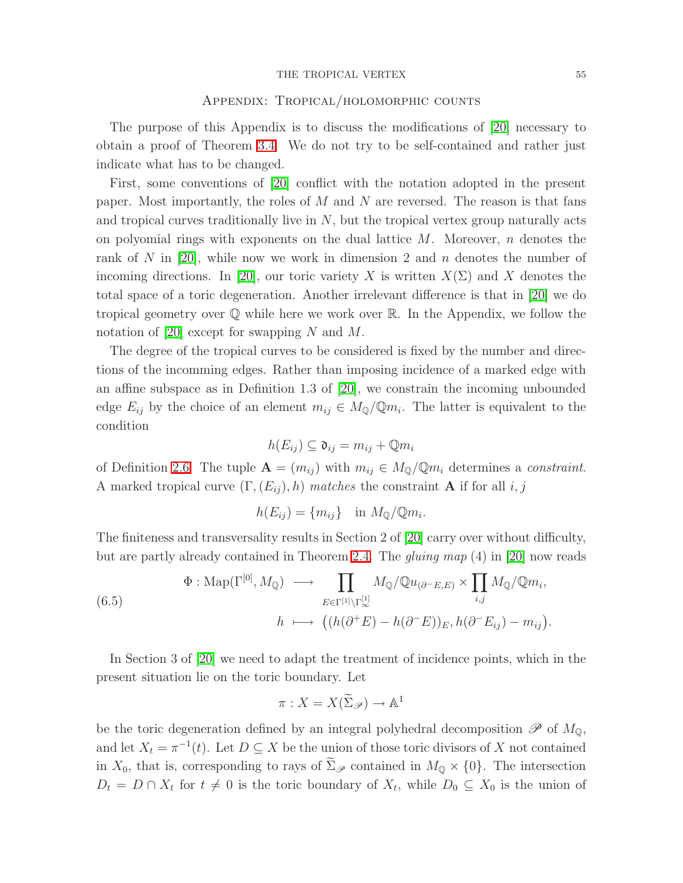#### THE TROPICAL VERTEX 55

## Appendix: Tropical/holomorphic counts

<span id="page-54-0"></span>The purpose of this Appendix is to discuss the modifications of [\[20\]](#page-57-5) necessary to obtain a proof of Theorem [3.4.](#page-28-1) We do not try to be self-contained and rather just indicate what has to be changed.

First, some conventions of [\[20\]](#page-57-5) conflict with the notation adopted in the present paper. Most importantly, the roles of  $M$  and  $N$  are reversed. The reason is that fans and tropical curves traditionally live in  $N$ , but the tropical vertex group naturally acts on polyomial rings with exponents on the dual lattice  $M$ . Moreover, n denotes the rank of N in [\[20\]](#page-57-5), while now we work in dimension 2 and n denotes the number of incoming directions. In [\[20\]](#page-57-5), our toric variety X is written  $X(\Sigma)$  and X denotes the total space of a toric degeneration. Another irrelevant difference is that in [\[20\]](#page-57-5) we do tropical geometry over  $\mathbb Q$  while here we work over  $\mathbb R$ . In the Appendix, we follow the notation of [\[20\]](#page-57-5) except for swapping N and M.

The degree of the tropical curves to be considered is fixed by the number and directions of the incomming edges. Rather than imposing incidence of a marked edge with an affine subspace as in Definition 1.3 of [\[20\]](#page-57-5), we constrain the incoming unbounded edge  $E_{ij}$  by the choice of an element  $m_{ij} \in M_{\mathbb{Q}}/{\mathbb{Q}}m_i$ . The latter is equivalent to the condition

$$
h(E_{ij})\subseteq \mathfrak{d}_{ij}=m_{ij}+\mathbb{Q}m_i
$$

of Definition [2.6.](#page-22-2) The tuple  $\mathbf{A} = (m_{ij})$  with  $m_{ij} \in M_{\mathbb{Q}}/\mathbb{Q}m_i$  determines a constraint. A marked tropical curve  $(\Gamma,(E_{ij}),h)$  matches the constraint **A** if for all  $i, j$ 

$$
h(E_{ij}) = \{m_{ij}\} \quad \text{in } M_{\mathbb{Q}}/\mathbb{Q}m_i.
$$

The finiteness and transversality results in Section 2 of [\[20\]](#page-57-5) carry over without difficulty, but are partly already contained in Theorem [2.4.](#page-19-1) The gluing map (4) in [\[20\]](#page-57-5) now reads

<span id="page-54-1"></span>(6.5)  
\n
$$
\Phi: \text{Map}(\Gamma^{[0]}, M_{\mathbb{Q}}) \longrightarrow \prod_{E \in \Gamma^{[1]} \backslash \Gamma_{\infty}^{[1]}} M_{\mathbb{Q}}/\mathbb{Q} u_{(\partial - E, E)} \times \prod_{i,j} M_{\mathbb{Q}}/\mathbb{Q} m_i,
$$
\n
$$
h \longmapsto ((h(\partial^+ E) - h(\partial^- E))_E, h(\partial^- E_{ij}) - m_{ij}).
$$

In Section 3 of [\[20\]](#page-57-5) we need to adapt the treatment of incidence points, which in the present situation lie on the toric boundary. Let

$$
\pi: X = X(\widetilde{\Sigma}_{\mathscr{P}}) \to \mathbb{A}^1
$$

be the toric degeneration defined by an integral polyhedral decomposition  $\mathscr P$  of  $M_{\mathbb Q}$ , and let  $X_t = \pi^{-1}(t)$ . Let  $D \subseteq X$  be the union of those toric divisors of X not contained in  $X_0$ , that is, corresponding to rays of  $\widetilde{\Sigma}_{\mathscr{P}}$  contained in  $M_{\mathbb{Q}} \times \{0\}$ . The intersection  $D_t = D \cap X_t$  for  $t \neq 0$  is the toric boundary of  $X_t$ , while  $D_0 \subseteq X_0$  is the union of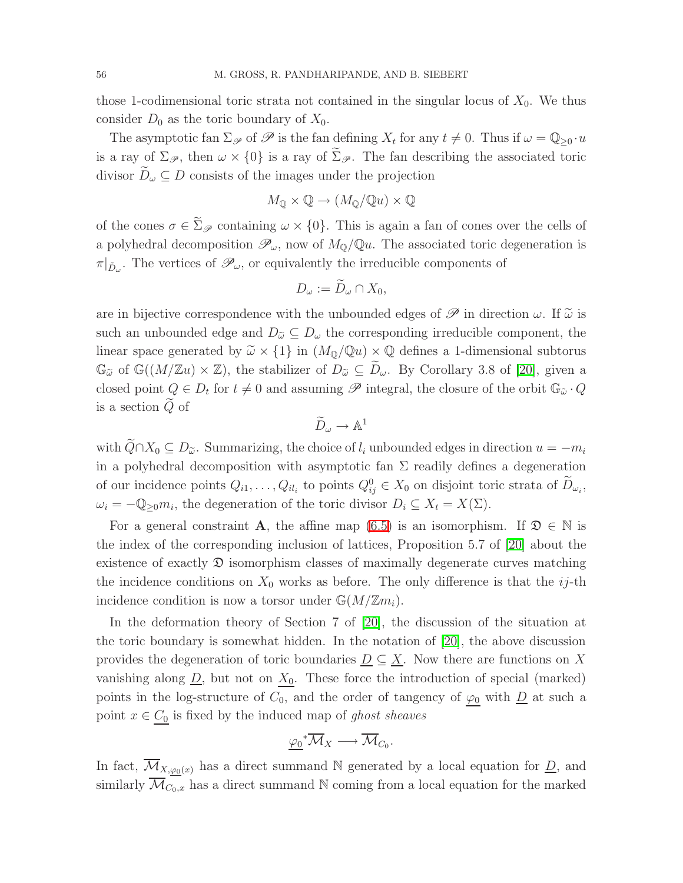those 1-codimensional toric strata not contained in the singular locus of  $X_0$ . We thus consider  $D_0$  as the toric boundary of  $X_0$ .

The asymptotic fan  $\Sigma_{\mathscr{P}}$  of  $\mathscr{P}$  is the fan defining  $X_t$  for any  $t \neq 0$ . Thus if  $\omega = \mathbb{Q}_{\geq 0} \cdot u$ is a ray of  $\Sigma_{\mathscr{P}}$ , then  $\omega \times \{0\}$  is a ray of  $\widetilde{\Sigma}_{\mathscr{P}}$ . The fan describing the associated toric divisor  $D_{\omega} \subseteq D$  consists of the images under the projection

$$
M_{\mathbb{Q}} \times \mathbb{Q} \to (M_{\mathbb{Q}}/\mathbb{Q}u) \times \mathbb{Q}
$$

of the cones  $\sigma \in \widetilde{\Sigma}_{\mathscr{P}}$  containing  $\omega \times \{0\}$ . This is again a fan of cones over the cells of a polyhedral decomposition  $\mathscr{P}_{\omega}$ , now of  $M_{\mathbb{Q}}/\mathbb{Q}u$ . The associated toric degeneration is  $\pi|_{\tilde{D}_{\omega}}$ . The vertices of  $\mathscr{P}_{\omega}$ , or equivalently the irreducible components of

$$
D_{\omega} := D_{\omega} \cap X_0,
$$

are in bijective correspondence with the unbounded edges of  $\mathscr P$  in direction  $\omega$ . If  $\tilde{\omega}$  is such an unbounded edge and  $D_{\tilde{\omega}} \subseteq D_{\omega}$  the corresponding irreducible component, the linear space generated by  $\tilde{\omega} \times \{1\}$  in  $(M_{\mathbb{Q}}/\mathbb{Q}u) \times \mathbb{Q}$  defines a 1-dimensional subtorus  $\mathbb{G}_{\tilde{\omega}}$  of  $\mathbb{G}((M/\mathbb{Z}) \times \mathbb{Z})$ , the stabilizer of  $D_{\tilde{\omega}} \subseteq \tilde{D}_{\omega}$ . By Corollary 3.8 of [\[20\]](#page-57-5), given a closed point  $Q \in D_t$  for  $t \neq 0$  and assuming  $\mathscr P$  integral, the closure of the orbit  $\mathbb{G}_{\tilde{\omega}} \cdot Q$ is a section  $\ddot{Q}$  of

$$
\widetilde{D}_{\omega}\to \mathbb{A}^1
$$

with  $Q \cap X_0 \subseteq D_{\tilde{\omega}}$ . Summarizing, the choice of  $l_i$  unbounded edges in direction  $u = -m_i$ in a polyhedral decomposition with asymptotic fan  $\Sigma$  readily defines a degeneration of our incidence points  $Q_{i1}, \ldots, Q_{il_i}$  to points  $Q_{ij}^0 \in X_0$  on disjoint toric strata of  $D_{\omega_i}$ ,  $\omega_i = -\mathbb{Q}_{\geq 0}m_i$ , the degeneration of the toric divisor  $D_i \subseteq X_t = X(\Sigma)$ .

For a general constraint **A**, the affine map [\(6.5\)](#page-54-1) is an isomorphism. If  $\mathcal{D} \in \mathbb{N}$  is the index of the corresponding inclusion of lattices, Proposition 5.7 of [\[20\]](#page-57-5) about the existence of exactly  $\mathfrak D$  isomorphism classes of maximally degenerate curves matching the incidence conditions on  $X_0$  works as before. The only difference is that the ij-th incidence condition is now a torsor under  $\mathbb{G}(M/\mathbb{Z}m_i)$ .

In the deformation theory of Section 7 of [\[20\]](#page-57-5), the discussion of the situation at the toric boundary is somewhat hidden. In the notation of [\[20\]](#page-57-5), the above discussion provides the degeneration of toric boundaries  $\underline{D} \subseteq \underline{X}$ . Now there are functions on X vanishing along  $\underline{D}$ , but not on  $X_0$ . These force the introduction of special (marked) points in the log-structure of  $C_0$ , and the order of tangency of  $\varphi_0$  with  $\underline{D}$  at such a point  $x \in C_0$  is fixed by the induced map of ghost sheaves

$$
\underline{\varphi_0}^*\overline{\mathcal{M}}_X\longrightarrow \overline{\mathcal{M}}_{C_0}.
$$

In fact,  $\overline{\mathcal{M}}_{X,\varphi_0(x)}$  has a direct summand N generated by a local equation for  $\underline{D}$ , and similarly  $\overline{\mathcal{M}}_{C_0,x}$  has a direct summand N coming from a local equation for the marked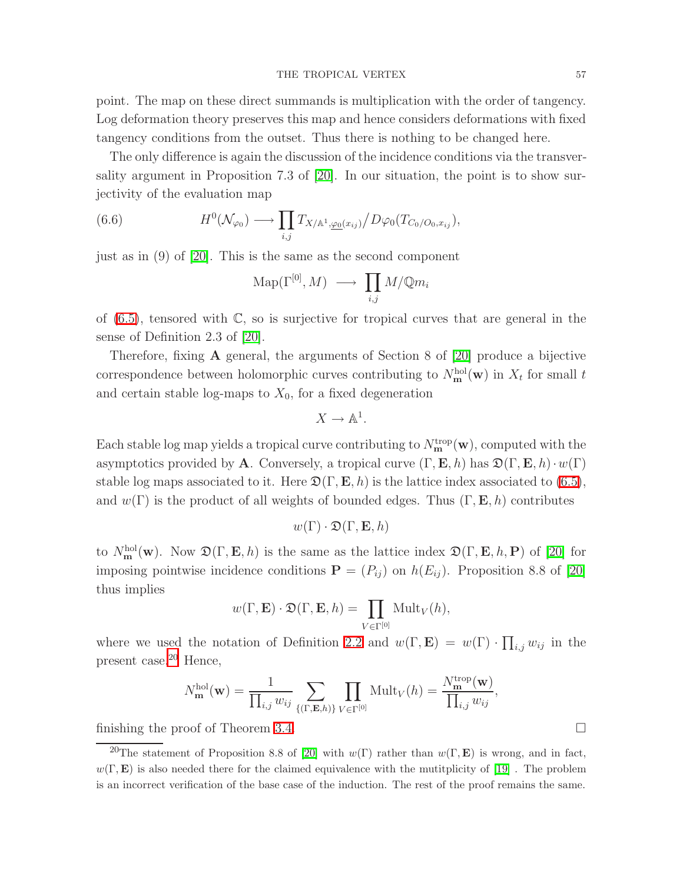point. The map on these direct summands is multiplication with the order of tangency. Log deformation theory preserves this map and hence considers deformations with fixed tangency conditions from the outset. Thus there is nothing to be changed here.

The only difference is again the discussion of the incidence conditions via the transversality argument in Proposition 7.3 of [\[20\]](#page-57-5). In our situation, the point is to show surjectivity of the evaluation map

(6.6) 
$$
H^{0}(\mathcal{N}_{\varphi_{0}}) \longrightarrow \prod_{i,j} T_{X/\mathbb{A}^{1},\underline{\varphi_{0}}(x_{ij})}/D\varphi_{0}(T_{C_{0}/O_{0},x_{ij}}),
$$

just as in (9) of [\[20\]](#page-57-5). This is the same as the second component

$$
\mathrm{Map}(\Gamma^{[0]}, M) \longrightarrow \prod_{i,j} M/\mathbb{Q}m_i
$$

of  $(6.5)$ , tensored with  $\mathbb{C}$ , so is surjective for tropical curves that are general in the sense of Definition 2.3 of [\[20\]](#page-57-5).

Therefore, fixing A general, the arguments of Section 8 of [\[20\]](#page-57-5) produce a bijective correspondence between holomorphic curves contributing to  $N_{\mathbf{m}}^{\text{hol}}(\mathbf{w})$  in  $X_t$  for small t and certain stable log-maps to  $X_0$ , for a fixed degeneration

$$
X \to \mathbb{A}^1.
$$

Each stable log map yields a tropical curve contributing to  $N_{\mathbf{m}}^{\text{trop}}(\mathbf{w})$ , computed with the asymptotics provided by **A**. Conversely, a tropical curve  $(\Gamma, \mathbf{E}, h)$  has  $\mathfrak{D}(\Gamma, \mathbf{E}, h) \cdot w(\Gamma)$ stable log maps associated to it. Here  $\mathfrak{D}(\Gamma, \mathbf{E}, h)$  is the lattice index associated to [\(6.5\)](#page-54-1), and  $w(\Gamma)$  is the product of all weights of bounded edges. Thus  $(\Gamma, \mathbf{E}, h)$  contributes

$$
w(\Gamma) \cdot \mathfrak{D}(\Gamma, \mathbf{E}, h)
$$

to  $N_{\mathbf{m}}^{\text{hol}}(\mathbf{w})$ . Now  $\mathfrak{D}(\Gamma, \mathbf{E}, h)$  is the same as the lattice index  $\mathfrak{D}(\Gamma, \mathbf{E}, h, \mathbf{P})$  of [\[20\]](#page-57-5) for imposing pointwise incidence conditions  $\mathbf{P} = (P_{ij})$  on  $h(E_{ij})$ . Proposition 8.8 of [\[20\]](#page-57-5) thus implies

$$
w(\Gamma, \mathbf{E}) \cdot \mathfrak{D}(\Gamma, \mathbf{E}, h) = \prod_{V \in \Gamma^{[0]}} \text{Mult}_V(h),
$$

where we used the notation of Definition [2.2](#page-19-2) and  $w(\Gamma, \mathbf{E}) = w(\Gamma) \cdot \prod_{i,j} w_{ij}$  in the present case.<sup>[20](#page-56-0)</sup> Hence,

$$
N_{\mathbf{m}}^{\text{hol}}(\mathbf{w}) = \frac{1}{\prod_{i,j} w_{ij}} \sum_{\{(\Gamma, \mathbf{E}, h)\}} \prod_{V \in \Gamma^{[0]}} \text{Mult}_V(h) = \frac{N_{\mathbf{m}}^{\text{trop}}(\mathbf{w})}{\prod_{i,j} w_{ij}},
$$

finishing the proof of Theorem [3.4.](#page-28-1)

<span id="page-56-0"></span><sup>&</sup>lt;sup>20</sup>The statement of Proposition 8.8 of [\[20\]](#page-57-5) with  $w(\Gamma)$  rather than  $w(\Gamma, \mathbf{E})$  is wrong, and in fact,  $w(\Gamma, E)$  is also needed there for the claimed equivalence with the mutitplicity of [\[19\]](#page-57-4). The problem is an incorrect verification of the base case of the induction. The rest of the proof remains the same.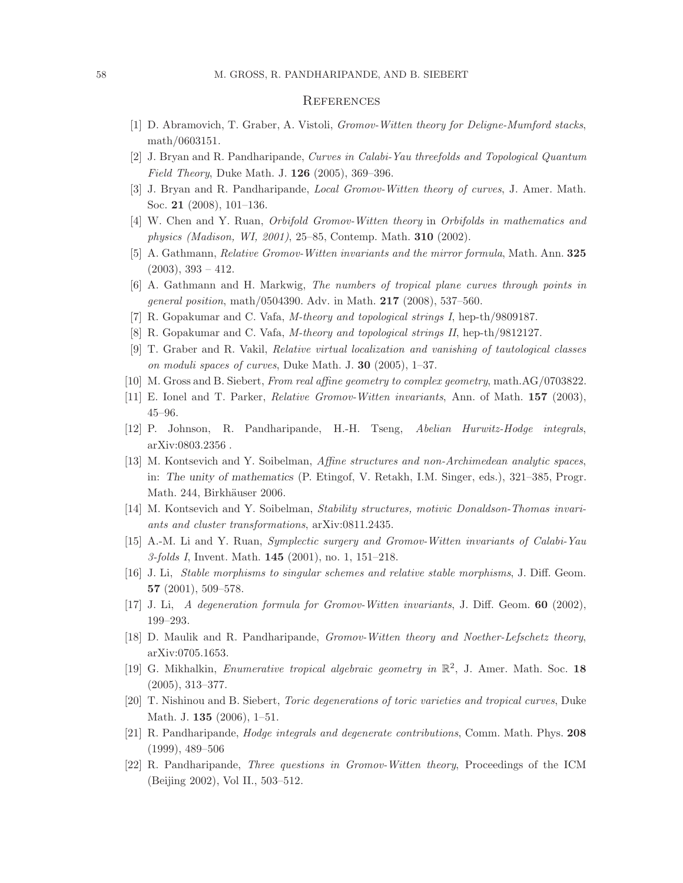## **REFERENCES**

- <span id="page-57-14"></span><span id="page-57-12"></span><span id="page-57-0"></span>[1] D. Abramovich, T. Graber, A. Vistoli, Gromov-Witten theory for Deligne-Mumford stacks, math/0603151.
- [2] J. Bryan and R. Pandharipande, Curves in Calabi-Yau threefolds and Topological Quantum Field Theory, Duke Math. J. 126 (2005), 369–396.
- <span id="page-57-15"></span><span id="page-57-13"></span>[3] J. Bryan and R. Pandharipande, Local Gromov-Witten theory of curves, J. Amer. Math. Soc. 21 (2008), 101–136.
- <span id="page-57-6"></span>[4] W. Chen and Y. Ruan, Orbifold Gromov-Witten theory in Orbifolds in mathematics and physics (Madison, WI, 2001), 25–85, Contemp. Math. 310 (2002).
- <span id="page-57-7"></span>[5] A. Gathmann, Relative Gromov-Witten invariants and the mirror formula, Math. Ann. 325  $(2003), 393 - 412.$
- <span id="page-57-21"></span>[6] A. Gathmann and H. Markwig, The numbers of tropical plane curves through points in general position, math/0504390. Adv. in Math. 217 (2008), 537-560.
- <span id="page-57-22"></span>[7] R. Gopakumar and C. Vafa, M-theory and topological strings I, hep-th/9809187.
- <span id="page-57-20"></span>[8] R. Gopakumar and C. Vafa, M-theory and topological strings II, hep-th/9812127.
- [9] T. Graber and R. Vakil, Relative virtual localization and vanishing of tautological classes on moduli spaces of curves, Duke Math. J.  $30$  (2005), 1–37.
- <span id="page-57-8"></span><span id="page-57-2"></span>[10] M. Gross and B. Siebert, From real affine geometry to complex geometry, math.AG/0703822.
- <span id="page-57-16"></span>[11] E. Ionel and T. Parker, Relative Gromov-Witten invariants, Ann. of Math. 157 (2003), 45–96.
- <span id="page-57-1"></span>[12] P. Johnson, R. Pandharipande, H.-H. Tseng, Abelian Hurwitz-Hodge integrals, arXiv:0803.2356 .
- [13] M. Kontsevich and Y. Soibelman, Affine structures and non-Archimedean analytic spaces, in: The unity of mathematics (P. Etingof, V. Retakh, I.M. Singer, eds.), 321–385, Progr. Math. 244, Birkhäuser 2006.
- <span id="page-57-9"></span><span id="page-57-3"></span>[14] M. Kontsevich and Y. Soibelman, Stability structures, motivic Donaldson-Thomas invariants and cluster transformations, arXiv:0811.2435.
- <span id="page-57-11"></span>[15] A.-M. Li and Y. Ruan, Symplectic surgery and Gromov-Witten invariants of Calabi-Yau 3-folds I, Invent. Math. 145 (2001), no. 1, 151–218.
- <span id="page-57-10"></span>[16] J. Li, Stable morphisms to singular schemes and relative stable morphisms, J. Diff. Geom. 57 (2001), 509–578.
- <span id="page-57-17"></span>[17] J. Li, A degeneration formula for Gromov-Witten invariants, J. Diff. Geom. 60 (2002), 199–293.
- <span id="page-57-4"></span>[18] D. Maulik and R. Pandharipande, Gromov-Witten theory and Noether-Lefschetz theory, arXiv:0705.1653.
- [19] G. Mikhalkin, *Enumerative tropical algebraic geometry in*  $\mathbb{R}^2$ , J. Amer. Math. Soc. 18 (2005), 313–377.
- <span id="page-57-18"></span><span id="page-57-5"></span>[20] T. Nishinou and B. Siebert, Toric degenerations of toric varieties and tropical curves, Duke Math. J. **135** (2006), 1–51.
- <span id="page-57-19"></span>[21] R. Pandharipande, Hodge integrals and degenerate contributions, Comm. Math. Phys. 208 (1999), 489–506
- [22] R. Pandharipande, Three questions in Gromov-Witten theory, Proceedings of the ICM (Beijing 2002), Vol II., 503–512.